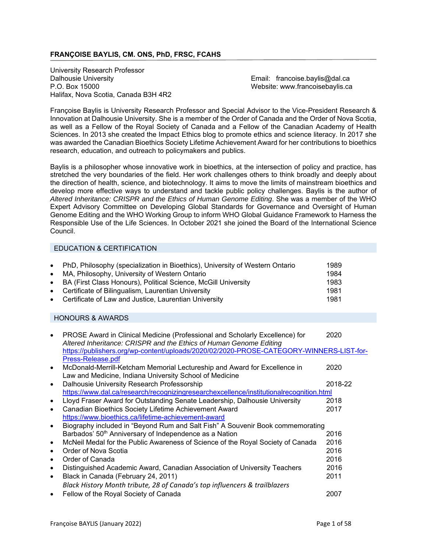### **FRANÇOISE BAYLIS, CM. ONS, PhD, FRSC, FCAHS**

j University Research Professor Dalhousie University **Email: francoise.baylis@dal.ca** P.O. Box 15000 Website: www.francoisebaylis.ca Halifax, Nova Scotia, Canada B3H 4R2

Françoise Baylis is University Research Professor and Special Advisor to the Vice-President Research & Innovation at Dalhousie University. She is a member of the Order of Canada and the Order of Nova Scotia, as well as a Fellow of the Royal Society of Canada and a Fellow of the Canadian Academy of Health Sciences. In 2013 she created the Impact Ethics blog to promote ethics and science literacy. In 2017 she was awarded the Canadian Bioethics Society Lifetime Achievement Award for her contributions to bioethics research, education, and outreach to policymakers and publics.

Baylis is a philosopher whose innovative work in bioethics, at the intersection of policy and practice, has stretched the very boundaries of the field. Her work challenges others to think broadly and deeply about the direction of health, science, and biotechnology. It aims to move the limits of mainstream bioethics and develop more effective ways to understand and tackle public policy challenges. Baylis is the author of *Altered Inheritance: CRISPR and the Ethics of Human Genome Editing*. She was a member of the WHO Expert Advisory Committee on Developing Global Standards for Governance and Oversight of Human Genome Editing and the WHO Working Group to inform WHO Global Guidance Framework to Harness the Responsible Use of the Life Sciences. In October 2021 she joined the Board of the International Science Council.

### EDUCATION & CERTIFICATION

| $\bullet$ | PhD, Philosophy (specialization in Bioethics), University of Western Ontario | 1989 |
|-----------|------------------------------------------------------------------------------|------|
| $\bullet$ | MA, Philosophy, University of Western Ontario                                | 1984 |
|           | • BA (First Class Honours), Political Science, McGill University             | 1983 |
|           | • Certificate of Bilingualism, Laurentian University                         | 1981 |
|           | • Certificate of Law and Justice, Laurentian University                      | 1981 |

#### HONOURS & AWARDS

|           |                                                                                         | 2020    |
|-----------|-----------------------------------------------------------------------------------------|---------|
|           | PROSE Award in Clinical Medicine (Professional and Scholarly Excellence) for            |         |
|           | Altered Inheritance: CRISPR and the Ethics of Human Genome Editing                      |         |
|           | https://publishers.org/wp-content/uploads/2020/02/2020-PROSE-CATEGORY-WINNERS-LIST-for- |         |
|           | Press-Release.pdf                                                                       |         |
|           | McDonald-Merrill-Ketcham Memorial Lectureship and Award for Excellence in               | 2020    |
|           | Law and Medicine, Indiana University School of Medicine                                 |         |
| $\bullet$ | Dalhousie University Research Professorship                                             | 2018-22 |
|           | https://www.dal.ca/research/recognizingresearchexcellence/institutionalrecognition.html |         |
|           | Lloyd Fraser Award for Outstanding Senate Leadership, Dalhousie University              | 2018    |
|           | Canadian Bioethics Society Lifetime Achievement Award                                   | 2017    |
|           | https://www.bioethics.ca/lifetime-achievement-award                                     |         |
|           | Biography included in "Beyond Rum and Salt Fish" A Souvenir Book commemorating          |         |
|           | Barbados' 50 <sup>th</sup> Anniversary of Independence as a Nation                      | 2016    |
|           | McNeil Medal for the Public Awareness of Science of the Royal Society of Canada         | 2016    |
|           | Order of Nova Scotia                                                                    | 2016    |
|           | Order of Canada                                                                         | 2016    |
|           | Distinguished Academic Award, Canadian Association of University Teachers               | 2016    |
| $\bullet$ | Black in Canada (February 24, 2011)                                                     | 2011    |
|           | Black History Month tribute, 28 of Canada's top influencers & trailblazers              |         |
|           | Fellow of the Royal Society of Canada                                                   | 2007    |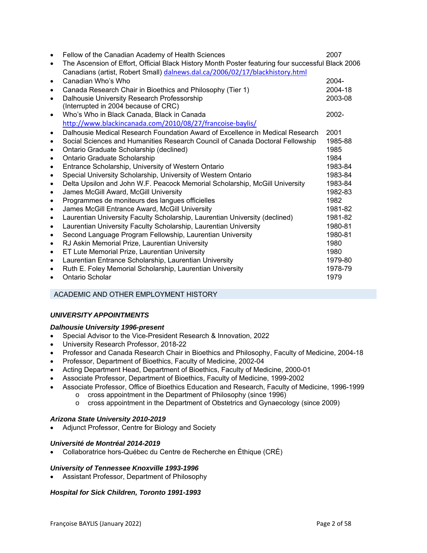| $\bullet$ | Fellow of the Canadian Academy of Health Sciences                                                 | 2007     |
|-----------|---------------------------------------------------------------------------------------------------|----------|
| $\bullet$ | The Ascension of Effort, Official Black History Month Poster featuring four successful Black 2006 |          |
|           | Canadians (artist, Robert Small) dalnews.dal.ca/2006/02/17/blackhistory.html                      |          |
| $\bullet$ | Canadian Who's Who                                                                                | 2004-    |
| $\bullet$ | Canada Research Chair in Bioethics and Philosophy (Tier 1)                                        | 2004-18  |
| $\bullet$ | Dalhousie University Research Professorship                                                       | 2003-08  |
|           | (Interrupted in 2004 because of CRC)                                                              |          |
| $\bullet$ | Who's Who in Black Canada, Black in Canada                                                        | $2002 -$ |
|           | http://www.blackincanada.com/2010/08/27/francoise-baylis/                                         |          |
| $\bullet$ | Dalhousie Medical Research Foundation Award of Excellence in Medical Research                     | 2001     |
| $\bullet$ | Social Sciences and Humanities Research Council of Canada Doctoral Fellowship                     | 1985-88  |
| $\bullet$ | Ontario Graduate Scholarship (declined)                                                           | 1985     |
| $\bullet$ | Ontario Graduate Scholarship                                                                      | 1984     |
| $\bullet$ | Entrance Scholarship, University of Western Ontario                                               | 1983-84  |
| $\bullet$ | Special University Scholarship, University of Western Ontario                                     | 1983-84  |
| $\bullet$ | Delta Upsilon and John W.F. Peacock Memorial Scholarship, McGill University                       | 1983-84  |
| $\bullet$ | James McGill Award, McGill University                                                             | 1982-83  |
| $\bullet$ | Programmes de moniteurs des langues officielles                                                   | 1982     |
| $\bullet$ | James McGill Entrance Award, McGill University                                                    | 1981-82  |
| $\bullet$ | Laurentian University Faculty Scholarship, Laurentian University (declined)                       | 1981-82  |
| $\bullet$ | Laurentian University Faculty Scholarship, Laurentian University                                  | 1980-81  |
| $\bullet$ | Second Language Program Fellowship, Laurentian University                                         | 1980-81  |
| $\bullet$ | RJ Askin Memorial Prize, Laurentian University                                                    | 1980     |
| $\bullet$ | ET Lute Memorial Prize, Laurentian University                                                     | 1980     |
| $\bullet$ | Laurentian Entrance Scholarship, Laurentian University                                            | 1979-80  |
| $\bullet$ | Ruth E. Foley Memorial Scholarship, Laurentian University                                         | 1978-79  |
|           | Ontario Scholar                                                                                   | 1979     |
|           |                                                                                                   |          |

### ACADEMIC AND OTHER EMPLOYMENT HISTORY

### *UNIVERSITY APPOINTMENTS*

#### *Dalhousie University 1996-present*

- Special Advisor to the Vice-President Research & Innovation, 2022
- University Research Professor, 2018-22
- Professor and Canada Research Chair in Bioethics and Philosophy, Faculty of Medicine, 2004-18
- Professor, Department of Bioethics, Faculty of Medicine, 2002-04
- Acting Department Head, Department of Bioethics, Faculty of Medicine, 2000-01
- Associate Professor, Department of Bioethics, Faculty of Medicine, 1999-2002
- Associate Professor, Office of Bioethics Education and Research, Faculty of Medicine, 1996-1999
	- o cross appointment in the Department of Philosophy (since 1996)
	- o cross appointment in the Department of Obstetrics and Gynaecology (since 2009)

### *Arizona State University 2010-2019*

Adjunct Professor, Centre for Biology and Society

#### *Université de Montréal 2014-2019*

Collaboratrice hors-Québec du Centre de Recherche en Éthique (CRÉ)

#### *University of Tennessee Knoxville 1993-1996*

Assistant Professor, Department of Philosophy

#### *Hospital for Sick Children, Toronto 1991-1993*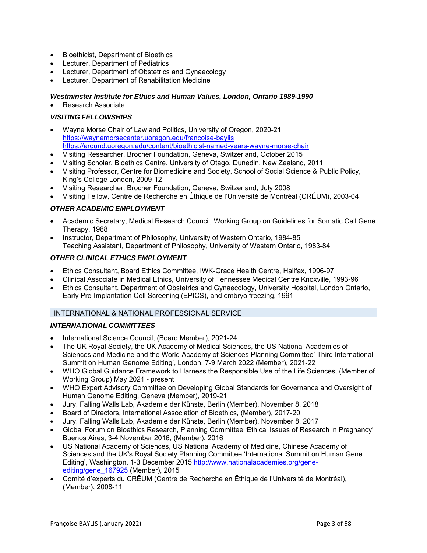- Bioethicist, Department of Bioethics
- Lecturer, Department of Pediatrics
- Lecturer, Department of Obstetrics and Gynaecology
- Lecturer, Department of Rehabilitation Medicine

# *Westminster Institute for Ethics and Human Values, London, Ontario 1989-1990*

Research Associate

### *VISITING FELLOWSHIPS*

- Wayne Morse Chair of Law and Politics, University of Oregon, 2020-21 https://waynemorsecenter.uoregon.edu/francoise-baylis https://around.uoregon.edu/content/bioethicist-named-years-wayne-morse-chair
- Visiting Researcher, Brocher Foundation, Geneva, Switzerland, October 2015
- Visiting Scholar, Bioethics Centre, University of Otago, Dunedin, New Zealand, 2011
- Visiting Professor, Centre for Biomedicine and Society, School of Social Science & Public Policy, King's College London, 2009-12
- Visiting Researcher, Brocher Foundation, Geneva, Switzerland, July 2008
- Visiting Fellow, Centre de Recherche en Éthique de l'Université de Montréal (CRÉUM), 2003-04

### *OTHER ACADEMIC EMPLOYMENT*

- Academic Secretary, Medical Research Council, Working Group on Guidelines for Somatic Cell Gene Therapy, 1988
- Instructor, Department of Philosophy, University of Western Ontario, 1984-85 Teaching Assistant, Department of Philosophy, University of Western Ontario, 1983-84

### *OTHER CLINICAL ETHICS EMPLOYMENT*

- Ethics Consultant, Board Ethics Committee, IWK-Grace Health Centre, Halifax, 1996-97
- Clinical Associate in Medical Ethics, University of Tennessee Medical Centre Knoxville, 1993-96
- Ethics Consultant, Department of Obstetrics and Gynaecology, University Hospital, London Ontario, Early Pre-Implantation Cell Screening (EPICS), and embryo freezing, 1991

#### INTERNATIONAL & NATIONAL PROFESSIONAL SERVICE

### *INTERNATIONAL COMMITTEES*

- International Science Council, (Board Member), 2021-24
- The UK Royal Society, the UK Academy of Medical Sciences, the US National Academies of Sciences and Medicine and the World Academy of Sciences Planning Committee' Third International Summit on Human Genome Editing', London, 7-9 March 2022 (Member), 2021-22
- WHO Global Guidance Framework to Harness the Responsible Use of the Life Sciences, (Member of Working Group) May 2021 - present
- WHO Expert Advisory Committee on Developing Global Standards for Governance and Oversight of Human Genome Editing, Geneva (Member), 2019-21
- Jury, Falling Walls Lab, Akademie der Künste, Berlin (Member), November 8, 2018
- Board of Directors, International Association of Bioethics, (Member), 2017-20
- Jury, Falling Walls Lab, Akademie der Künste, Berlin (Member), November 8, 2017
- Global Forum on Bioethics Research, Planning Committee 'Ethical Issues of Research in Pregnancy' Buenos Aires, 3-4 November 2016, (Member), 2016
- US National Academy of Sciences, US National Academy of Medicine, Chinese Academy of Sciences and the UK's Royal Society Planning Committee 'International Summit on Human Gene Editing', Washington, 1-3 December 2015 http://www.nationalacademies.org/geneediting/gene\_167925 (Member), 2015
- Comité d'experts du CRĒUM (Centre de Recherche en Ēthique de l'Université de Montréal), (Member), 2008-11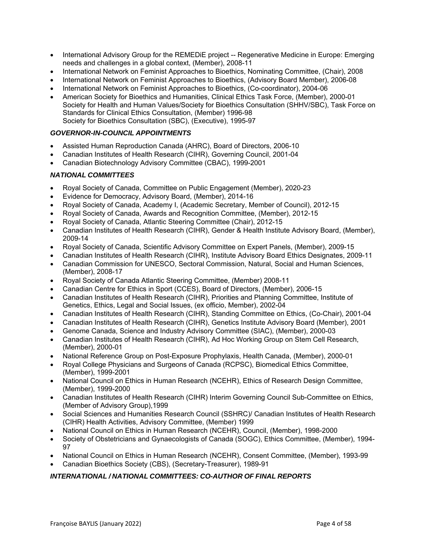- International Advisory Group for the REMEDiE project -- Regenerative Medicine in Europe: Emerging needs and challenges in a global context, (Member), 2008-11
- International Network on Feminist Approaches to Bioethics, Nominating Committee, (Chair), 2008
- International Network on Feminist Approaches to Bioethics, (Advisory Board Member), 2006-08
- International Network on Feminist Approaches to Bioethics, (Co-coordinator), 2004-06
- American Society for Bioethics and Humanities, Clinical Ethics Task Force, (Member), 2000-01 Society for Health and Human Values/Society for Bioethics Consultation (SHHV/SBC), Task Force on Standards for Clinical Ethics Consultation, (Member) 1996-98 Society for Bioethics Consultation (SBC), (Executive), 1995-97

### *GOVERNOR-IN-COUNCIL APPOINTMENTS*

- Assisted Human Reproduction Canada (AHRC), Board of Directors, 2006-10
- Canadian Institutes of Health Research (CIHR), Governing Council, 2001-04
- Canadian Biotechnology Advisory Committee (CBAC), 1999-2001

### *NATIONAL COMMITTEES*

- Royal Society of Canada, Committee on Public Engagement (Member), 2020-23
- Evidence for Democracy, Advisory Board, (Member), 2014-16
- Royal Society of Canada, Academy I, (Academic Secretary, Member of Council), 2012-15
- Royal Society of Canada, Awards and Recognition Committee, (Member), 2012-15
- Royal Society of Canada, Atlantic Steering Committee (Chair), 2012-15
- Canadian Institutes of Health Research (CIHR), Gender & Health Institute Advisory Board, (Member), 2009-14
- Royal Society of Canada, Scientific Advisory Committee on Expert Panels, (Member), 2009-15
- Canadian Institutes of Health Research (CIHR), Institute Advisory Board Ethics Designates, 2009-11
- Canadian Commission for UNESCO, Sectoral Commission, Natural, Social and Human Sciences, (Member), 2008-17
- Royal Society of Canada Atlantic Steering Committee, (Member) 2008-11
- Canadian Centre for Ethics in Sport (CCES), Board of Directors, (Member), 2006-15
- Canadian Institutes of Health Research (CIHR), Priorities and Planning Committee, Institute of Genetics, Ethics, Legal and Social Issues, (ex officio, Member), 2002-04
- Canadian Institutes of Health Research (CIHR), Standing Committee on Ethics, (Co-Chair), 2001-04
- Canadian Institutes of Health Research (CIHR), Genetics Institute Advisory Board (Member), 2001
- Genome Canada, Science and Industry Advisory Committee (SIAC), (Member), 2000-03
- Canadian Institutes of Health Research (CIHR), Ad Hoc Working Group on Stem Cell Research, (Member), 2000-01
- National Reference Group on Post-Exposure Prophylaxis, Health Canada, (Member), 2000-01
- Royal College Physicians and Surgeons of Canada (RCPSC), Biomedical Ethics Committee, (Member), 1999-2001
- National Council on Ethics in Human Research (NCEHR), Ethics of Research Design Committee, (Member), 1999-2000
- Canadian Institutes of Health Research (CIHR) Interim Governing Council Sub-Committee on Ethics, (Member of Advisory Group),1999
- Social Sciences and Humanities Research Council (SSHRC)/ Canadian Institutes of Health Research (CIHR) Health Activities, Advisory Committee, (Member) 1999
- National Council on Ethics in Human Research (NCEHR), Council, (Member), 1998-2000
- Society of Obstetricians and Gynaecologists of Canada (SOGC), Ethics Committee, (Member), 1994- 97
- National Council on Ethics in Human Research (NCEHR), Consent Committee, (Member), 1993-99
- Canadian Bioethics Society (CBS), (Secretary-Treasurer), 1989-91

### *INTERNATIONAL / NATIONAL COMMITTEES: CO-AUTHOR OF FINAL REPORTS*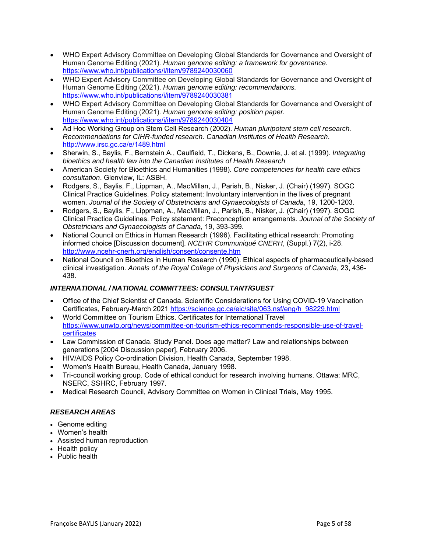- WHO Expert Advisory Committee on Developing Global Standards for Governance and Oversight of Human Genome Editing (2021). *Human genome editing: a framework for governance.*  https://www.who.int/publications/i/item/9789240030060
- WHO Expert Advisory Committee on Developing Global Standards for Governance and Oversight of Human Genome Editing (2021). *Human genome editing: recommendations.* https://www.who.int/publications/i/item/9789240030381
- WHO Expert Advisory Committee on Developing Global Standards for Governance and Oversight of Human Genome Editing (2021). *Human genome editing: position paper.* https://www.who.int/publications/i/item/9789240030404
- Ad Hoc Working Group on Stem Cell Research (2002). *Human pluripotent stem cell research. Recommendations for CIHR-funded research. Canadian Institutes of Health Research*. http://www.irsc.gc.ca/e/1489.html
- Sherwin, S., Baylis, F., Bernstein A., Caulfield, T., Dickens, B., Downie, J. et al. (1999). *Integrating bioethics and health law into the Canadian Institutes of Health Research*
- American Society for Bioethics and Humanities (1998). *Core competencies for health care ethics consultation*. Glenview, IL: ASBH.
- Rodgers, S., Baylis, F., Lippman, A., MacMillan, J., Parish, B., Nisker, J. (Chair) (1997). SOGC Clinical Practice Guidelines. Policy statement: Involuntary intervention in the lives of pregnant women. *Journal of the Society of Obstetricians and Gynaecologists of Canada*, 19, 1200-1203.
- Rodgers, S., Baylis, F., Lippman, A., MacMillan, J., Parish, B., Nisker, J. (Chair) (1997). SOGC Clinical Practice Guidelines. Policy statement: Preconception arrangements. *Journal of the Society of Obstetricians and Gynaecologists of Canada*, 19, 393-399.
- National Council on Ethics in Human Research (1996). Facilitating ethical research: Promoting informed choice [Discussion document]. *NCEHR Communiqué CNERH*, (Suppl.) 7(2), i-28. http://www.ncehr-cnerh.org/english/consent/consente.htm
- National Council on Bioethics in Human Research (1990). Ethical aspects of pharmaceutically-based clinical investigation. *Annals of the Royal College of Physicians and Surgeons of Canada*, 23, 436- 438.

# *INTERNATIONAL / NATIONAL COMMITTEES: CONSULTANT/GUEST*

- Office of the Chief Scientist of Canada. Scientific Considerations for Using COVID-19 Vaccination Certificates, February-March 2021 https://science.gc.ca/eic/site/063.nsf/eng/h\_98229.html
- World Committee on Tourism Ethics. Certificates for International Travel https://www.unwto.org/news/committee-on-tourism-ethics-recommends-responsible-use-of-travelcertificates
- Law Commission of Canada. Study Panel. Does age matter? Law and relationships between generations [2004 Discussion paper], February 2006.
- HIV/AIDS Policy Co-ordination Division, Health Canada, September 1998.
- Women's Health Bureau, Health Canada, January 1998.
- Tri-council working group. Code of ethical conduct for research involving humans. Ottawa: MRC, NSERC, SSHRC, February 1997.
- Medical Research Council, Advisory Committee on Women in Clinical Trials, May 1995.

# *RESEARCH AREAS*

- Genome editing
- Women's health
- Assisted human reproduction
- Health policy
- Public health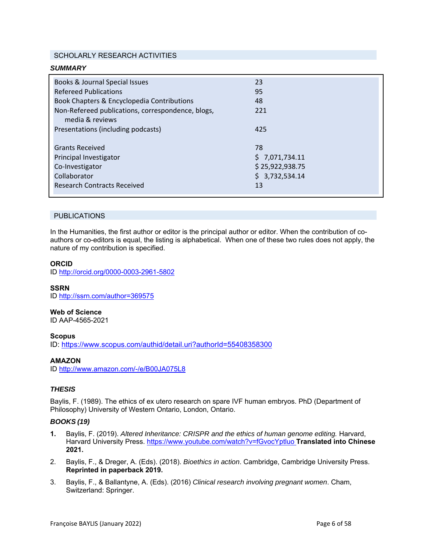### SCHOLARLY RESEARCH ACTIVITIES

| <b>SUMMARY</b>                                    |                 |  |
|---------------------------------------------------|-----------------|--|
| Books & Journal Special Issues                    | 23              |  |
| <b>Refereed Publications</b>                      | 95              |  |
| Book Chapters & Encyclopedia Contributions        | 48              |  |
| Non-Refereed publications, correspondence, blogs, | 221             |  |
| media & reviews                                   |                 |  |
| Presentations (including podcasts)                | 425             |  |
|                                                   |                 |  |
| <b>Grants Received</b>                            | 78              |  |
| Principal Investigator                            | \$7,071,734.11  |  |
| Co-Investigator                                   | \$25,922,938.75 |  |
| Collaborator                                      | \$3,732,534.14  |  |
| <b>Research Contracts Received</b>                | 13              |  |
|                                                   |                 |  |

#### PUBLICATIONS

In the Humanities, the first author or editor is the principal author or editor. When the contribution of coauthors or co-editors is equal, the listing is alphabetical. When one of these two rules does not apply, the nature of my contribution is specified.

#### **ORCID**

ID http://orcid.org/0000-0003-2961-5802

# **SSRN**

ID http://ssrn.com/author=369575

# **Web of Science**

ID AAP-4565-2021

#### **Scopus**

ID: https://www.scopus.com/authid/detail.uri?authorId=55408358300

### **AMAZON**

ID http://www.amazon.com/-/e/B00JA075L8

### *THESIS*

Baylis, F. (1989). The ethics of ex utero research on spare IVF human embryos. PhD (Department of Philosophy) University of Western Ontario, London, Ontario.

#### *BOOKS (19)*

- **1.** Baylis, F. (2019). *Altered Inheritance: CRISPR and the ethics of human genome editing.* Harvard, Harvard University Press. https://www.youtube.com/watch?v=fGvocYptluo **Translated into Chinese 2021.**
- 2. Baylis, F., & Dreger, A. (Eds). (2018). *Bioethics in action*. Cambridge, Cambridge University Press. **Reprinted in paperback 2019.**
- 3. Baylis, F., & Ballantyne, A. (Eds). (2016) *Clinical research involving pregnant women*. Cham, Switzerland: Springer.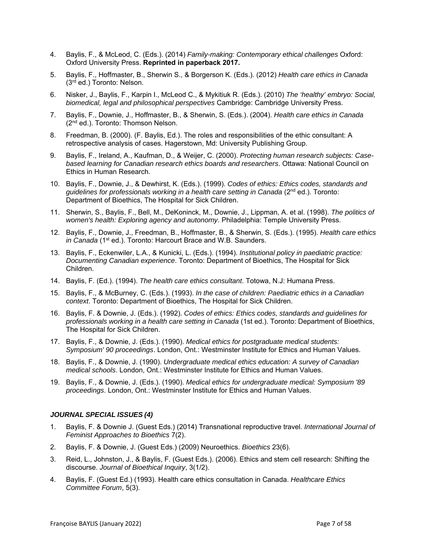- 4. Baylis, F., & McLeod, C. (Eds.). (2014) *Family-making: Contemporary ethical challenges* Oxford: Oxford University Press. **Reprinted in paperback 2017.**
- 5. Baylis, F., Hoffmaster, B., Sherwin S., & Borgerson K. (Eds.). (2012) *Health care ethics in Canada*  (3rd ed.) Toronto: Nelson.
- 6. Nisker, J., Baylis, F., Karpin I., McLeod C., & Mykitiuk R. (Eds.). (2010) *The 'healthy' embryo: Social, biomedical, legal and philosophical perspectives* Cambridge: Cambridge University Press.
- 7. Baylis, F., Downie, J., Hoffmaster, B., & Sherwin, S. (Eds.). (2004). *Health care ethics in Canada* (2<sup>nd</sup> ed.). Toronto: Thomson Nelson.
- 8. Freedman, B. (2000). (F. Baylis, Ed.). The roles and responsibilities of the ethic consultant: A retrospective analysis of cases. Hagerstown, Md: University Publishing Group.
- 9. Baylis, F., Ireland, A., Kaufman, D., & Weijer, C. (2000). *Protecting human research subjects: Casebased learning for Canadian research ethics boards and researchers*. Ottawa: National Council on Ethics in Human Research.
- 10. Baylis, F., Downie, J., & Dewhirst, K. (Eds.). (1999). *Codes of ethics: Ethics codes, standards and*  guidelines for professionals working in a health care setting in Canada (2<sup>nd</sup> ed.). Toronto: Department of Bioethics, The Hospital for Sick Children.
- 11. Sherwin, S., Baylis, F., Bell, M., DeKoninck, M., Downie, J., Lippman, A. et al. (1998). *The politics of women's health: Exploring agency and autonomy*. Philadelphia: Temple University Press.
- 12. Baylis, F., Downie, J., Freedman, B., Hoffmaster, B., & Sherwin, S. (Eds.). (1995). *Health care ethics*  in Canada (1<sup>st</sup> ed.). Toronto: Harcourt Brace and W.B. Saunders.
- 13. Baylis, F., Eckenwiler, L.A., & Kunicki, L. (Eds.). (1994). *Institutional policy in paediatric practice: Documenting Canadian experience*. Toronto: Department of Bioethics, The Hospital for Sick Children.
- 14. Baylis, F. (Ed.). (1994). *The health care ethics consultant*. Totowa, N.J: Humana Press.
- 15. Baylis, F., & McBurney, C. (Eds.). (1993). *In the case of children: Paediatric ethics in a Canadian context*. Toronto: Department of Bioethics, The Hospital for Sick Children.
- 16. Baylis, F. & Downie, J. (Eds.). (1992). *Codes of ethics: Ethics codes, standards and guidelines for professionals working in a health care setting in Canada* (1st ed.). Toronto: Department of Bioethics, The Hospital for Sick Children.
- 17. Baylis, F., & Downie, J. (Eds.). (1990). *Medical ethics for postgraduate medical students: Symposium' 90 proceedings*. London, Ont.: Westminster Institute for Ethics and Human Values.
- 18. Baylis, F., & Downie, J. (1990). *Undergraduate medical ethics education: A survey of Canadian medical schools*. London, Ont.: Westminster Institute for Ethics and Human Values.
- 19. Baylis, F., & Downie, J. (Eds.). (1990). *Medical ethics for undergraduate medical: Symposium '89 proceedings*. London, Ont.: Westminster Institute for Ethics and Human Values.

#### *JOURNAL SPECIAL ISSUES (4)*

- 1. Baylis, F. & Downie J. (Guest Eds.) (2014) Transnational reproductive travel. *International Journal of Feminist Approaches to Bioethics* 7(2).
- 2. Baylis, F. & Downie, J. (Guest Eds.) (2009) Neuroethics. *Bioethics* 23(6).
- 3. Reid, L., Johnston, J., & Baylis, F. (Guest Eds.). (2006). Ethics and stem cell research: Shifting the discourse. *Journal of Bioethical Inquiry*, 3(1/2).
- 4. Baylis, F. (Guest Ed.) (1993). Health care ethics consultation in Canada. *Healthcare Ethics Committee Forum*, 5(3).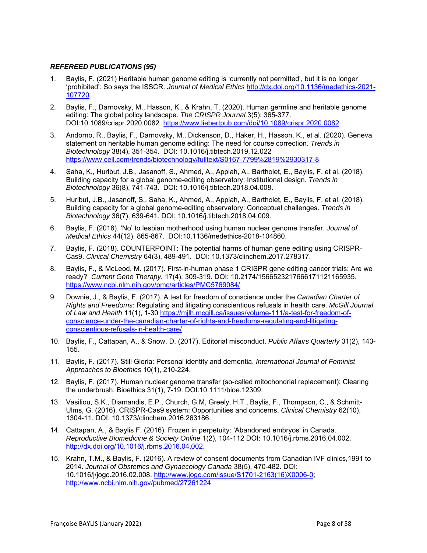### *REFEREED PUBLICATIONS (95)*

- 1. Baylis, F. (2021) Heritable human genome editing is 'currently not permitted', but it is no longer 'prohibited': So says the ISSCR. *Journal of Medical Ethics* http://dx.doi.org/10.1136/medethics-2021- 107720
- 2. Baylis, F., Darnovsky, M., Hasson, K., & Krahn, T. (2020). Human germline and heritable genome editing: The global policy landscape. *The CRISPR Journal* 3(5): 365-377. DOI:10.1089/crispr.2020.0082 https://www.liebertpub.com/doi/10.1089/crispr.2020.0082
- 3. Andorno, R., Baylis, F., Darnovsky, M., Dickenson, D., Haker, H., Hasson, K., et al. (2020). Geneva statement on heritable human genome editing: The need for course correction. *Trends in Biotechnology* 38(4), 351-354. DOI: 10.1016/j.tibtech.2019.12.022 https://www.cell.com/trends/biotechnology/fulltext/S0167-7799%2819%2930317-8
- 4. Saha, K., Hurlbut, J.B., Jasanoff, S., Ahmed, A., Appiah, A., Bartholet, E., Baylis, F. et al. (2018). Building capacity for a global genome-editing observatory: Institutional design. *Trends in Biotechnology* 36(8), 741-743. DOI: 10.1016/j.tibtech.2018.04.008.
- 5. Hurlbut, J.B., Jasanoff, S., Saha, K., Ahmed, A., Appiah, A., Bartholet, E., Baylis, F. et al. (2018). Building capacity for a global genome-editing observatory: Conceptual challenges. *Trends in Biotechnology* 36(7), 639-641. DOI: 10.1016/j.tibtech.2018.04.009.
- 6. Baylis, F. (2018). 'No' to lesbian motherhood using human nuclear genome transfer. *Journal of Medical Ethics* 44(12), 865-867. DOI:10.1136/medethics-2018-104860.
- 7. Baylis, F. (2018). COUNTERPOINT: The potential harms of human gene editing using CRISPR-Cas9. *Clinical Chemistry* 64(3), 489-491. DOI: 10.1373/clinchem.2017.278317.
- 8. Baylis, F., & McLeod, M. (2017). First-in-human phase 1 CRISPR gene editing cancer trials: Are we ready? *Current Gene Therapy.* 17(4), 309-319. DOI: 10.2174/1566523217666171121165935. https://www.ncbi.nlm.nih.gov/pmc/articles/PMC5769084/
- 9. Downie, J., & Baylis, F. (2017). A test for freedom of conscience under the *Canadian Charter of Rights and Freedoms*: Regulating and litigating conscientious refusals in health care. *McGill Journal of Law and Health* 11(1), 1-30 https://mjlh.mcgill.ca/issues/volume-111/a-test-for-freedom-ofconscience-under-the-canadian-charter-of-rights-and-freedoms-regulating-and-litigatingconscientious-refusals-in-health-care/
- 10. Baylis, F., Cattapan, A., & Snow, D. (2017). Editorial misconduct. *Public Affairs Quarterly* 31(2), 143- 155.
- 11. Baylis, F. (2017). Still Gloria: Personal identity and dementia. *International Journal of Feminist Approaches to Bioethics* 10(1), 210-224.
- 12. Baylis, F. (2017). Human nuclear genome transfer (so-called mitochondrial replacement): Clearing the underbrush. Bioethics 31(1), 7-19. DOI:10.1111/bioe.12309.
- 13. Vasiliou, S.K., Diamandis, E.P., Church, G.M, Greely, H.T., Baylis, F., Thompson, C., & Schmitt-Ulms, G. (2016). CRISPR-Cas9 system: Opportunities and concerns. *Clinical Chemistry* 62(10), 1304-11. DOI: 10.1373/clinchem.2016.263186.
- 14. Cattapan, A., & Baylis F. (2016). Frozen in perpetuity: 'Abandoned embryos' in Canada. *Reproductive Biomedicine & Society Online* 1(2), 104-112 DOI: 10.1016/j.rbms.2016.04.002. http://dx.doi.org/10.1016/j.rbms.2016.04.002.
- 15. Krahn, T.M., & Baylis, F. (2016). A review of consent documents from Canadian IVF clinics,1991 to 2014. *Journal of Obstetrics and Gynaecology Canada* 38(5), 470-482. DOI: 10.1016/j/jogc.2016.02.008. http://www.jogc.com/issue/S1701-2163(16)X0006-0; http://www.ncbi.nlm.nih.gov/pubmed/27261224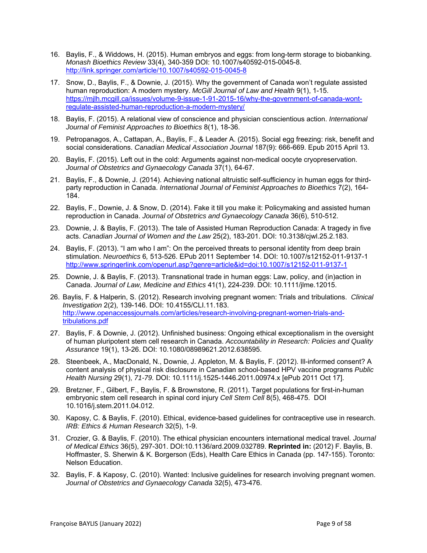- 16. Baylis, F., & Widdows, H. (2015). Human embryos and eggs: from long-term storage to biobanking. *Monash Bioethics Review* 33(4), 340-359 DOI: 10.1007/s40592-015-0045-8. http://link.springer.com/article/10.1007/s40592-015-0045-8
- 17. Snow, D., Baylis, F., & Downie, J. (2015). Why the government of Canada won't regulate assisted human reproduction: A modern mystery. *McGill Journal of Law and Health* 9(1), 1-15. https://mjlh.mcgill.ca/issues/volume-9-issue-1-91-2015-16/why-the-government-of-canada-wontregulate-assisted-human-reproduction-a-modern-mystery/
- 18. Baylis, F. (2015). A relational view of conscience and physician conscientious action. *International Journal of Feminist Approaches to Bioethics* 8(1), 18-36.
- 19. Petropanagos, A., Cattapan, A., Baylis, F., & Leader A. (2015). Social egg freezing: risk, benefit and social considerations. *Canadian Medical Association Journal* 187(9): 666-669. Epub 2015 April 13.
- 20. Baylis, F. (2015). Left out in the cold: Arguments against non-medical oocyte cryopreservation. *Journal of Obstetrics and Gynaecology Canada* 37(1), 64-67.
- 21. Baylis, F., & Downie, J. (2014). Achieving national altruistic self-sufficiency in human eggs for thirdparty reproduction in Canada. *International Journal of Feminist Approaches to Bioethics* 7(2), 164- 184.
- 22. Baylis, F., Downie, J. & Snow, D. (2014). Fake it till you make it: Policymaking and assisted human reproduction in Canada. *Journal of Obstetrics and Gynaecology Canada* 36(6), 510-512.
- 23. Downie, J. & Baylis, F. (2013). The tale of Assisted Human Reproduction Canada: A tragedy in five acts. *Canadian Journal of Women and the Law* 25(2), 183-201. DOI: 10.3138/cjwl.25.2.183.
- 24. Baylis, F. (2013). "I am who I am": On the perceived threats to personal identity from deep brain stimulation. *Neuroethics* 6*,* 513-526. EPub 2011 September 14. DOI: 10.1007/s12152-011-9137-1 http://www.springerlink.com/openurl.asp?genre=article&id=doi:10.1007/s12152-011-9137-1
- 25. Downie, J. & Baylis, F. (2013). Transnational trade in human eggs: Law, policy, and (in)action in Canada. *Journal of Law, Medicine and Ethics* 41(1), 224-239. DOI: 10.1111/jlme.12015.
- 26. Baylis, F. & Halperin, S. (2012). Research involving pregnant women: Trials and tribulations. *Clinical Investigation* 2(2), 139-146. DOI: 10.4155/CLI.11.183. http://www.openaccessjournals.com/articles/research-involving-pregnant-women-trials-andtribulations.pdf
- 27. Baylis, F. & Downie, J. (2012). Unfinished business: Ongoing ethical exceptionalism in the oversight of human pluripotent stem cell research in Canada. *Accountability in Research: Policies and Quality Assurance* 19(1), 13-26. DOI: 10.1080/08989621.2012.638595.
- 28. Steenbeek, A., MacDonald, N., Downie, J. Appleton, M. & Baylis, F. (2012). Ill-informed consent? A content analysis of physical risk disclosure in Canadian school-based HPV vaccine programs *Public Health Nursing* 29(1), *71-79.* DOI: 10.1111/j.1525-1446.2011.00974.x [ePub 2011 Oct 17].
- 29. Bretzner, F., Gilbert, F., Baylis, F. & Brownstone, R. (2011). Target populations for first-in-human embryonic stem cell research in spinal cord injury *Cell Stem Cell* 8(5), 468-475. DOI 10.1016/j.stem.2011.04.012.
- 30. Kaposy, C. & Baylis, F. (2010). Ethical, evidence-based guidelines for contraceptive use in research. *IRB: Ethics & Human Research* 32(5), 1-9.
- 31. Crozier, G. & Baylis, F. (2010). The ethical physician encounters international medical travel. *Journal of Medical Ethics* 36(5), 297-301. DOI:10.1136/ard.2009.032789. **Reprinted in:** (2012) F. Baylis, B. Hoffmaster, S. Sherwin & K. Borgerson (Eds), Health Care Ethics in Canada (pp. 147-155). Toronto: Nelson Education.
- 32. Baylis, F. & Kaposy, C. (2010). Wanted: Inclusive guidelines for research involving pregnant women. *Journal of Obstetrics and Gynaecology Canada* 32(5), 473-476.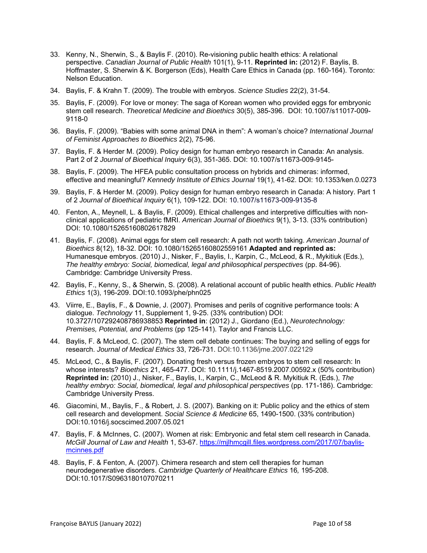- 33. Kenny, N., Sherwin, S., & Baylis F. (2010). Re-visioning public health ethics: A relational perspective. *Canadian Journal of Public Health* 101(1), 9-11. **Reprinted in:** (2012) F. Baylis, B. Hoffmaster, S. Sherwin & K. Borgerson (Eds), Health Care Ethics in Canada (pp. 160-164). Toronto: Nelson Education.
- 34. Baylis, F. & Krahn T. (2009). The trouble with embryos. *Science Studies* 22(2), 31-54.
- 35. Baylis, F. (2009). For love or money: The saga of Korean women who provided eggs for embryonic stem cell research. *Theoretical Medicine and Bioethics* 30(5), 385-396.DOI: 10.1007/s11017-009- 9118-0
- 36. Baylis, F. (2009). "Babies with some animal DNA in them": A woman's choice? *International Journal of Feminist Approaches to Bioethics* 2(2), 75-96.
- 37. Baylis, F. & Herder M. (2009). Policy design for human embryo research in Canada: An analysis. Part 2 of 2 *Journal of Bioethical Inquiry* 6(3), 351-365. DOI: 10.1007/s11673-009-9145-
- 38. Baylis, F. (2009). The HFEA public consultation process on hybrids and chimeras: informed, effective and meaningful? *Kennedy Institute of Ethics Journal* 19(1), 41-62. DOI: 10.1353/ken.0.0273
- 39. Baylis, F. & Herder M. (2009). Policy design for human embryo research in Canada: A history. Part 1 of 2 *Journal of Bioethical Inquiry* 6(1), 109-122. DOI: 10.1007/s11673-009-9135-8
- 40. Fenton, A., Meynell, L. & Baylis, F. (2009). Ethical challenges and interpretive difficulties with nonclinical applications of pediatric fMRI. *American Journal of Bioethics* 9(1), 3-13. (33% contribution) DOI: 10.1080/15265160802617829
- 41. Baylis, F. (2008). Animal eggs for stem cell research: A path not worth taking. *American Journal of Bioethics* 8(12), 18-32. DOI: 10.1080/15265160802559161 **Adapted and reprinted as:**  Humanesque embryos. (2010) J., Nisker, F., Baylis, I., Karpin, C., McLeod, & R., Mykitiuk (Eds.), *The healthy embryo: Social, biomedical, legal and philosophical perspectives* (pp. 84-96). Cambridge: Cambridge University Press.
- 42. Baylis, F., Kenny, S., & Sherwin, S. (2008). A relational account of public health ethics. *Public Health Ethics* 1(3), 196-209. DOI:10.1093/phe/phn025
- 43. Viirre, E., Baylis, F., & Downie, J. (2007). Promises and perils of cognitive performance tools: A dialogue. *Technology* 11, Supplement 1, 9-25. (33% contribution) DOI: 10.3727/107292408786938853 **Reprinted in**: (2012) J., Giordano (Ed.), *Neurotechnology: Premises, Potential, and Problems* (pp 125-141). Taylor and Francis LLC.
- 44. Baylis, F. & McLeod, C. (2007). The stem cell debate continues: The buying and selling of eggs for research. *Journal of Medical Ethics* 33, 726-731. DOI:10.1136/jme.2007.022129
- 45. McLeod, C., & Baylis, F. (2007). Donating fresh versus frozen embryos to stem cell research: In whose interests? *Bioethics* 21, 465-477. DOI: 10.1111/j.1467-8519.2007.00592.x (50% contribution) **Reprinted in:** (2010) J., Nisker, F., Baylis, I., Karpin, C., McLeod & R. Mykitiuk R. (Eds.), *The healthy embryo: Social, biomedical, legal and philosophical perspectives* (pp. 171-186). Cambridge: Cambridge University Press.
- 46. Giacomini, M., Baylis, F., & Robert, J. S. (2007). Banking on it: Public policy and the ethics of stem cell research and development. *Social Science & Medicine* 65, 1490-1500. (33% contribution) DOI:10.1016/j.socscimed.2007.05.021
- 47. Baylis, F. & McInnes, C. (2007). Women at risk: Embryonic and fetal stem cell research in Canada. *McGill Journal of Law and Health* 1, 53-67. https://mjlhmcgill.files.wordpress.com/2017/07/baylismcinnes.pdf
- 48. Baylis, F. & Fenton, A. (2007). Chimera research and stem cell therapies for human neurodegenerative disorders. *Cambridge Quarterly of Healthcare Ethics* 16*,* 195-208. DOI:10.1017/S0963180107070211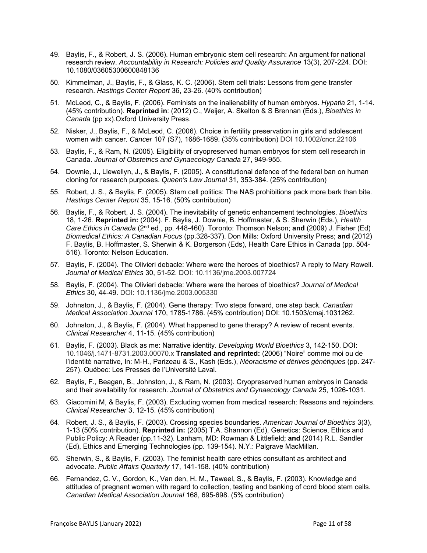- 49. Baylis, F., & Robert, J. S. (2006). Human embryonic stem cell research: An argument for national research review. *Accountability in Research: Policies and Quality Assurance* 13(3), 207-224. DOI: 10.1080/03605300600848136
- 50. Kimmelman, J., Baylis, F., & Glass, K. C. (2006). Stem cell trials: Lessons from gene transfer research. *Hastings Center Report* 36, 23-26. (40% contribution)
- 51. McLeod, C., & Baylis, F. (2006). Feminists on the inalienability of human embryos. *Hypatia* 21, 1-14. (45% contribution). **Reprinted in**: (2012) C., Weijer, A. Skelton & S Brennan (Eds.), *Bioethics in Canada* (pp xx).Oxford University Press.
- 52. Nisker, J., Baylis, F., & McLeod, C. (2006). Choice in fertility preservation in girls and adolescent women with cancer. *Cancer* 107 (S7), 1686-1689. (35% contribution) DOI 10.1002/cncr.22106
- 53. Baylis, F., & Ram, N. (2005). Eligibility of cryopreserved human embryos for stem cell research in Canada. *Journal of Obstetrics and Gynaecology Canada* 27, 949-955.
- 54. Downie, J., Llewellyn, J., & Baylis, F. (2005). A constitutional defence of the federal ban on human cloning for research purposes. *Queen's Law Journal* 31, 353-384. (25% contribution)
- 55. Robert, J. S., & Baylis, F. (2005). Stem cell politics: The NAS prohibitions pack more bark than bite. *Hastings Center Report* 35*,* 15-16. (50% contribution)
- 56. Baylis, F., & Robert, J. S. (2004). The inevitability of genetic enhancement technologies. *Bioethics*  18, 1-26. **Reprinted in:** (2004). F. Baylis, J. Downie, B. Hoffmaster, & S. Sherwin (Eds.), *Health Care Ethics in Canada* (2nd ed., pp. 448-460). Toronto: Thomson Nelson; **and** (2009) J. Fisher (Ed) *Biomedical Ethics: A Canadian Focus* (pp.328-337). Don Mills: Oxford University Press; **and** (2012) F. Baylis, B. Hoffmaster, S. Sherwin & K. Borgerson (Eds), Health Care Ethics in Canada (pp. 504- 516). Toronto: Nelson Education.
- 57. Baylis, F. (2004). The Olivieri debacle: Where were the heroes of bioethics? A reply to Mary Rowell. *Journal of Medical Ethics* 30, 51-52. DOI: 10.1136/jme.2003.007724
- 58. Baylis, F. (2004). The Olivieri debacle: Where were the heroes of bioethics? *Journal of Medical Ethics* 30, 44-49. DOI: 10.1136/jme.2003.005330
- 59. Johnston, J., & Baylis, F. (2004). Gene therapy: Two steps forward, one step back. *Canadian Medical Association Journal* 170, 1785-1786. (45% contribution) DOI: 10.1503/cmaj.1031262.
- 60. Johnston, J., & Baylis, F. (2004). What happened to gene therapy? A review of recent events. *Clinical Researcher* 4, 11-15. (45% contribution)
- 61. Baylis, F. (2003). Black as me: Narrative identity. *Developing World Bioethics* 3, 142-150. DOI: 10.1046/j.1471-8731.2003.00070.x **Translated and reprinted:** (2006) "Noire" comme moi ou de l'identité narrative, In: M-H., Parizeau & S., Kash (Eds.), *Néoracisme et dérives génétiques* (pp. 247- 257). Québec: Les Presses de l'Université Laval.
- 62. Baylis, F., Beagan, B., Johnston, J., & Ram, N. (2003). Cryopreserved human embryos in Canada and their availability for research. *Journal of Obstetrics and Gynaecology Canada* 25, 1026-1031.
- 63. Giacomini M, & Baylis, F. (2003). Excluding women from medical research: Reasons and rejoinders. *Clinical Researcher* 3, 12-15. (45% contribution)
- 64. Robert, J. S., & Baylis, F. (2003). Crossing species boundaries. *American Journal of Bioethics* 3(3), 1-13 (50% contribution). **Reprinted in:** (2005) T.A. Shannon (Ed), Genetics: Science, Ethics and Public Policy: A Reader (pp.11-32). Lanham, MD: Rowman & Littlefield; **and** (2014) R.L. Sandler (Ed), Ethics and Emerging Technologies (pp. 139-154). N.Y.: Palgrave MacMillan.
- 65. Sherwin, S., & Baylis, F. (2003). The feminist health care ethics consultant as architect and advocate. *Public Affairs Quarterly* 17, 141-158. (40% contribution)
- 66. Fernandez, C. V., Gordon, K., Van den, H. M., Taweel, S., & Baylis, F. (2003). Knowledge and attitudes of pregnant women with regard to collection, testing and banking of cord blood stem cells. *Canadian Medical Association Journal* 168, 695-698. (5% contribution)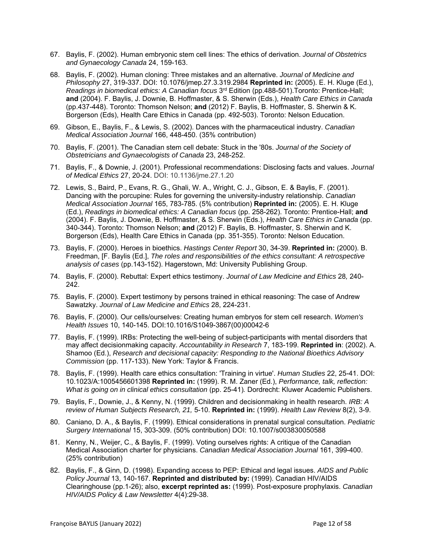- 67. Baylis, F. (2002). Human embryonic stem cell lines: The ethics of derivation. *Journal of Obstetrics and Gynaecology Canada* 24, 159-163.
- 68. Baylis, F. (2002). Human cloning: Three mistakes and an alternative. *Journal of Medicine and Philosophy* 27, 319-337. DOI: 10.1076/jmep.27.3.319.2984 **Reprinted in:** (2005). E. H. Kluge (Ed.), *Readings in biomedical ethics: A Canadian focus* 3<sup>rd</sup> Edition (pp.488-501).Toronto: Prentice-Hall; **and** (2004). F. Baylis, J. Downie, B. Hoffmaster, & S. Sherwin (Eds.), *Health Care Ethics in Canada*  (pp.437-448). Toronto: Thomson Nelson; **and** (2012) F. Baylis, B. Hoffmaster, S. Sherwin & K. Borgerson (Eds), Health Care Ethics in Canada (pp. 492-503). Toronto: Nelson Education.
- 69. Gibson, E., Baylis, F., & Lewis, S. (2002). Dances with the pharmaceutical industry. *Canadian Medical Association Journal* 166, 448-450. (35% contribution)
- 70. Baylis, F. (2001). The Canadian stem cell debate: Stuck in the '80s. *Journal of the Society of Obstetricians and Gynaecologists of Canada* 23, 248-252.
- 71. Baylis, F., & Downie, J. (2001). Professional recommendations: Disclosing facts and values. *Journal of Medical Ethics* 27, 20-24. DOI: 10.1136/jme.27.1.20
- 72. Lewis, S., Baird, P., Evans, R. G., Ghali, W. A., Wright, C. J., Gibson, E. & Baylis, F. (2001). Dancing with the porcupine: Rules for governing the university-industry relationship. *Canadian Medical Association Journal* 165, 783-785. (5% contribution) **Reprinted in:** (2005). E. H. Kluge (Ed.), *Readings in biomedical ethics: A Canadian focus* (pp. 258-262). Toronto: Prentice-Hall; **and** (2004). F. Baylis, J. Downie, B. Hoffmaster, & S. Sherwin (Eds.), *Health Care Ethics in Canada* (pp. 340-344). Toronto: Thomson Nelson; **and** (2012) F. Baylis, B. Hoffmaster, S. Sherwin and K. Borgerson (Eds), Health Care Ethics in Canada (pp. 351-355). Toronto: Nelson Education.
- 73. Baylis, F. (2000). Heroes in bioethics. *Hastings Center Report* 30, 34-39. **Reprinted in:** (2000). B. Freedman, [F. Baylis (Ed.], *The roles and responsibilities of the ethics consultant: A retrospective analysis of cases* (pp.143-152). Hagerstown, Md: University Publishing Group.
- 74. Baylis, F. (2000). Rebuttal: Expert ethics testimony. *Journal of Law Medicine and Ethics* 28*,* 240- 242.
- 75. Baylis, F. (2000). Expert testimony by persons trained in ethical reasoning: The case of Andrew Sawatzky. *Journal of Law Medicine and Ethics* 28, 224-231.
- 76. Baylis, F. (2000). Our cells/ourselves: Creating human embryos for stem cell research. *Women's Health Issues* 10, 140-145. DOI:10.1016/S1049-3867(00)00042-6
- 77. Baylis, F. (1999). IRBs: Protecting the well-being of subject-participants with mental disorders that may affect decisionmaking capacity. *Accountability in Research* 7, 183-199. **Reprinted in**: (2002). A. Shamoo (Ed.), *Research and decisional capacity: Responding to the National Bioethics Advisory Commission* (pp. 117-133). New York: Taylor & Francis.
- 78. Baylis, F. (1999). Health care ethics consultation: 'Training in virtue'. *Human Studies* 22, 25-41. DOI: 10.1023/A:1005456601398 **Reprinted in:** (1999). R. M. Zaner (Ed.), *Performance, talk, reflection: What is going on in clinical ethics consultation* (pp. 25-41)*.* Dordrecht: Kluwer Academic Publishers.
- 79. Baylis, F., Downie, J., & Kenny, N. (1999). Children and decisionmaking in health research. *IRB: A review of Human Subjects Research, 21,* 5-10. **Reprinted in:** (1999). *Health Law Review* 8(2), 3-9.
- 80. Caniano, D. A., & Baylis, F. (1999). Ethical considerations in prenatal surgical consultation. *Pediatric Surgery International* 15, 303-309. (50% contribution) DOI: 10.1007/s003830050588
- 81. Kenny, N., Weijer, C., & Baylis, F. (1999). Voting ourselves rights: A critique of the Canadian Medical Association charter for physicians. *Canadian Medical Association Journal* 161, 399-400. (25% contribution)
- 82. Baylis, F., & Ginn, D. (1998). Expanding access to PEP: Ethical and legal issues. *AIDS and Public Policy Journal* 13, 140-167. **Reprinted and distributed by:** (1999). Canadian HIV/AIDS Clearinghouse (pp.1-26); also, **excerpt reprinted as:** (1999). Post-exposure prophylaxis. *Canadian HIV/AIDS Policy & Law Newsletter* 4(4):29-38.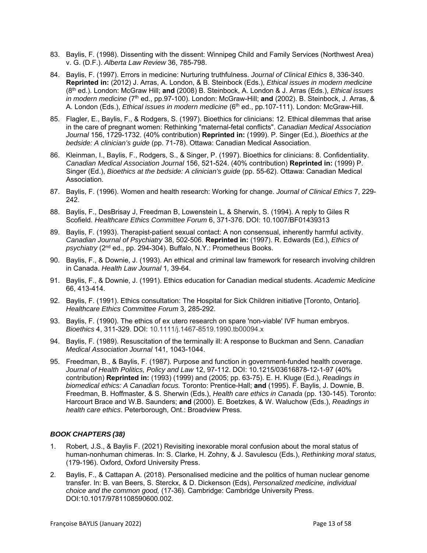- 83. Baylis, F. (1998). Dissenting with the dissent: Winnipeg Child and Family Services (Northwest Area) v. G. (D.F.). *Alberta Law Review* 36, 785-798.
- 84. Baylis, F. (1997). Errors in medicine: Nurturing truthfulness. *Journal of Clinical Ethics* 8, 336-340. **Reprinted in:** (2012) J. Arras, A. London, & B. Steinbock (Eds.), *Ethical issues in modern medicine* (8th ed.). London: McGraw Hill; **and** (2008) B. Steinbock, A. London & J. Arras (Eds.), *Ethical issues in modern medicine* (7th ed., pp.97-100). London: McGraw-Hill; **and** (2002). B. Steinbock, J. Arras, & A. London (Eds.), *Ethical issues in modern medicine* (6<sup>th</sup> ed., pp.107-111). London: McGraw-Hill.
- 85. Flagler, E., Baylis, F., & Rodgers, S. (1997). Bioethics for clinicians: 12. Ethical dilemmas that arise in the care of pregnant women: Rethinking "maternal-fetal conflicts". *Canadian Medical Association Journal* 156, 1729-1732. (40% contribution) **Reprinted in:** (1999). P. Singer (Ed.), *Bioethics at the bedside: A clinician's guide* (pp. 71-78). Ottawa: Canadian Medical Association.
- 86. Kleinman, I., Baylis, F., Rodgers, S., & Singer, P. (1997). Bioethics for clinicians: 8. Confidentiality. *Canadian Medical Association Journal* 156, 521-524. (40% contribution) **Reprinted in:** (1999) P. Singer (Ed.), *Bioethics at the bedside: A clinician's guide* (pp. 55-62). Ottawa: Canadian Medical Association.
- 87. Baylis, F. (1996). Women and health research: Working for change. *Journal of Clinical Ethics* 7, 229- 242.
- 88. Baylis, F., DesBrisay J, Freedman B, Lowenstein L, & Sherwin, S. (1994). A reply to Giles R Scofield. *Healthcare Ethics Committee Forum* 6, 371-376. DOI: 10.1007/BF01439313
- 89. Baylis, F. (1993). Therapist-patient sexual contact: A non consensual, inherently harmful activity. *Canadian Journal of Psychiatry* 38, 502-506. **Reprinted in:** (1997). R. Edwards (Ed.), *Ethics of psychiatry* (2nd ed., pp. 294-304). Buffalo, N.Y.: Prometheus Books.
- 90. Baylis, F., & Downie, J. (1993). An ethical and criminal law framework for research involving children in Canada. *Health Law Journal* 1*,* 39-64.
- 91. Baylis, F., & Downie, J. (1991). Ethics education for Canadian medical students. *Academic Medicine*  66, 413-414.
- 92. Baylis, F. (1991). Ethics consultation: The Hospital for Sick Children initiative [Toronto, Ontario]. *Healthcare Ethics Committee Forum* 3, 285-292.
- 93. Baylis, F. (1990). The ethics of ex utero research on spare 'non-viable' IVF human embryos. *Bioethics* 4, 311-329. DOI: 10.1111/j.1467-8519.1990.tb00094.x
- 94. Baylis, F. (1989). Resuscitation of the terminally ill: A response to Buckman and Senn. *Canadian Medical Association Journal* 141, 1043-1044.
- 95. Freedman, B., & Baylis, F. (1987). Purpose and function in government-funded health coverage. *Journal of Health Politics, Policy and Law* 12, 97-112. DOI: 10.1215/03616878-12-1-97 (40% contribution) **Reprinted in:** (1993) (1999) and (2005; pp. 63-75). E. H. Kluge (Ed.), *Readings in biomedical ethics: A Canadian focus.* Toronto: Prentice-Hall; **and** (1995). F. Baylis, J. Downie, B. Freedman, B. Hoffmaster, & S. Sherwin (Eds.), *Health care ethics in Canada* (pp. 130-145). Toronto: Harcourt Brace and W.B. Saunders; **and** (2000). E. Boetzkes, & W. Waluchow (Eds.), *Readings in health care ethics*. Peterborough, Ont.: Broadview Press.

#### *BOOK CHAPTERS (38)*

- 1. Robert, J.S., & Baylis F. (2021) Revisiting inexorable moral confusion about the moral status of human-nonhuman chimeras. In: S. Clarke, H. Zohny, & J. Savulescu (Eds.), *Rethinking moral status,*  (179-196). Oxford, Oxford University Press.
- 2. Baylis, F., & Cattapan A. (2018). Personalised medicine and the politics of human nuclear genome transfer. In: B. van Beers, S. Sterckx, & D. Dickenson (Eds), *Personalized medicine, individual choice and the common good,* (17-36). Cambridge: Cambridge University Press. DOI:10.1017/9781108590600.002.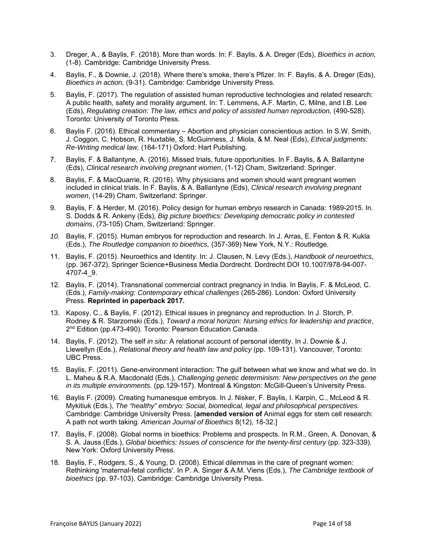- 3. Dreger, A., & Baylis, F. (2018). More than words. In: F. Baylis, & A. Dreger (Eds), *Bioethics in action,*  (1-8). Cambridge: Cambridge University Press.
- 4. Baylis, F., & Downie, J. (2018). Where there's smoke, there's Pfizer. In: F. Baylis, & A. Dreger (Eds), *Bioethics in action,* (9-31). Cambridge: Cambridge University Press.
- 5. Baylis, F. (2017). The regulation of assisted human reproductive technologies and related research: A public health, safety and morality argument. In: T. Lemmens, A.F. Martin, C, Milne, and I.B. Lee (Eds), *Regulating creation: The law, ethics and policy of assisted human reproduction, (490-528).* Toronto: University of Toronto Press.
- 6. Baylis F. (2016). Ethical commentary Abortion and physician conscientious action. In S.W. Smith, J. Coggon, C. Hobson, R. Huxtable, S. McGuinness, J. Miola, & M. Neal (Eds), *Ethical judgments: Re-Writing medical law,* (164-171) Oxford: Hart Publishing.
- 7. Baylis, F. & Ballantyne, A. (2016). Missed trials, future opportunities. In F. Baylis, & A. Ballantyne (Eds), *Clinical research involving pregnant women*, (1-12) Cham, Switzerland: Springer.
- 8. Baylis, F. & MacQuarrie, R. (2016). Why physicians and women should want pregnant women included in clinical trials. In F. Baylis, & A. Ballantyne (Eds), *Clinical research involving pregnant women*, (14-29) Cham, Switzerland: Springer.
- 9. Baylis, F. & Herder, M. (2016). Policy design for human embryo research in Canada: 1989-2015. In. S. Dodds & R. Ankeny (Eds), *Big picture bioethics: Developing democratic policy in contested domains*, (73-105) Cham, Switzerland: Springer.
- *10.* Baylis, F*.* (2015). Human embryos for reproduction and research. In J. Arras, E. Fenton & R. Kukla (Eds.), *The Routledge companion to bioethics,* (357-369) New York, N.Y.: Routledge.
- 11. Baylis, F. (2015). Neuroethics and Identity. In: J. Clausen, N. Levy (Eds.), *Handbook of neuroethics*, (pp. 367-372). Springer Science+Business Media Dordrecht. Dordrecht DOI 10.1007/978-94-007- 4707-4\_9.
- 12. Baylis, F. (2014). Transnational commercial contract pregnancy in India. In Baylis, F. & McLeod, C. (Eds.), *Family-making: Contemporary ethical challenges* (265-286). London: Oxford University Press. **Reprinted in paperback 2017.**
- 13. Kaposy, C., & Baylis, F. (2012). Ethical issues in pregnancy and reproduction. In J. Storch, P. Rodney & R. Starzomski (Eds.), *Toward a moral horizon: Nursing ethics for leadership and practice*, 2<sup>nd</sup> Edition (pp.473-490). Toronto: Pearson Education Canada.
- 14. Baylis, F. (2012). The self *in situ*: A relational account of personal identity. In J. Downie & J. Llewellyn (Eds.), *Relational theory and health law and policy* (pp. 109-131). Vancouver, Toronto: UBC Press.
- 15. Baylis, F. (2011). Gene-environment interaction: The gulf between what we know and what we do. In L. Maheu & R.A. Macdonald (Eds.), *Challenging genetic determinism: New perspectives on the gene in its multiple environments.* (pp.129-157). Montreal & Kingston: McGill-Queen's University Press.
- 16. Baylis F. (2009). Creating humanesque embryos. In J. Nisker, F. Baylis, I. Karpin, C., McLeod & R. Mykitiuk (Eds.), *The "healthy" embryo: Social, biomedical, legal and philosophical perspectives.* Cambridge: Cambridge University Press. [**amended version of** Animal eggs for stem cell research: A path not worth taking. *American Journal of Bioethics* 8(12), 18-32.]
- 17. Baylis, F. (2008). Global norms in bioethics: Problems and prospects. In R.M., Green, A. Donovan, & S. A. Jauss (Eds.), *Global bioethics: Issues of conscience for the twenty-first century* (pp. 323-339). New York: Oxford University Press.
- 18. Baylis, F., Rodgers, S., & Young, D. (2008). Ethical dilemmas in the care of pregnant women: Rethinking 'maternal-fetal conflicts'. In P. A. Singer & A.M. Viens (Eds.), *The Cambridge textbook of bioethics* (pp. 97-103). Cambridge: Cambridge University Press.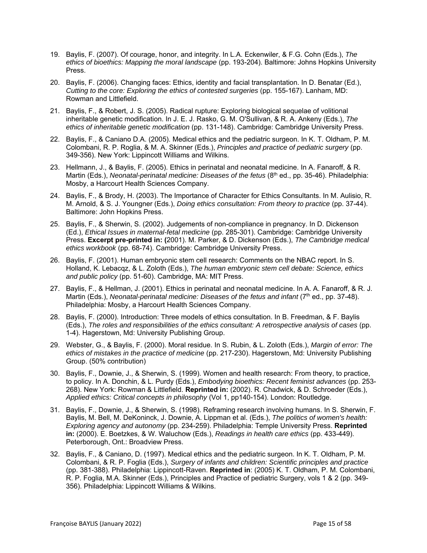- 19. Baylis, F. (2007). Of courage, honor, and integrity. In L.A. Eckenwiler, & F.G. Cohn (Eds.), *The ethics of bioethics: Mapping the moral landscape* (pp. 193-204). Baltimore: Johns Hopkins University Press.
- 20. Baylis, F. (2006). Changing faces: Ethics, identity and facial transplantation. In D. Benatar (Ed.), *Cutting to the core: Exploring the ethics of contested surgeries* (pp. 155-167). Lanham, MD: Rowman and Littlefield.
- 21. Baylis, F., & Robert, J. S. (2005). Radical rupture: Exploring biological sequelae of volitional inheritable genetic modification. In J. E. J. Rasko, G. M. O'Sullivan, & R. A. Ankeny (Eds.), *The ethics of inheritable genetic modification* (pp. 131-148). Cambridge: Cambridge University Press.
- 22. Baylis, F., & Caniano D.A. (2005). Medical ethics and the pediatric surgeon. In K. T. Oldham, P. M. Colombani, R. P. Roglia, & M. A. Skinner (Eds.), *Principles and practice of pediatric surgery* (pp. 349-356). New York: Lippincott Williams and Wilkins.
- 23. Hellmann, J., & Baylis, F. (2005). Ethics in perinatal and neonatal medicine. In A. Fanaroff, & R. Martin (Eds.), *Neonatal-perinatal medicine: Diseases of the fetus* (8<sup>th</sup> ed., pp. 35-46). Philadelphia: Mosby, a Harcourt Health Sciences Company.
- 24. Baylis, F., & Brody, H. (2003). The Importance of Character for Ethics Consultants. In M. Aulisio, R. M. Arnold, & S. J. Youngner (Eds.), *Doing ethics consultation: From theory to practice* (pp. 37-44). Baltimore: John Hopkins Press.
- 25. Baylis, F., & Sherwin, S. (2002). Judgements of non-compliance in pregnancy. In D. Dickenson (Ed.), *Ethical Issues in maternal-fetal medicine* (pp. 285-301). Cambridge: Cambridge University Press. **Excerpt pre-printed in: (**2001). M. Parker, & D. Dickenson (Eds.), *The Cambridge medical ethics workbook* (pp. 68-74). Cambridge: Cambridge University Press.
- 26. Baylis, F. (2001). Human embryonic stem cell research: Comments on the NBAC report. In S. Holland, K. Lebacqz, & L. Zoloth (Eds.), *The human embryonic stem cell debate: Science, ethics and public policy* (pp. 51-60). Cambridge, MA: MIT Press.
- 27. Baylis, F., & Hellman, J. (2001). Ethics in perinatal and neonatal medicine. In A. A. Fanaroff, & R. J. Martin (Eds.), *Neonatal-perinatal medicine: Diseases of the fetus and infant* (7<sup>th</sup> ed., pp. 37-48). Philadelphia: Mosby, a Harcourt Health Sciences Company.
- 28. Baylis, F. (2000). Introduction: Three models of ethics consultation. In B. Freedman, & F. Baylis (Eds.), *The roles and responsibilities of the ethics consultant: A retrospective analysis of cases* (pp. 1-4). Hagerstown, Md: University Publishing Group.
- 29. Webster, G., & Baylis, F. (2000). Moral residue. In S. Rubin, & L. Zoloth (Eds.), *Margin of error: The ethics of mistakes in the practice of medicine* (pp. 217-230). Hagerstown, Md: University Publishing Group. (50% contribution)
- 30. Baylis, F., Downie, J., & Sherwin, S. (1999). Women and health research: From theory, to practice, to policy. In A. Donchin, & L. Purdy (Eds.), *Embodying bioethics: Recent feminist advances* (pp. 253- 268). New York: Rowman & Littlefield. **Reprinted in:** (2002). R. Chadwick, & D. Schroeder (Eds.), *Applied ethics: Critical concepts in philosophy* (Vol 1, pp140-154). London: Routledge.
- 31. Baylis, F., Downie, J., & Sherwin, S. (1998). Reframing research involving humans. In S. Sherwin, F. Baylis, M. Bell, M. DeKoninck, J. Downie, A. Lippman et al. (Eds.), *The politics of women's health: Exploring agency and autonomy* (pp. 234-259). Philadelphia: Temple University Press. **Reprinted in:** (2000). E. Boetzkes, & W. Waluchow (Eds.), *Readings in health care ethics* (pp. 433-449). Peterborough, Ont.: Broadview Press.
- 32. Baylis, F., & Caniano, D. (1997). Medical ethics and the pediatric surgeon. In K. T. Oldham, P. M. Colombani, & R. P. Foglia (Eds.), *Surgery of infants and children: Scientific principles and practice* (pp. 381-388). Philadelphia: Lippincott-Raven. **Reprinted in**: (2005) K. T. Oldham, P. M. Colombani, R. P. Foglia, M.A. Skinner (Eds.), Principles and Practice of pediatric Surgery, vols 1 & 2 (pp. 349- 356). Philadelphia: Lippincott Williams & Wilkins.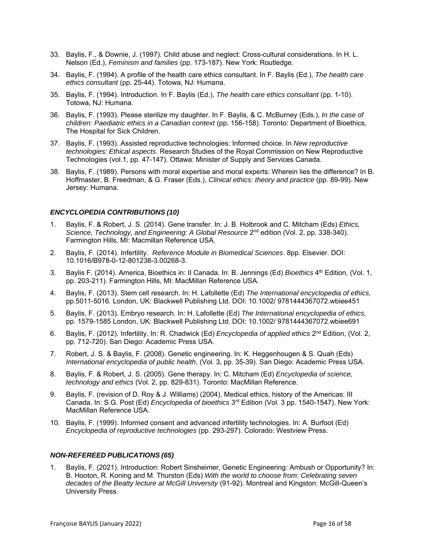- 33. Baylis, F., & Downie, J. (1997). Child abuse and neglect: Cross-cultural considerations. In H. L. Nelson (Ed.), *Feminism and families* (pp. 173-187). New York: Routledge.
- 34. Baylis, F. (1994). A profile of the health care ethics consultant. In F. Baylis (Ed.), *The health care ethics consultant* (pp. 25-44). Totowa, NJ: Humana.
- 35. Baylis, F. (1994). Introduction. In F. Baylis (Ed.), *The health care ethics consultant* (pp. 1-10). Totowa, NJ: Humana.
- 36. Baylis, F. (1993). Please sterilize my daughter. In F. Baylis, & C. McBurney (Eds.), *In the case of children: Paediatric ethics in a Canadian context* (pp. 156-158). Toronto: Department of Bioethics, The Hospital for Sick Children.
- 37. Baylis, F. (1993). Assisted reproductive technologies: Informed choice. In *New reproductive technologies: Ethical aspects*. Research Studies of the Royal Commission on New Reproductive Technologies (vol.1, pp. 47-147). Ottawa: Minister of Supply and Services Canada.
- 38. Baylis, F. (1989). Persons with moral expertise and moral experts: Wherein lies the difference? In B. Hoffmaster, B. Freedman, & G. Fraser (Eds.), *Clinical ethics: theory and practice* (pp. 89-99). New Jersey: Humana.

#### *ENCYCLOPEDIA CONTRIBUTIONS (10)*

- 1. Baylis, F. & Robert, J. S. (2014). Gene transfer. In: J. B. Holbrook and C. Mitcham (Eds) *Ethics,*  Science, Technology, and Engineering: A Global Resource 2<sup>nd</sup> edition (Vol. 2, pp. 338-340). Farmington Hills, MI: Macmillan Reference USA.
- 2. Baylis, F. (2014). Infertility. *Reference Module in Biomedical Sciences*. 8pp. Elsevier. DOI: 10.1016/B978-0-12-801238-3.00268-3.
- 3. Baylis F. (2014). America, Bioethics in: II Canada. In: B. Jennings (Ed) *Bioethics* 4th Edition, (Vol. 1, pp. 203-211). Farmington Hills, MI: MacMillan Reference USA.
- 4. Baylis, F. (2013). Stem cell research. In: H. Lafollette (Ed) *The International encyclopedia of ethics,*  pp.5011-5016*.* London, UK: Blackwell Publishing Ltd. DOI: 10.1002/ 9781444367072.wbiee451
- 5. Baylis, F. (2013). Embryo research. In: H. Lafollette (Ed) *The International encyclopedia of ethics,*  pp. 1579-1585 London, UK: Blackwell Publishing Ltd. DOI: 10.1002/ 9781444367072.wbiee691
- 6. Baylis, F. (2012). Infertility. In: R. Chadwick (Ed) *Encyclopedia of applied ethics* 2nd Edition, (Vol. 2, pp. 712-720). San Diego: Academic Press USA.
- 7. Robert, J. S. & Baylis, F. (2008). Genetic engineering. In: K. Heggenhougen & S. Quah (Eds) *International encyclopedia of public health*, (Vol. 3, pp. 35-39). San Diego: Academic Press USA.
- 8. Baylis, F. & Robert, J. S. (2005). Gene therapy. In: C. Mitcham (Ed) *Encyclopedia of science, technology and ethics* (Vol. 2, pp. 829-831). Toronto: MacMillan Reference.
- 9. Baylis, F. (revision of D. Roy & J. Williams) (2004). Medical ethics, history of the Americas: III Canada. In: S.G. Post (Ed) *Encyclopedia of bioethics* 3rd Edition (Vol. 3 pp. 1540-1547). New York: MacMillan Reference USA.
- 10. Baylis, F. (1999). Informed consent and advanced infertility technologies. In: A. Burfoot (Ed) *Encyclopedia of reproductive technologies* (pp. 293-297). Colorado: Westview Press.

#### *NON-REFEREED PUBLICATIONS (65)*

1. Baylis, F. (2021). Introduction: Robert Sinsheimer, Genetic Engineering: Ambush or Opportunity? In: B. Hooton, R. Koning and M. Thurston (Eds) *With the world to choose from: Celebrating seven decades of the Beatty lecture at McGill University* (91-92). Montreal and Kingston: McGill-Queen's University Press.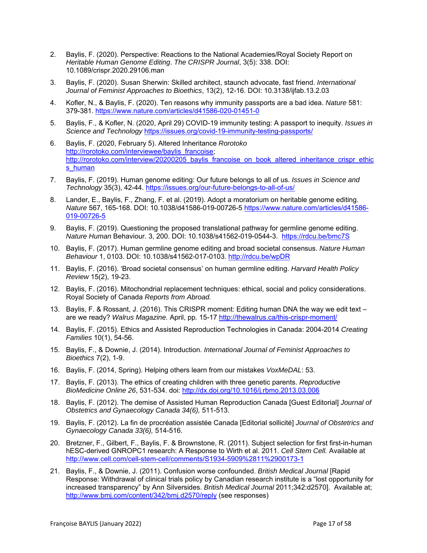- 2. Baylis, F. (2020). Perspective: Reactions to the National Academies/Royal Society Report on *Heritable Human Genome Editing*. *The CRISPR Journal*, 3(5): 338. DOI: 10.1089/crispr.2020.29106.man
- 3. Baylis, F. (2020). Susan Sherwin: Skilled architect, staunch advocate, fast friend. *International Journal of Feminist Approaches to Bioethics*, 13(2), 12-16. DOI: 10.3138/ijfab.13.2.03
- 4. Kofler, N., & Baylis, F. (2020). Ten reasons why immunity passports are a bad idea. *Nature* 581: 379-381. https://www.nature.com/articles/d41586-020-01451-0
- 5. Baylis, F., & Kofler, N. (2020, April 29) COVID-19 immunity testing: A passport to inequity. *Issues in Science and Technology* https://issues.org/covid-19-immunity-testing-passports/
- 6. Baylis, F. (2020, February 5). Altered Inheritance *Rorotoko* http://rorotoko.com/interviewee/baylis\_francoise; http://rorotoko.com/interview/20200205\_baylis\_francoise\_on\_book\_altered\_inheritance\_crispr\_ethic s human
- 7. Baylis, F. (2019). Human genome editing: Our future belongs to all of us. *Issues in Science and Technology* 35(3), 42-44. https://issues.org/our-future-belongs-to-all-of-us/
- 8. Lander, E., Baylis, F., Zhang, F. et al. (2019). Adopt a moratorium on heritable genome editing. *Nature* 567, 165-168. DOI: 10.1038/d41586-019-00726-5 https://www.nature.com/articles/d41586- 019-00726-5
- 9. Baylis, F. (2019). Questioning the proposed translational pathway for germline genome editing. *Nature Human* Behaviour. 3, 200. DOI: 10.1038/s41562-019-0544-3. https://rdcu.be/bmc7S
- 10. Baylis, F. (2017). Human germline genome editing and broad societal consensus. *Nature Human Behaviour* 1, 0103. DOI: 10.1038/s41562-017-0103. http://rdcu.be/wpDR
- 11. Baylis, F. (2016). 'Broad societal consensus' on human germline editing. *Harvard Health Policy Review* 15(2), 19-23.
- 12. Baylis, F. (2016). Mitochondrial replacement techniques: ethical, social and policy considerations. Royal Society of Canada *Reports from Abroad.*
- 13. Baylis, F. & Rossant, J. (2016). This CRISPR moment: Editing human DNA the way we edit text are we ready? *Walrus Magazine.* April, pp*.* 15-17 http://thewalrus.ca/this-crispr-moment/
- 14. Baylis, F. (2015). Ethics and Assisted Reproduction Technologies in Canada: 2004-2014 *Creating Families* 10(1), 54-56.
- 15. Baylis, F., & Downie, J. (2014). Introduction. *International Journal of Feminist Approaches to Bioethics* 7(2), 1-9.
- 16. Baylis, F. (2014, Spring). Helping others learn from our mistakes *VoxMeDAL*: 53.
- 17. Baylis, F. (2013). The ethics of creating children with three genetic parents. *R*e*productive BioMedicine Online 26*, 531-534. doi: http://dx.doi.org/10.1016/j.rbmo.2013.03.006
- 18. Baylis, F. (2012). The demise of Assisted Human Reproduction Canada [Guest Editorial] *Journal of Obstetrics and Gynaecology Canada 34(6),* 511-513.
- 19. Baylis, F. (2012). La fin de procréation assistée Canada [Editorial sollicité] *Journal of Obstetrics and Gynaecology Canada 33(6),* 514-516.
- 20. Bretzner, F., Gilbert, F., Baylis, F. & Brownstone, R. (2011). Subject selection for first first-in-human hESC-derived GNROPC1 research: A Response to Wirth et al. 2011. *Cell Stem Cell.* Available at http://www.cell.com/cell-stem-cell/comments/S1934-5909%2811%2900173-1
- 21. Baylis, F., & Downie, J. (2011). Confusion worse confounded. *British Medical Journal* [Rapid Response: Withdrawal of clinical trials policy by Canadian research institute is a "lost opportunity for increased transparency" by Ann Silversides. *British Medical Journal* 2011;342:d2570]. Available at; http://www.bmj.com/content/342/bmj.d2570/reply (see responses)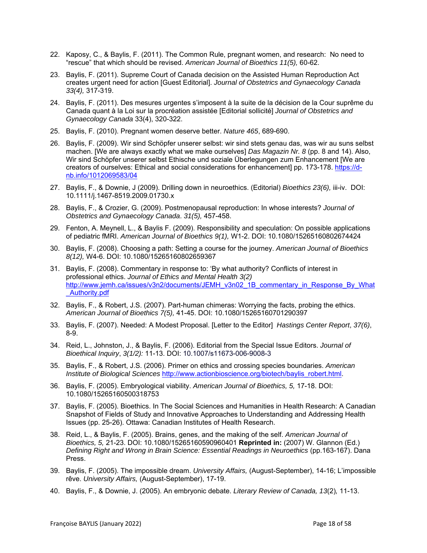- 22. Kaposy, C., & Baylis, F. (2011). The Common Rule, pregnant women, and research: No need to "rescue" that which should be revised. *American Journal of Bioethics 11(5),* 60-62.
- 23. Baylis, F. (2011). Supreme Court of Canada decision on the Assisted Human Reproduction Act creates urgent need for action [Guest Editorial]. *Journal of Obstetrics and Gynaecology Canada 33(4),* 317-319.
- 24. Baylis, F. (2011). Des mesures urgentes s'imposent à la suite de la décision de la Cour suprême du Canada quant à la Loi sur la procréation assistée [Editorial sollicité] *Journal of Obstetrics and Gynaecology Canada* 33(4), 320-322.
- 25. Baylis, F. (2010). Pregnant women deserve better. *Nature 465*, 689-690.
- 26. Baylis, F. (2009). Wir sind Schöpfer unserer selbst: wir sind stets genau das, was wir au suns selbst machen. [We are always exactly what we make ourselves] *Das Magazin Nr. 8* (pp. 8 and 14). Also, Wir sind Schöpfer unserer selbst Ethische und soziale Überlegungen zum Enhancement [We are creators of ourselves: Ethical and social considerations for enhancement] pp. 173-178. https://dnb.info/1012069583/04
- 27. Baylis, F., & Downie, J (2009). Drilling down in neuroethics. (Editorial) *Bioethics 23(6),* iii-iv. DOI: 10.1111/j.1467-8519.2009.01730.x
- 28. Baylis, F., & Crozier, G. (2009). Postmenopausal reproduction: In whose interests? *Journal of Obstetrics and Gynaecology Canada*. *31(5),* 457-458.
- 29. Fenton, A. Meynell, L., & Baylis F. (2009). Responsibility and speculation: On possible applications of pediatric fMRI. *American Journal of Bioethics 9(1),* W1-2. DOI: 10.1080/15265160802674424
- 30. Baylis, F. (2008). Choosing a path: Setting a course for the journey. *American Journal of Bioethics 8(12),* W4-6. DOI: 10.1080/15265160802659367
- 31. Baylis, F. (2008). Commentary in response to: 'By what authority? Conflicts of interest in professional ethics. *Journal of Ethics and Mental Health 3(2)* http://www.jemh.ca/issues/v3n2/documents/JEMH\_v3n02\_1B\_commentary\_in\_Response\_By\_What \_Authority.pdf
- 32. Baylis, F., & Robert, J.S. (2007). Part-human chimeras: Worrying the facts, probing the ethics. *American Journal of Bioethics 7(5),* 41-45. DOI: 10.1080/15265160701290397
- 33. Baylis, F. (2007). Needed: A Modest Proposal. [Letter to the Editor] *Hastings Center Report*, *37(6)*, 8-9.
- 34. Reid, L., Johnston, J., & Baylis, F. (2006). Editorial from the Special Issue Editors. *Journal of Bioethical Inquiry*, *3(1/2):* 11-13. DOI: 10.1007/s11673-006-9008-3
- 35. Baylis, F., & Robert, J.S. (2006). Primer on ethics and crossing species boundaries. *American Institute of Biological Sciences* http://www.actionbioscience.org/biotech/baylis\_robert.html.
- 36. Baylis, F. (2005). Embryological viability. *American Journal of Bioethics, 5,* 17-18. DOI: 10.1080/15265160500318753
- 37. Baylis, F. (2005). Bioethics. In The Social Sciences and Humanities in Health Research: A Canadian Snapshot of Fields of Study and Innovative Approaches to Understanding and Addressing Health Issues (pp. 25-26). Ottawa: Canadian Institutes of Health Research.
- 38. Reid, L., & Baylis, F. (2005). Brains, genes, and the making of the self. *American Journal of Bioethics, 5,* 21-23. DOI: 10.1080/15265160590960401 **Reprinted in:** (2007) W. Glannon (Ed.) *Defining Right and Wrong in Brain Science: Essential Readings in Neuroethics* (pp.163-167). Dana Press.
- 39. Baylis, F. (2005). The impossible dream. *University Affairs,* (August-September), 14-16; L'impossible rêve. *University Affairs,* (August-September), 17-19.
- 40. Baylis, F., & Downie, J. (2005). An embryonic debate. *Literary Review of Canada, 13*(2)*,* 11-13.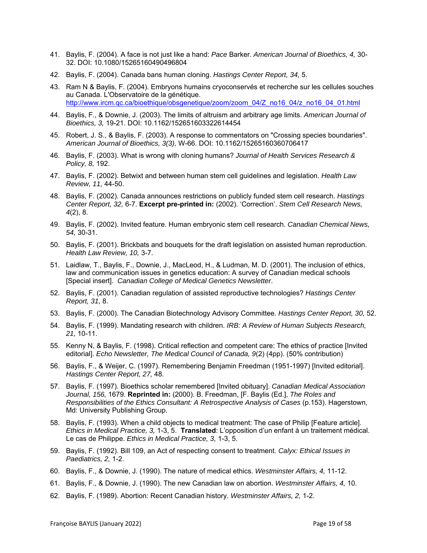- 41. Baylis, F. (2004). A face is not just like a hand: *Pace* Barker. *American Journal of Bioethics, 4,* 30- 32. DOI: 10.1080/15265160490496804
- 42. Baylis, F. (2004). Canada bans human cloning. *Hastings Center Report, 34,* 5.
- 43. Ram N & Baylis, F. (2004). Embryons humains cryoconservés et recherche sur les cellules souches au Canada. L'Observatoire de la génétique. http://www.ircm.qc.ca/bioethique/obsgenetique/zoom/zoom\_04/Z\_no16\_04/z\_no16\_04\_01.html
- 44. Baylis, F., & Downie, J. (2003). The limits of altruism and arbitrary age limits. *American Journal of Bioethics, 3,* 19-21. DOI: 10.1162/152651603322614454
- 45. Robert, J. S., & Baylis, F. (2003). A response to commentators on "Crossing species boundaries". *American Journal of Bioethics, 3(3),* W-66. DOI: 10.1162/15265160360706417
- 46. Baylis, F. (2003). What is wrong with cloning humans? *Journal of Health Services Research & Policy, 8,* 192.
- 47. Baylis, F. (2002). Betwixt and between human stem cell guidelines and legislation. *Health Law Review, 11,* 44-50.
- 48. Baylis, F. (2002). Canada announces restrictions on publicly funded stem cell research. *Hastings Center Report, 32,* 6-7. **Excerpt pre-printed in:** (2002). 'Correction'. *Stem Cell Research News, 4*(2), 8.
- 49. Baylis, F. (2002). Invited feature. Human embryonic stem cell research. *Canadian Chemical News, 54,* 30-31.
- 50. Baylis, F. (2001). Brickbats and bouquets for the draft legislation on assisted human reproduction. *Health Law Review, 10,* 3-7.
- 51. Laidlaw, T., Baylis, F., Downie, J., MacLeod, H., & Ludman, M. D. (2001). The inclusion of ethics, law and communication issues in genetics education: A survey of Canadian medical schools [Special insert]. *Canadian College of Medical Genetics Newsletter*.
- 52. Baylis, F. (2001). Canadian regulation of assisted reproductive technologies? *Hastings Center Report, 31,* 8.
- 53. Baylis, F. (2000). The Canadian Biotechnology Advisory Committee. *Hastings Center Report, 30,* 52.
- 54. Baylis, F. (1999). Mandating research with children. *IRB: A Review of Human Subjects Research, 21,* 10-11.
- 55. Kenny N, & Baylis, F. (1998). Critical reflection and competent care: The ethics of practice [Invited editorial]. *Echo Newsletter, The Medical Council of Canada, 9*(2) (4pp). (50% contribution)
- 56. Baylis, F., & Weijer, C. (1997). Remembering Benjamin Freedman (1951-1997) [Invited editorial]. *Hastings Center Report, 27,* 48.
- 57. Baylis, F. (1997). Bioethics scholar remembered [Invited obituary]. *Canadian Medical Association Journal, 156,* 1679. **Reprinted in:** (2000). B. Freedman, [F. Baylis (Ed.], *The Roles and Responsibilities of the Ethics Consultant: A Retrospective Analysis of Cases* (p.153). Hagerstown, Md: University Publishing Group.
- 58. Baylis, F. (1993). When a child objects to medical treatment: The case of Philip [Feature article]. *Ethics in Medical Practice, 3,* 1-3, 5. **Translated**: L'opposition d'un enfant à un traitement médical. Le cas de Philippe. *Ethics in Medical Practice, 3,* 1-3, 5.
- 59. Baylis, F. (1992). Bill 109, an Act of respecting consent to treatment. *Calyx: Ethical Issues in Paediatrics, 2,* 1-2.
- 60. Baylis, F., & Downie, J. (1990). The nature of medical ethics. *Westminster Affairs, 4,* 11-12.
- 61. Baylis, F., & Downie, J. (1990). The new Canadian law on abortion. *Westminster Affairs, 4,* 10.
- 62. Baylis, F. (1989). Abortion: Recent Canadian history. *Westminster Affairs, 2,* 1-2.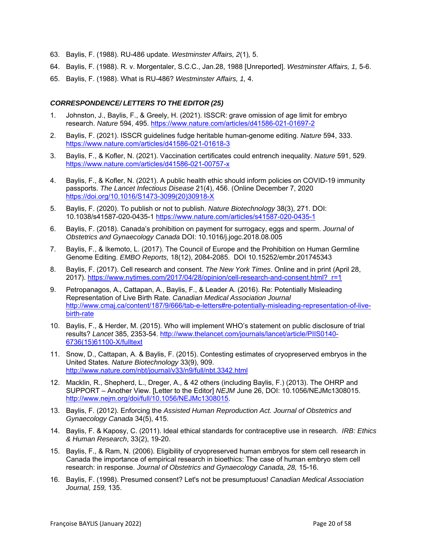- 63. Baylis, F. (1988). RU-486 update. *Westminster Affairs, 2*(1)*,* 5.
- 64. Baylis, F. (1988). R. v. Morgentaler, S.C.C., Jan.28, 1988 [Unreported]. *Westminster Affairs, 1,* 5-6.
- 65. Baylis, F. (1988). What is RU-486? *Westminster Affairs, 1,* 4.

### *CORRESPONDENCE/ LETTERS TO THE EDITOR (25)*

- 1. Johnston, J., Baylis, F., & Greely, H. (2021). ISSCR: grave omission of age limit for embryo research. *Nature* 594, 495. https://www.nature.com/articles/d41586-021-01697-2
- 2. Baylis, F. (2021). ISSCR guidelines fudge heritable human-genome editing. *Nature* 594, 333. https://www.nature.com/articles/d41586-021-01618-3
- 3. Baylis, F., & Kofler, N. (2021). Vaccination certificates could entrench inequality. *Nature* 591, 529. https://www.nature.com/articles/d41586-021-00757-x
- 4. Baylis, F., & Kofler, N. (2021). A public health ethic should inform policies on COVID-19 immunity passports. *The Lancet Infectious Disease* 21(4), 456. (Online December 7, 2020 https://doi.org/10.1016/S1473-3099(20)30918-X
- 5. Baylis, F. (2020). To publish or not to publish. *Nature Biotechnology* 38(3), 271. DOI: 10.1038/s41587-020-0435-1 https://www.nature.com/articles/s41587-020-0435-1
- 6. Baylis, F. (2018). Canada's prohibition on payment for surrogacy, eggs and sperm. *Journal of Obstetrics and Gynaecology Canada* DOI: 10.1016/j.jogc.2018.08.005
- 7. Baylis, F., & Ikemoto, L. (2017). The Council of Europe and the Prohibition on Human Germline Genome Editing. *EMBO Reports,* 18(12), 2084-2085. DOI 10.15252/embr.201745343
- 8. Baylis, F. (2017). Cell research and consent. *The New York Times*. Online and in print (April 28, 2017). https://www.nytimes.com/2017/04/28/opinion/cell-research-and-consent.html?\_r=1
- 9. Petropanagos, A., Cattapan, A., Baylis, F., & Leader A. (2016). Re: Potentially Misleading Representation of Live Birth Rate. *Canadian Medical Association Journal* http://www.cmaj.ca/content/187/9/666/tab-e-letters#re-potentially-misleading-representation-of-livebirth-rate
- 10. Baylis, F., & Herder, M. (2015). Who will implement WHO's statement on public disclosure of trial results? *Lancet* 385, 2353-54. http://www.thelancet.com/journals/lancet/article/PIIS0140- 6736(15)61100-X/fulltext
- 11. Snow, D., Cattapan, A. & Baylis, F. (2015). Contesting estimates of cryopreserved embryos in the United States. *Nature Biotechnology* 33(9), 909. http://www.nature.com/nbt/journal/v33/n9/full/nbt.3342.html
- 12. Macklin, R., Shepherd, L., Dreger, A., & 42 others (including Baylis, F.) (2013). The OHRP and SUPPORT – Another View. [Letter to the Editor] *NEJM* June 26, DOI: 10.1056/NEJMc1308015. http://www.nejm.org/doi/full/10.1056/NEJMc1308015.
- 13. Baylis, F. (2012). Enforcing the *Assisted Human Reproduction Act. Journal of Obstetrics and Gynaecology Canada* 34(5), 415.
- 14. Baylis, F. & Kaposy, C. (2011). Ideal ethical standards for contraceptive use in research. *IRB: Ethics & Human Research*, 33(2), 19-20.
- 15. Baylis, F., & Ram, N. (2006). Eligibility of cryopreserved human embryos for stem cell research in Canada the importance of empirical research in bioethics: The case of human embryo stem cell research: in response. *Journal of Obstetrics and Gynaecology Canada, 28,* 15-16.
- 16. Baylis, F. (1998). Presumed consent? Let's not be presumptuous! *Canadian Medical Association Journal, 159,* 135.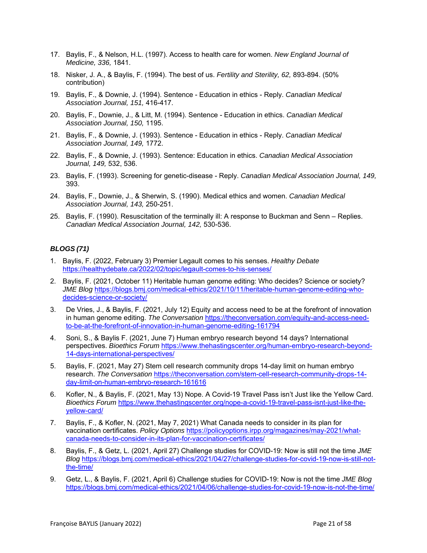- 17. Baylis, F., & Nelson, H.L. (1997). Access to health care for women. *New England Journal of Medicine, 336,* 1841.
- 18. Nisker, J. A., & Baylis, F. (1994). The best of us. *Fertility and Sterility, 62,* 893-894. (50% contribution)
- 19. Baylis, F., & Downie, J. (1994). Sentence Education in ethics Reply. *Canadian Medical Association Journal, 151,* 416-417.
- 20. Baylis, F., Downie, J., & Litt, M. (1994). Sentence Education in ethics. *Canadian Medical Association Journal, 150,* 1195.
- 21. Baylis, F., & Downie, J. (1993). Sentence Education in ethics Reply. *Canadian Medical Association Journal, 149,* 1772.
- 22. Baylis, F., & Downie, J. (1993). Sentence: Education in ethics. *Canadian Medical Association Journal, 149,* 532, 536.
- 23. Baylis, F. (1993). Screening for genetic-disease Reply. *Canadian Medical Association Journal, 149,* 393.
- 24. Baylis, F., Downie, J., & Sherwin, S. (1990). Medical ethics and women. *Canadian Medical Association Journal, 143,* 250-251.
- 25. Baylis, F. (1990). Resuscitation of the terminally ill: A response to Buckman and Senn Replies. *Canadian Medical Association Journal, 142,* 530-536.

#### *BLOGS (71)*

- 1. Baylis, F. (2022, February 3) Premier Legault comes to his senses. *Healthy Debate* https://healthydebate.ca/2022/02/topic/legault-comes-to-his-senses/
- 2. Baylis, F. (2021, October 11) Heritable human genome editing: Who decides? Science or society? *JME Blog* https://blogs.bmj.com/medical-ethics/2021/10/11/heritable-human-genome-editing-whodecides-science-or-society/
- 3. De Vries, J., & Baylis, F. (2021, July 12) Equity and access need to be at the forefront of innovation in human genome editing. *The Conversation* https://theconversation.com/equity-and-access-needto-be-at-the-forefront-of-innovation-in-human-genome-editing-161794
- 4. Soni, S., & Baylis F. (2021, June 7) Human embryo research beyond 14 days? International perspectives. *Bioethics Forum* https://www.thehastingscenter.org/human-embryo-research-beyond-14-days-international-perspectives/
- 5. Baylis, F. (2021, May 27) Stem cell research community drops 14-day limit on human embryo research. *The Conversation* https://theconversation.com/stem-cell-research-community-drops-14 day-limit-on-human-embryo-research-161616
- 6. Kofler, N., & Baylis, F. (2021, May 13) Nope. A Covid-19 Travel Pass isn't Just like the Yellow Card. *Bioethics Forum* https://www.thehastingscenter.org/nope-a-covid-19-travel-pass-isnt-just-like-theyellow-card/
- 7. Baylis, F., & Kofler, N. (2021, May 7, 2021) What Canada needs to consider in its plan for vaccination certificates. *Policy Options* https://policyoptions.irpp.org/magazines/may-2021/whatcanada-needs-to-consider-in-its-plan-for-vaccination-certificates/
- 8. Baylis, F., & Getz, L. (2021, April 27) Challenge studies for COVID-19: Now is still not the time *JME Blog* https://blogs.bmj.com/medical-ethics/2021/04/27/challenge-studies-for-covid-19-now-is-still-notthe-time/
- 9. Getz, L., & Baylis, F. (2021, April 6) Challenge studies for COVID-19: Now is not the time *JME Blog*  https://blogs.bmj.com/medical-ethics/2021/04/06/challenge-studies-for-covid-19-now-is-not-the-time/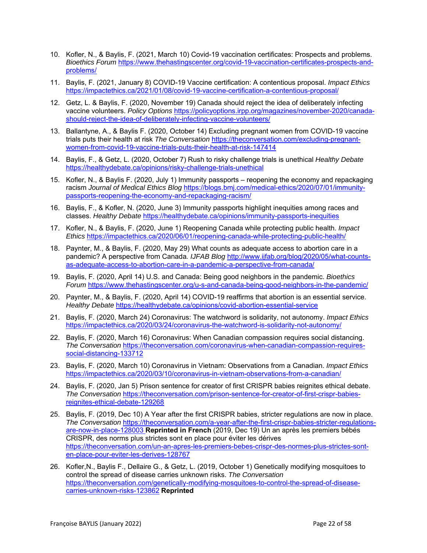- 10. Kofler, N., & Baylis, F. (2021, March 10) Covid-19 vaccination certificates: Prospects and problems. *Bioethics Forum* https://www.thehastingscenter.org/covid-19-vaccination-certificates-prospects-andproblems/
- 11. Baylis, F. (2021, January 8) COVID-19 Vaccine certification: A contentious proposal. *Impact Ethics*  https://impactethics.ca/2021/01/08/covid-19-vaccine-certification-a-contentious-proposal/
- 12. Getz, L. & Baylis, F. (2020, November 19) Canada should reject the idea of deliberately infecting vaccine volunteers. *Policy Options* https://policyoptions.irpp.org/magazines/november-2020/canadashould-reject-the-idea-of-deliberately-infecting-vaccine-volunteers/
- 13. Ballantyne, A., & Baylis F. (2020, October 14) Excluding pregnant women from COVID-19 vaccine trials puts their health at risk *The Conversation* https://theconversation.com/excluding-pregnantwomen-from-covid-19-vaccine-trials-puts-their-health-at-risk-147414
- 14. Baylis, F., & Getz, L. (2020, October 7) Rush to risky challenge trials is unethical *Healthy Debate*  https://healthydebate.ca/opinions/risky-challenge-trials-unethical
- 15. Kofler, N., & Baylis F. (2020, July 1) Immunity passports reopening the economy and repackaging racism *Journal of Medical Ethics Blog* https://blogs.bmj.com/medical-ethics/2020/07/01/immunitypassports-reopening-the-economy-and-repackaging-racism/
- 16. Baylis, F., & Kofler, N. (2020, June 3) Immunity passports highlight inequities among races and classes. *Healthy Debate* https://healthydebate.ca/opinions/immunity-passports-inequities
- 17. Kofler, N., & Baylis, F. (2020, June 1) Reopening Canada while protecting public health. *Impact Ethics* https://impactethics.ca/2020/06/01/reopening-canada-while-protecting-public-health/
- 18. Paynter, M., & Baylis, F. (2020, May 29) What counts as adequate access to abortion care in a pandemic? A perspective from Canada*. IJFAB Blog* http://www.ijfab.org/blog/2020/05/what-countsas-adequate-access-to-abortion-care-in-a-pandemic-a-perspective-from-canada/
- 19. Baylis, F. (2020, April 14) U.S. and Canada: Being good neighbors in the pandemic. *Bioethics Forum* https://www.thehastingscenter.org/u-s-and-canada-being-good-neighbors-in-the-pandemic/
- 20. Paynter, M., & Baylis, F. (2020, April 14) COVID-19 reaffirms that abortion is an essential service. *Healthy Debate* https://healthydebate.ca/opinions/covid-abortion-essential-service
- 21. Baylis, F. (2020, March 24) Coronavirus: The watchword is solidarity, not autonomy. *Impact Ethics* https://impactethics.ca/2020/03/24/coronavirus-the-watchword-is-solidarity-not-autonomy/
- 22. Baylis, F. (2020, March 16) Coronavirus: When Canadian compassion requires social distancing. *The Conversation* https://theconversation.com/coronavirus-when-canadian-compassion-requiressocial-distancing-133712
- 23. Baylis, F. (2020, March 10) Coronavirus in Vietnam: Observations from a Canadian. *Impact Ethics*  https://impactethics.ca/2020/03/10/coronavirus-in-vietnam-observations-from-a-canadian/
- 24. Baylis, F. (2020, Jan 5) Prison sentence for creator of first CRISPR babies reignites ethical debate. *The Conversation* https://theconversation.com/prison-sentence-for-creator-of-first-crispr-babiesreignites-ethical-debate-129268
- 25. Baylis, F. (2019, Dec 10) A Year after the first CRISPR babies, stricter regulations are now in place. *The Conversation* https://theconversation.com/a-year-after-the-first-crispr-babies-stricter-regulationsare-now-in-place-128003 **Reprinted in French** (2019, Dec 19) Un an après les premiers bébés CRISPR, des norms plus strictes sont en place pour éviter les dérives https://theconversation.com/un-an-apres-les-premiers-bebes-crispr-des-normes-plus-strictes-sonten-place-pour-eviter-les-derives-128767
- 26. Kofler,N., Baylis F., Dellaire G., & Getz, L. (2019, October 1) Genetically modifying mosquitoes to control the spread of disease carries unknown risks. *The Conversation* https://theconversation.com/genetically-modifying-mosquitoes-to-control-the-spread-of-diseasecarries-unknown-risks-123862 **Reprinted**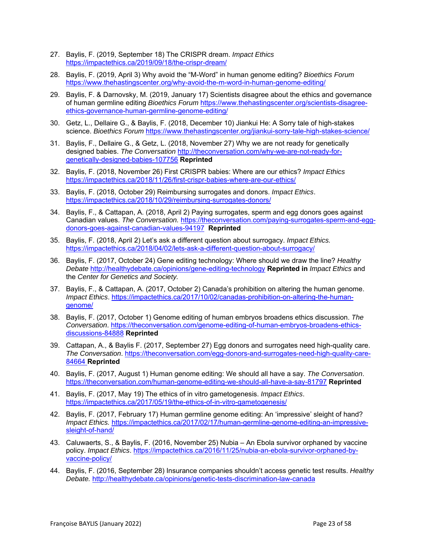- 27. Baylis, F. (2019, September 18) The CRISPR dream. *Impact Ethics*  https://impactethics.ca/2019/09/18/the-crispr-dream/
- 28. Baylis, F. (2019, April 3) Why avoid the "M-Word" in human genome editing? *Bioethics Forum* https://www.thehastingscenter.org/why-avoid-the-m-word-in-human-genome-editing/
- 29. Baylis, F. & Darnovsky, M. (2019, January 17) Scientists disagree about the ethics and governance of human germline editing *Bioethics Forum* https://www.thehastingscenter.org/scientists-disagreeethics-governance-human-germline-genome-editing/
- 30. Getz, L., Dellaire G., & Baylis, F. (2018, December 10) Jiankui He: A Sorry tale of high-stakes science. *Bioethics Forum* https://www.thehastingscenter.org/jiankui-sorry-tale-high-stakes-science/
- 31. Baylis, F., Dellaire G., & Getz, L. (2018, November 27) Why we are not ready for genetically designed babies. *The Conversation* http://theconversation.com/why-we-are-not-ready-forgenetically-designed-babies-107756 **Reprinted**
- 32. Baylis, F. (2018, November 26) First CRISPR babies: Where are our ethics? *Impact Ethics* https://impactethics.ca/2018/11/26/first-crispr-babies-where-are-our-ethics/
- 33. Baylis, F. (2018, October 29) Reimbursing surrogates and donors. *Impact Ethics*. https://impactethics.ca/2018/10/29/reimbursing-surrogates-donors/
- 34. Baylis, F., & Cattapan, A. (2018, April 2) Paying surrogates, sperm and egg donors goes against Canadian values. *The Conversation.* https://theconversation.com/paying-surrogates-sperm-and-eggdonors-goes-against-canadian-values-94197 **Reprinted**
- 35. Baylis, F. (2018, April 2) Let's ask a different question about surrogacy. *Impact Ethics.*  https://impactethics.ca/2018/04/02/lets-ask-a-different-question-about-surrogacy/
- 36. Baylis, F. (2017, October 24) Gene editing technology: Where should we draw the line? *Healthy Debate* http://healthydebate.ca/opinions/gene-editing-technology **Reprinted in** *Impact Ethics* and the *Center for Genetics and Society.*
- 37. Baylis, F., & Cattapan, A. (2017, October 2) Canada's prohibition on altering the human genome. *Impact Ethics*. https://impactethics.ca/2017/10/02/canadas-prohibition-on-altering-the-humangenome/
- 38. Baylis, F. (2017, October 1) Genome editing of human embryos broadens ethics discussion. *The Conversation*. https://theconversation.com/genome-editing-of-human-embryos-broadens-ethicsdiscussions-84888 **Reprinted**
- 39. Cattapan, A., & Baylis F. (2017, September 27) Egg donors and surrogates need high-quality care. *The Conversation*. https://theconversation.com/egg-donors-and-surrogates-need-high-quality-care-84664 **Reprinted**
- 40. Baylis, F. (2017, August 1) Human genome editing: We should all have a say. *The Conversation*. https://theconversation.com/human-genome-editing-we-should-all-have-a-say-81797 **Reprinted**
- 41. Baylis, F. (2017, May 19) The ethics of in vitro gametogenesis. *Impact Ethics*. https://impactethics.ca/2017/05/19/the-ethics-of-in-vitro-gametogenesis/
- 42. Baylis, F. (2017, February 17) Human germline genome editing: An 'impressive' sleight of hand? *Impact Ethics.* https://impactethics.ca/2017/02/17/human-germline-genome-editing-an-impressivesleight-of-hand/
- 43. Caluwaerts, S., & Baylis, F. (2016, November 25) Nubia An Ebola survivor orphaned by vaccine policy. *Impact Ethics*. https://impactethics.ca/2016/11/25/nubia-an-ebola-survivor-orphaned-byvaccine-policy/
- 44. Baylis, F. (2016, September 28) Insurance companies shouldn't access genetic test results. *Healthy Debate.* http://healthydebate.ca/opinions/genetic-tests-discrimination-law-canada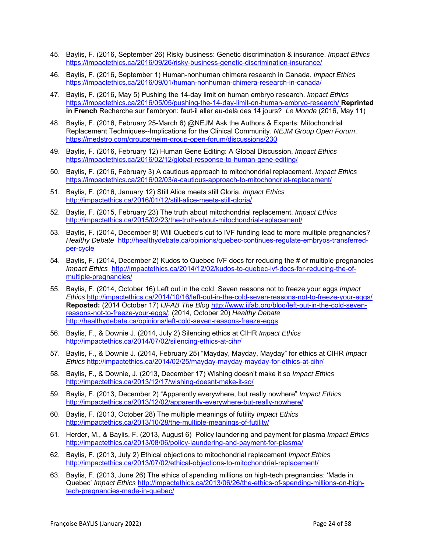- 45. Baylis, F. (2016, September 26) Risky business: Genetic discrimination & insurance. *Impact Ethics* https://impactethics.ca/2016/09/26/risky-business-genetic-discrimination-insurance/
- 46. Baylis, F. (2016, September 1) Human-nonhuman chimera research in Canada. *Impact Ethics* https://impactethics.ca/2016/09/01/human-nonhuman-chimera-research-in-canada/
- 47. Baylis, F. (2016, May 5) Pushing the 14-day limit on human embryo research. *Impact Ethics* https://impactethics.ca/2016/05/05/pushing-the-14-day-limit-on-human-embryo-research/ **Reprinted in French** Recherche sur l'embryon: faut-il aller au-delà des 14 jours?*Le Monde* (2016, May 11)
- 48. Baylis, F. (2016, February 25-March 6) @NEJM Ask the Authors & Experts: Mitochondrial Replacement Techniques--Implications for the Clinical Community. *NEJM Group Open Forum*. https://medstro.com/groups/nejm-group-open-forum/discussions/230
- 49. Baylis, F. (2016, February 12) Human Gene Editing: A Global Discussion. *Impact Ethics* https://impactethics.ca/2016/02/12/global-response-to-human-gene-editing/
- 50. Baylis, F. (2016, February 3) A cautious approach to mitochondrial replacement. *Impact Ethics*  https://impactethics.ca/2016/02/03/a-cautious-approach-to-mitochondrial-replacement/
- 51. Baylis, F. (2016, January 12) Still Alice meets still Gloria. *Impact Ethics* http://impactethics.ca/2016/01/12/still-alice-meets-still-gloria/
- 52. Baylis, F. (2015, February 23) The truth about mitochondrial replacement. *Impact Ethics* http://impactethics.ca/2015/02/23/the-truth-about-mitochondrial-replacement/
- 53. Baylis, F. (2014, December 8) Will Quebec's cut to IVF funding lead to more multiple pregnancies? *Healthy Debate* http://healthydebate.ca/opinions/quebec-continues-regulate-embryos-transferredper-cycle
- 54. Baylis, F. (2014, December 2) Kudos to Quebec IVF docs for reducing the # of multiple pregnancies *Impact Ethics* http://impactethics.ca/2014/12/02/kudos-to-quebec-ivf-docs-for-reducing-the-ofmultiple-pregnancies/
- 55. Baylis, F. (2014, October 16) Left out in the cold: Seven reasons not to freeze your eggs *Impact Ethics* http://impactethics.ca/2014/10/16/left-out-in-the-cold-seven-reasons-not-to-freeze-your-eggs/ **Reposted:** (2014 October 17) *IJFAB The Blog* http://www.ijfab.org/blog/left-out-in-the-cold-sevenreasons-not-to-freeze-your-eggs/; (2014, October 20) *Healthy Debate* http://healthydebate.ca/opinions/left-cold-seven-reasons-freeze-eggs
- 56. Baylis, F., & Downie J. (2014, July 2) Silencing ethics at CIHR *Impact Ethics*  http://impactethics.ca/2014/07/02/silencing-ethics-at-cihr/
- 57. Baylis, F., & Downie J. (2014, February 25) "Mayday, Mayday, Mayday" for ethics at CIHR *Impact Ethics* http://impactethics.ca/2014/02/25/mayday-mayday-mayday-for-ethics-at-cihr/
- 58. Baylis, F., & Downie, J. (2013, December 17) Wishing doesn't make it so *Impact Ethics*  http://impactethics.ca/2013/12/17/wishing-doesnt-make-it-so/
- 59. Baylis, F. (2013, December 2) "Apparently everywhere, but really nowhere" *Impact Ethics*  http://impactethics.ca/2013/12/02/apparently-everywhere-but-really-nowhere/
- 60. Baylis, F. (2013, October 28) The multiple meanings of futility *Impact Ethics* http://impactethics.ca/2013/10/28/the-multiple-meanings-of-futility/
- 61. Herder, M., & Baylis, F. (2013, August 6) Policy laundering and payment for plasma *Impact Ethics*  http://impactethics.ca/2013/08/06/policy-laundering-and-payment-for-plasma/
- 62. Baylis, F. (2013, July 2) Ethical objections to mitochondrial replacement *Impact Ethics*  http://impactethics.ca/2013/07/02/ethical-objections-to-mitochondrial-replacement/
- 63. Baylis, F. (2013, June 26) The ethics of spending millions on high-tech pregnancies: 'Made in Quebec' *Impact Ethics* http://impactethics.ca/2013/06/26/the-ethics-of-spending-millions-on-hightech-pregnancies-made-in-quebec/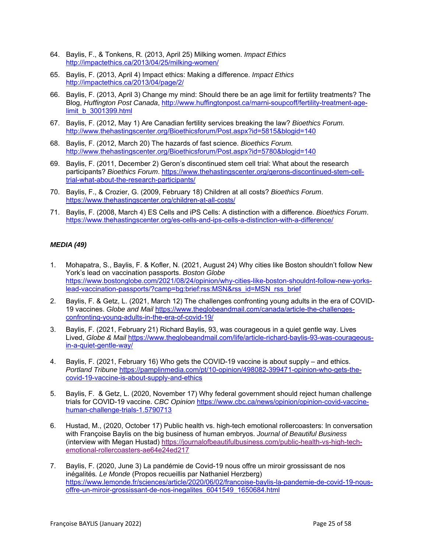- 64. Baylis, F., & Tonkens, R. (2013, April 25) Milking women. *Impact Ethics* http://impactethics.ca/2013/04/25/milking-women/
- 65. Baylis, F. (2013, April 4) Impact ethics: Making a difference. *Impact Ethics* http://impactethics.ca/2013/04/page/2/
- 66. Baylis, F. (2013, April 3) Change my mind: Should there be an age limit for fertility treatments? The Blog, *Huffington Post Canada*, http://www.huffingtonpost.ca/marni-soupcoff/fertility-treatment-agelimit\_b\_3001399.html
- 67. Baylis, F. (2012, May 1) Are Canadian fertility services breaking the law? *Bioethics Forum.*  http://www.thehastingscenter.org/Bioethicsforum/Post.aspx?id=5815&blogid=140
- 68. Baylis, F. (2012, March 20) The hazards of fast science. *Bioethics Forum.*  http://www.thehastingscenter.org/Bioethicsforum/Post.aspx?id=5780&blogid=140
- 69. Baylis, F. (2011, December 2) Geron's discontinued stem cell trial: What about the research participants? *Bioethics Forum*. https://www.thehastingscenter.org/gerons-discontinued-stem-celltrial-what-about-the-research-participants/
- 70. Baylis, F., & Crozier, G. (2009, February 18) Children at all costs? *Bioethics Forum*. https://www.thehastingscenter.org/children-at-all-costs/
- 71. Baylis, F. (2008, March 4) ES Cells and iPS Cells: A distinction with a difference. *Bioethics Forum*. https://www.thehastingscenter.org/es-cells-and-ips-cells-a-distinction-with-a-difference/

### *MEDIA (49)*

- 1. Mohapatra, S., Baylis, F. & Kofler, N. (2021, August 24) Why cities like Boston shouldn't follow New York's lead on vaccination passports. *Boston Globe*  https://www.bostonglobe.com/2021/08/24/opinion/why-cities-like-boston-shouldnt-follow-new-yorkslead-vaccination-passports/?camp=bg:brief:rss:MSN&rss\_id=MSN\_rss\_brief
- 2. Baylis, F. & Getz, L. (2021, March 12) The challenges confronting young adults in the era of COVID-19 vaccines. *Globe and Mail* https://www.theglobeandmail.com/canada/article-the-challengesconfronting-young-adults-in-the-era-of-covid-19/
- 3. Baylis, F. (2021, February 21) Richard Baylis, 93, was courageous in a quiet gentle way. Lives Lived, *Globe & Mail* https://www.theglobeandmail.com/life/article-richard-baylis-93-was-courageousin-a-quiet-gentle-way/
- 4. Baylis, F. (2021, February 16) Who gets the COVID-19 vaccine is about supply and ethics. *Portland Tribune* https://pamplinmedia.com/pt/10-opinion/498082-399471-opinion-who-gets-thecovid-19-vaccine-is-about-supply-and-ethics
- 5. Baylis, F. & Getz, L. (2020, November 17) Why federal government should reject human challenge trials for COVID-19 vaccine. *CBC Opinion* https://www.cbc.ca/news/opinion/opinion-covid-vaccinehuman-challenge-trials-1.5790713
- 6. Hustad, M., (2020, October 17) Public health vs. high-tech emotional rollercoasters: In conversation with Françoise Baylis on the big business of human embryos. *Journal of Beautiful Business* (interview with Megan Hustad) https://journalofbeautifulbusiness.com/public-health-vs-high-techemotional-rollercoasters-ae64e24ed217
- 7. Baylis, F. (2020, June 3) La pandémie de Covid-19 nous offre un miroir grossissant de nos inégalités*. Le Monde* (Propos recueillis par Nathaniel Herzberg) https://www.lemonde.fr/sciences/article/2020/06/02/francoise-baylis-la-pandemie-de-covid-19-nousoffre-un-miroir-grossissant-de-nos-inegalites\_6041549\_1650684.html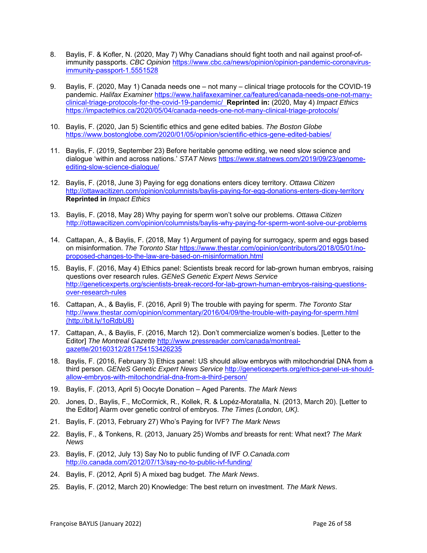- 8. Baylis, F. & Kofler, N. (2020, May 7) Why Canadians should fight tooth and nail against proof-ofimmunity passports. *CBC Opinion* https://www.cbc.ca/news/opinion/opinion-pandemic-coronavirusimmunity-passport-1.5551528
- 9. Baylis, F. (2020, May 1) Canada needs one not many clinical triage protocols for the COVID-19 pandemic. *Halifax Examiner* https://www.halifaxexaminer.ca/featured/canada-needs-one-not-manyclinical-triage-protocols-for-the-covid-19-pandemic/ **Reprinted in:** (2020, May 4) *Impact Ethics*  https://impactethics.ca/2020/05/04/canada-needs-one-not-many-clinical-triage-protocols/
- 10. Baylis, F. (2020, Jan 5) Scientific ethics and gene edited babies. *The Boston Globe* https://www.bostonglobe.com/2020/01/05/opinion/scientific-ethics-gene-edited-babies/
- 11. Baylis, F. (2019, September 23) Before heritable genome editing, we need slow science and dialogue 'within and across nations.' *STAT News* https://www.statnews.com/2019/09/23/genomeediting-slow-science-dialogue/
- 12. Baylis, F. (2018, June 3) Paying for egg donations enters dicey territory. *Ottawa Citizen* http://ottawacitizen.com/opinion/columnists/baylis-paying-for-egg-donations-enters-dicey-territory **Reprinted in** *Impact Ethics*
- 13. Baylis, F. (2018, May 28) Why paying for sperm won't solve our problems. *Ottawa Citizen*  http://ottawacitizen.com/opinion/columnists/baylis-why-paying-for-sperm-wont-solve-our-problems
- 14. Cattapan, A., & Baylis, F. (2018, May 1) Argument of paying for surrogacy, sperm and eggs based on misinformation. *The Toronto Star* https://www.thestar.com/opinion/contributors/2018/05/01/noproposed-changes-to-the-law-are-based-on-misinformation.html
- 15. Baylis, F. (2016, May 4) Ethics panel: Scientists break record for lab-grown human embryos, raising questions over research rules. *GENeS Genetic Expert News Service*  http://geneticexperts.org/scientists-break-record-for-lab-grown-human-embryos-raising-questionsover-research-rules
- 16. Cattapan, A., & Baylis, F. (2016, April 9) The trouble with paying for sperm. *The Toronto Star* http://www.thestar.com/opinion/commentary/2016/04/09/the-trouble-with-paying-for-sperm.html (http://bit.ly/1oRdbU8)
- 17. Cattapan, A., & Baylis, F. (2016, March 12). Don't commercialize women's bodies. [Letter to the Editor] *The Montreal Gazette* http://www.pressreader.com/canada/montrealgazette/20160312/281754153426235
- 18. Baylis, F. (2016, February 3) Ethics panel: US should allow embryos with mitochondrial DNA from a third person. *GENeS Genetic Expert News Service* http://geneticexperts.org/ethics-panel-us-shouldallow-embryos-with-mitochondrial-dna-from-a-third-person/
- 19. Baylis, F. (2013, April 5) Oocyte Donation Aged Parents. *The Mark News*
- 20. Jones, D., Baylis, F., McCormick, R., Kollek, R. & Lopéz-Moratalla, N. (2013, March 20). [Letter to the Editor] Alarm over genetic control of embryos. *The Times (London, UK).*
- 21. Baylis, F. (2013, February 27) Who's Paying for IVF? *The Mark News*
- 22. Baylis, F., & Tonkens, R. (2013, January 25) Wombs *and* breasts for rent: What next? *The Mark News*
- 23. Baylis, F. (2012, July 13) Say No to public funding of IVF *O.Canada.com*  http://o.canada.com/2012/07/13/say-no-to-public-ivf-funding/
- 24. Baylis, F. (2012, April 5) A mixed bag budget. *The Mark News*.
- 25. Baylis, F. (2012, March 20) Knowledge: The best return on investment. *The Mark News*.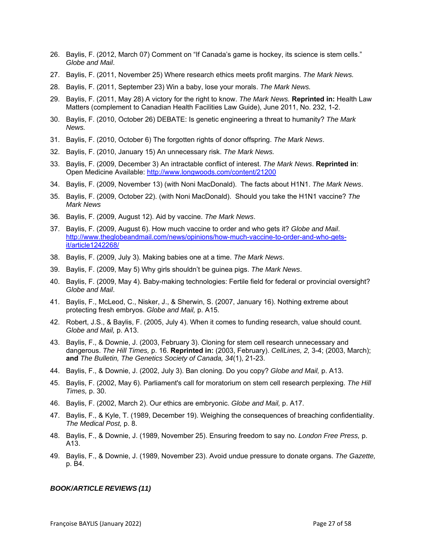- 26. Baylis, F. (2012, March 07) Comment on "If Canada's game is hockey, its science is stem cells." *Globe and Mail*.
- 27. Baylis, F. (2011, November 25) Where research ethics meets profit margins. *The Mark News.*
- 28. Baylis, F. (2011, September 23) Win a baby, lose your morals. *The Mark News.*
- 29. Baylis, F. (2011, May 28) A victory for the right to know. *The Mark News.* **Reprinted in:** Health Law Matters (complement to Canadian Health Facilities Law Guide), June 2011, No. 232, 1-2.
- 30. Baylis, F. (2010, October 26) DEBATE: Is genetic engineering a threat to humanity? *The Mark News.*
- 31. Baylis, F. (2010, October 6) The forgotten rights of donor offspring. *The Mark News*.
- 32. Baylis, F. (2010, January 15) An unnecessary risk. *The Mark News.*
- 33. Baylis, F. (2009, December 3) An intractable conflict of interest. *The Mark News*. **Reprinted in**: Open Medicine Available: http://www.longwoods.com/content/21200
- 34. Baylis, F. (2009, November 13) (with Noni MacDonald). The facts about H1N1. *The Mark News*.
- 35. Baylis, F. (2009, October 22). (with Noni MacDonald). Should you take the H1N1 vaccine? *The Mark News*
- 36. Baylis, F. (2009, August 12). Aid by vaccine. *The Mark News*.
- 37. Baylis, F. (2009, August 6). How much vaccine to order and who gets it? *Globe and Mail*. http://www.theglobeandmail.com/news/opinions/how-much-vaccine-to-order-and-who-getsit/article1242268/
- 38. Baylis, F. (2009, July 3). Making babies one at a time. *The Mark News*.
- 39. Baylis, F. (2009, May 5) Why girls shouldn't be guinea pigs. *The Mark News*.
- 40. Baylis, F. (2009, May 4). Baby-making technologies: Fertile field for federal or provincial oversight? *Globe and Mail*.
- 41. Baylis, F., McLeod, C., Nisker, J., & Sherwin, S. (2007, January 16). Nothing extreme about protecting fresh embryos. *Globe and Mail,* p. A15.
- 42. Robert, J.S., & Baylis, F. (2005, July 4). When it comes to funding research, value should count. *Globe and Mail,* p. A13.
- 43. Baylis, F., & Downie, J. (2003, February 3). Cloning for stem cell research unnecessary and dangerous. *The Hill Times,* p. 16. **Reprinted in:** (2003, February). *CellLines, 2,* 3-4; (2003, March); **and** *The Bulletin, The Genetics Society of Canada, 34*(1), 21-23.
- 44. Baylis, F., & Downie, J. (2002, July 3). Ban cloning. Do you copy? *Globe and Mail,* p. A13.
- 45. Baylis, F. (2002, May 6). Parliament's call for moratorium on stem cell research perplexing. *The Hill Times,* p. 30.
- 46. Baylis, F. (2002, March 2). Our ethics are embryonic. *Globe and Mail,* p. A17.
- 47. Baylis, F., & Kyle, T. (1989, December 19). Weighing the consequences of breaching confidentiality. *The Medical Post,* p. 8.
- 48. Baylis, F., & Downie, J. (1989, November 25). Ensuring freedom to say no. *London Free Press,* p. A13.
- 49. Baylis, F., & Downie, J. (1989, November 23). Avoid undue pressure to donate organs. *The Gazette,* p. B4.

#### *BOOK/ARTICLE REVIEWS (11)*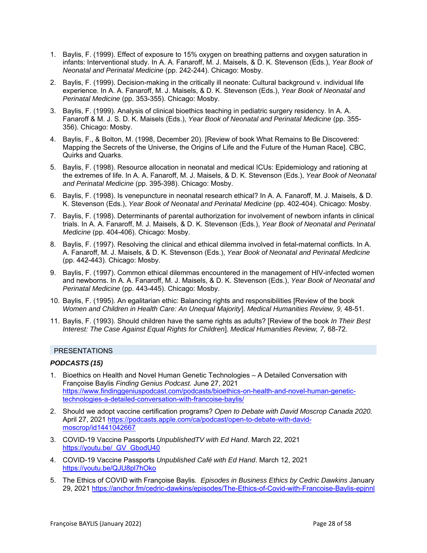- 1. Baylis, F. (1999). Effect of exposure to 15% oxygen on breathing patterns and oxygen saturation in infants: Interventional study. In A. A. Fanaroff, M. J. Maisels, & D. K. Stevenson (Eds.), *Year Book of Neonatal and Perinatal Medicine* (pp. 242-244). Chicago: Mosby.
- 2. Baylis, F. (1999). Decision-making in the critically ill neonate: Cultural background v. individual life experience. In A. A. Fanaroff, M. J. Maisels, & D. K. Stevenson (Eds.), *Year Book of Neonatal and Perinatal Medicine* (pp. 353-355). Chicago: Mosby.
- 3. Baylis, F. (1999). Analysis of clinical bioethics teaching in pediatric surgery residency. In A. A. Fanaroff & M. J. S. D. K. Maisels (Eds.), *Year Book of Neonatal and Perinatal Medicine* (pp. 355- 356). Chicago: Mosby.
- 4. Baylis, F., & Bolton, M. (1998, December 20). [Review of book What Remains to Be Discovered: Mapping the Secrets of the Universe, the Origins of Life and the Future of the Human Race]. CBC, Quirks and Quarks.
- 5. Baylis, F. (1998). Resource allocation in neonatal and medical ICUs: Epidemiology and rationing at the extremes of life. In A. A. Fanaroff, M. J. Maisels, & D. K. Stevenson (Eds.), *Year Book of Neonatal and Perinatal Medicine* (pp. 395-398). Chicago: Mosby.
- 6. Baylis, F. (1998). Is venepuncture in neonatal research ethical? In A. A. Fanaroff, M. J. Maisels, & D. K. Stevenson (Eds.), *Year Book of Neonatal and Perinatal Medicine* (pp. 402-404). Chicago: Mosby.
- 7. Baylis, F. (1998). Determinants of parental authorization for involvement of newborn infants in clinical trials. In A. A. Fanaroff, M. J. Maisels, & D. K. Stevenson (Eds.), *Year Book of Neonatal and Perinatal Medicine* (pp. 404-406). Chicago: Mosby.
- 8. Baylis, F. (1997). Resolving the clinical and ethical dilemma involved in fetal-maternal conflicts. In A. A. Fanaroff, M. J. Maisels, & D. K. Stevenson (Eds.), *Year Book of Neonatal and Perinatal Medicine* (pp. 442-443). Chicago: Mosby.
- 9. Baylis, F. (1997). Common ethical dilemmas encountered in the management of HIV-infected women and newborns. In A. A. Fanaroff, M. J. Maisels, & D. K. Stevenson (Eds.), *Year Book of Neonatal and Perinatal Medicine* (pp. 443-445). Chicago: Mosby.
- 10. Baylis, F. (1995). An egalitarian ethic: Balancing rights and responsibilities [Review of the book *Women and Children in Health Care: An Unequal Majority*]. *Medical Humanities Review, 9,* 48-51.
- 11. Baylis, F. (1993). Should children have the same rights as adults? [Review of the book *In Their Best Interest: The Case Against Equal Rights for Children*]. *Medical Humanities Review, 7,* 68-72.

#### PRESENTATIONS

#### *PODCASTS (15)*

- 1. Bioethics on Health and Novel Human Genetic Technologies A Detailed Conversation with Françoise Baylis *Finding Genius Podcast.* June 27, 2021 https://www.findinggeniuspodcast.com/podcasts/bioethics-on-health-and-novel-human-genetictechnologies-a-detailed-conversation-with-francoise-baylis/
- 2. Should we adopt vaccine certification programs? *Open to Debate with David Moscrop Canada 2020.*  April 27, 2021 https://podcasts.apple.com/ca/podcast/open-to-debate-with-davidmoscrop/id1441042667
- 3. COVID-19 Vaccine Passports *UnpublishedTV with Ed Hand*. March 22, 2021 https://youtu.be/\_GV\_GbodU40
- 4. COVID-19 Vaccine Passports *Unpublished Café with Ed Hand*. March 12, 2021 https://youtu.be/QJU8pl7hOko
- 5. The Ethics of COVID with Françoise Baylis*. Episodes in Business Ethics by Cedric Dawkins* January 29, 2021 https://anchor.fm/cedric-dawkins/episodes/The-Ethics-of-Covid-with-Francoise-Baylis-epjnnl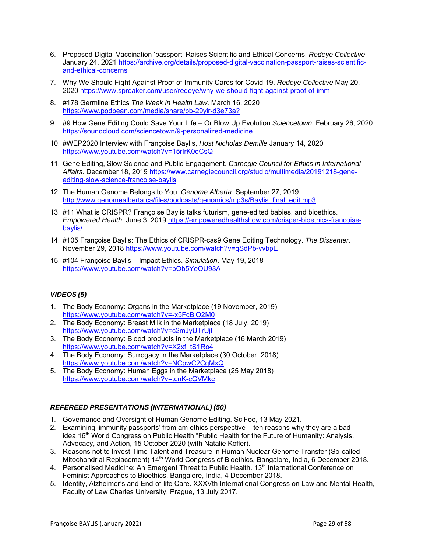- 6. Proposed Digital Vaccination 'passport' Raises Scientific and Ethical Concerns. *Redeye Collective* January 24, 2021 https://archive.org/details/proposed-digital-vaccination-passport-raises-scientificand-ethical-concerns
- 7. Why We Should Fight Against Proof-of-Immunity Cards for Covid-19. *Redeye Collective* May 20, 2020 https://www.spreaker.com/user/redeye/why-we-should-fight-against-proof-of-imm
- 8. #178 Germline Ethics *The Week in Health Law*. March 16, 2020 https://www.podbean.com/media/share/pb-29yir-d3e73a?
- 9. #9 How Gene Editing Could Save Your Life Or Blow Up Evolution *Sciencetown.* February 26, 2020 https://soundcloud.com/sciencetown/9-personalized-medicine
- 10. #WEP2020 Interview with Françoise Baylis, *Host Nicholas Demille* January 14, 2020 https://www.youtube.com/watch?v=15rIrK0dCsQ
- 11. Gene Editing, Slow Science and Public Engagement. *Carnegie Council for Ethics in International Affairs.* December 18, 2019 https://www.carnegiecouncil.org/studio/multimedia/20191218-geneediting-slow-science-francoise-baylis
- 12. The Human Genome Belongs to You. *Genome Alberta*. September 27, 2019 http://www.genomealberta.ca/files/podcasts/genomics/mp3s/Baylis\_final\_edit.mp3
- 13. #11 What is CRISPR? Françoise Baylis talks futurism, gene-edited babies, and bioethics. *Empowered Health*. June 3, 2019 https://empoweredhealthshow.com/crisper-bioethics-francoisebaylis/
- 14. #105 Françoise Baylis: The Ethics of CRISPR-cas9 Gene Editing Technology. *The Dissenter.* November 29, 2018 https://www.youtube.com/watch?v=qSdPb-vvbpE
- 15. #104 Françoise Baylis Impact Ethics. *Simulation*. May 19, 2018 https://www.youtube.com/watch?v=pOb5YeOU93A

### *VIDEOS (5)*

- 1. The Body Economy: Organs in the Marketplace (19 November, 2019) https://www.youtube.com/watch?v=-x5FcBjO2M0
- 2. The Body Economy: Breast Milk in the Marketplace (18 July, 2019) https://www.youtube.com/watch?v=c2mJyUTrUjI
- 3. The Body Economy: Blood products in the Marketplace (16 March 2019) https://www.youtube.com/watch?v=X2xf\_tS1Ro4
- 4. The Body Economy: Surrogacy in the Marketplace (30 October, 2018) https://www.youtube.com/watch?v=NCpwC2CgMxQ
- 5. The Body Economy: Human Eggs in the Marketplace (25 May 2018) https://www.youtube.com/watch?v=tcnK-cGVMkc

### *REFEREED PRESENTATIONS (INTERNATIONAL) (50)*

- 1. Governance and Oversight of Human Genome Editing. SciFoo, 13 May 2021.
- 2. Examining 'immunity passports' from am ethics perspective ten reasons why they are a bad idea.16<sup>th</sup> World Congress on Public Health "Public Health for the Future of Humanity: Analysis, Advocacy, and Action, 15 October 2020 (with Natalie Kofler).
- 3. Reasons not to Invest Time Talent and Treasure in Human Nuclear Genome Transfer (So-called Mitochondrial Replacement) 14th World Congress of Bioethics, Bangalore, India, 6 December 2018.
- 4. Personalised Medicine: An Emergent Threat to Public Health. 13<sup>th</sup> International Conference on Feminist Approaches to Bioethics, Bangalore, India, 4 December 2018.
- 5. Identity, Alzheimer's and End-of-life Care. XXXVth International Congress on Law and Mental Health, Faculty of Law Charles University, Prague, 13 July 2017.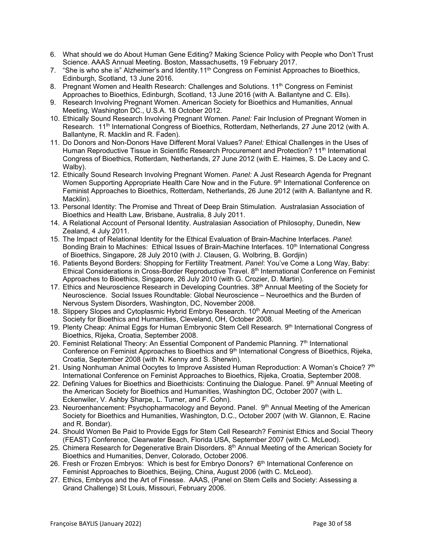- 6. What should we do About Human Gene Editing? Making Science Policy with People who Don't Trust Science. AAAS Annual Meeting. Boston, Massachusetts, 19 February 2017.
- 7. "She is who she is" Alzheimer's and Identity.11<sup>th</sup> Congress on Feminist Approaches to Bioethics, Edinburgh, Scotland, 13 June 2016.
- 8. Pregnant Women and Health Research: Challenges and Solutions. 11<sup>th</sup> Congress on Feminist Approaches to Bioethics, Edinburgh, Scotland, 13 June 2016 (with A. Ballantyne and C. Ells).
- 9. Research Involving Pregnant Women. American Society for Bioethics and Humanities, Annual Meeting, Washington DC., U.S.A. 18 October 2012.
- 10. Ethically Sound Research Involving Pregnant Women. *Panel:* Fair Inclusion of Pregnant Women in Research. 11<sup>th</sup> International Congress of Bioethics, Rotterdam, Netherlands, 27 June 2012 (with A. Ballantyne, R. Macklin and R. Faden).
- 11. Do Donors and Non-Donors Have Different Moral Values? *Panel:* Ethical Challenges in the Uses of Human Reproductive Tissue in Scientific Research Procurement and Protection? 11<sup>th</sup> International Congress of Bioethics, Rotterdam, Netherlands, 27 June 2012 (with E. Haimes, S. De Lacey and C. Walby).
- 12. Ethically Sound Research Involving Pregnant Women. *Panel:* A Just Research Agenda for Pregnant Women Supporting Appropriate Health Care Now and in the Future. 9th International Conference on Feminist Approaches to Bioethics, Rotterdam, Netherlands, 26 June 2012 (with A. Ballantyne and R. Macklin).
- 13. Personal Identity: The Promise and Threat of Deep Brain Stimulation. Australasian Association of Bioethics and Health Law, Brisbane, Australia, 8 July 2011.
- 14. A Relational Account of Personal Identity. Australasian Association of Philosophy, Dunedin, New Zealand, 4 July 2011.
- 15. The Impact of Relational Identity for the Ethical Evaluation of Brain-Machine Interfaces. *Panel*: Bonding Brain to Machines: Ethical Issues of Brain-Machine Interfaces. 10<sup>th</sup> International Congress of Bioethics, Singapore, 28 July 2010 (with J. Clausen, G. Wolbring, B. Gordjin)
- 16. Patients Beyond Borders: Shopping for Fertility Treatment. *Panel*: You've Come a Long Way, Baby: Ethical Considerations in Cross-Border Reproductive Travel. 8<sup>th</sup> International Conference on Feminist Approaches to Bioethics, Singapore, 26 July 2010 (with G. Crozier, D. Martin).
- 17. Ethics and Neuroscience Research in Developing Countries. 38<sup>th</sup> Annual Meeting of the Society for Neuroscience. Social Issues Roundtable: Global Neuroscience – Neuroethics and the Burden of Nervous System Disorders, Washington, DC, November 2008.
- 18. Slippery Slopes and Cytoplasmic Hybrid Embryo Research. 10<sup>th</sup> Annual Meeting of the American Society for Bioethics and Humanities, Cleveland, OH, October 2008.
- 19. Plenty Cheap: Animal Eggs for Human Embryonic Stem Cell Research. 9th International Congress of Bioethics, Rijeka, Croatia, September 2008.
- 20. Feminist Relational Theory: An Essential Component of Pandemic Planning.  $7<sup>th</sup>$  International Conference on Feminist Approaches to Bioethics and 9<sup>th</sup> International Congress of Bioethics, Rijeka, Croatia, September 2008 (with N. Kenny and S. Sherwin).
- 21. Using Nonhuman Animal Oocytes to Improve Assisted Human Reproduction: A Woman's Choice? 7<sup>th</sup> International Conference on Feminist Approaches to Bioethics, Rijeka, Croatia, September 2008.
- 22. Defining Values for Bioethics and Bioethicists: Continuing the Dialogue. Panel. 9th Annual Meeting of the American Society for Bioethics and Humanities, Washington DC, October 2007 (with L. Eckenwiler, V. Ashby Sharpe, L. Turner, and F. Cohn).
- 23. Neuroenhancement: Psychopharmacology and Beyond. Panel. 9<sup>th</sup> Annual Meeting of the American Society for Bioethics and Humanities, Washington, D.C., October 2007 (with W. Glannon, E. Racine and R. Bondar).
- 24. Should Women Be Paid to Provide Eggs for Stem Cell Research? Feminist Ethics and Social Theory (FEAST) Conference, Clearwater Beach, Florida USA, September 2007 (with C. McLeod).
- 25. Chimera Research for Degenerative Brain Disorders. 8<sup>th</sup> Annual Meeting of the American Society for Bioethics and Humanities, Denver, Colorado, October 2006.
- 26. Fresh or Frozen Embryos: Which is best for Embryo Donors? 6<sup>th</sup> International Conference on Feminist Approaches to Bioethics, Beijing, China, August 2006 (with C. McLeod).
- 27. Ethics, Embryos and the Art of Finesse. AAAS, (Panel on Stem Cells and Society: Assessing a Grand Challenge) St Louis, Missouri, February 2006.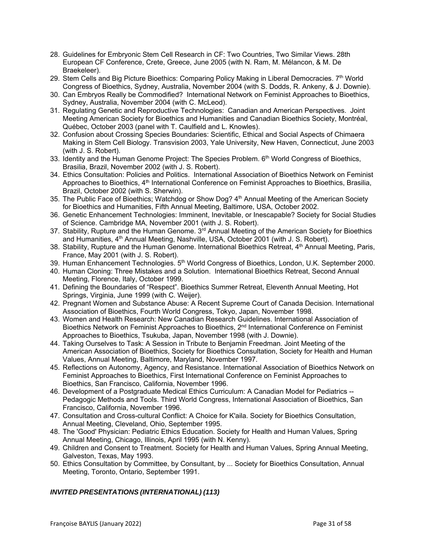- 28. Guidelines for Embryonic Stem Cell Research in CF: Two Countries, Two Similar Views. 28th European CF Conference, Crete, Greece, June 2005 (with N. Ram, M. Mélancon, & M. De Braekeleer).
- 29. Stem Cells and Big Picture Bioethics: Comparing Policy Making in Liberal Democracies. 7<sup>th</sup> World Congress of Bioethics, Sydney, Australia, November 2004 (with S. Dodds, R. Ankeny, & J. Downie).
- 30. Can Embryos Really be Commodified? International Network on Feminist Approaches to Bioethics, Sydney, Australia, November 2004 (with C. McLeod).
- 31. Regulating Genetic and Reproductive Technologies: Canadian and American Perspectives. Joint Meeting American Society for Bioethics and Humanities and Canadian Bioethics Society, Montréal, Québec, October 2003 (panel with T. Caulfield and L. Knowles).
- 32. Confusion about Crossing Species Boundaries: Scientific, Ethical and Social Aspects of Chimaera Making in Stem Cell Biology. Transvision 2003, Yale University, New Haven, Connecticut, June 2003 (with J. S. Robert).
- 33. Identity and the Human Genome Project: The Species Problem. 6<sup>th</sup> World Congress of Bioethics, Brasilia, Brazil, November 2002 (with J. S. Robert).
- 34. Ethics Consultation: Policies and Politics. International Association of Bioethics Network on Feminist Approaches to Bioethics, 4<sup>th</sup> International Conference on Feminist Approaches to Bioethics, Brasilia, Brazil, October 2002 (with S. Sherwin).
- 35. The Public Face of Bioethics; Watchdog or Show Dog? 4th Annual Meeting of the American Society for Bioethics and Humanities, Fifth Annual Meeting, Baltimore, USA, October 2002.
- 36. Genetic Enhancement Technologies: Imminent, Inevitable, or Inescapable? Society for Social Studies of Science. Cambridge MA, November 2001 (with J. S. Robert).
- 37. Stability, Rupture and the Human Genome. 3<sup>rd</sup> Annual Meeting of the American Society for Bioethics and Humanities, 4<sup>th</sup> Annual Meeting, Nashville, USA, October 2001 (with J. S. Robert).
- 38. Stability, Rupture and the Human Genome. International Bioethics Retreat, 4<sup>th</sup> Annual Meeting, Paris, France, May 2001 (with J. S. Robert).
- 39. Human Enhancement Technologies.  $5<sup>th</sup>$  World Congress of Bioethics, London, U.K. September 2000.
- 40. Human Cloning: Three Mistakes and a Solution. International Bioethics Retreat, Second Annual Meeting, Florence, Italy, October 1999.
- 41. Defining the Boundaries of "Respect". Bioethics Summer Retreat, Eleventh Annual Meeting, Hot Springs, Virginia, June 1999 (with C. Weijer).
- 42. Pregnant Women and Substance Abuse: A Recent Supreme Court of Canada Decision. International Association of Bioethics, Fourth World Congress, Tokyo, Japan, November 1998.
- 43. Women and Health Research: New Canadian Research Guidelines. International Association of Bioethics Network on Feminist Approaches to Bioethics, 2<sup>nd</sup> International Conference on Feminist Approaches to Bioethics, Tsukuba, Japan, November 1998 (with J. Downie).
- 44. Taking Ourselves to Task: A Session in Tribute to Benjamin Freedman. Joint Meeting of the American Association of Bioethics, Society for Bioethics Consultation, Society for Health and Human Values, Annual Meeting, Baltimore, Maryland, November 1997.
- 45. Reflections on Autonomy, Agency, and Resistance. International Association of Bioethics Network on Feminist Approaches to Bioethics, First International Conference on Feminist Approaches to Bioethics, San Francisco, California, November 1996.
- 46. Development of a Postgraduate Medical Ethics Curriculum: A Canadian Model for Pediatrics -- Pedagogic Methods and Tools. Third World Congress, International Association of Bioethics, San Francisco, California, November 1996.
- 47. Consultation and Cross-cultural Conflict: A Choice for K'aila. Society for Bioethics Consultation, Annual Meeting, Cleveland, Ohio, September 1995.
- 48. The 'Good' Physician: Pediatric Ethics Education. Society for Health and Human Values, Spring Annual Meeting, Chicago, Illinois, April 1995 (with N. Kenny).
- 49. Children and Consent to Treatment. Society for Health and Human Values, Spring Annual Meeting, Galveston, Texas, May 1993.
- 50. Ethics Consultation by Committee, by Consultant, by ... Society for Bioethics Consultation, Annual Meeting, Toronto, Ontario, September 1991.

# *INVITED PRESENTATIONS (INTERNATIONAL) (113)*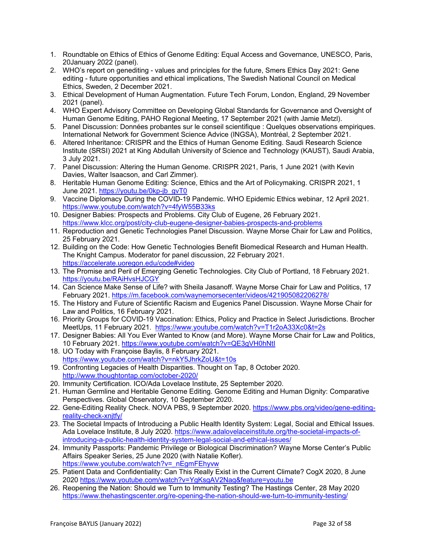- 1. Roundtable on Ethics of Ethics of Genome Editing: Equal Access and Governance, UNESCO, Paris, 20January 2022 (panel).
- 2. WHO's report on genediting values and principles for the future, Smers Ethics Day 2021: Gene editing - future opportunities and ethical implications, The Swedish National Council on Medical Ethics, Sweden, 2 December 2021.
- 3. Ethical Development of Human Augmentation. Future Tech Forum, London, England, 29 November 2021 (panel).
- 4. WHO Expert Advisory Committee on Developing Global Standards for Governance and Oversight of Human Genome Editing, PAHO Regional Meeting, 17 September 2021 (with Jamie Metzl).
- 5. Panel Discussion: Données probantes sur le conseil scientifique : Quelques observations empiriques. International Network for Government Science Advice (INGSA), Montréal, 2 September 2021.
- 6. Altered Inheritance: CRISPR and the Ethics of Human Genome Editing. Saudi Research Science Institute (SRSI) 2021 at King Abdullah University of Science and Technology (KAUST), Saudi Arabia, 3 July 2021.
- 7. Panel Discussion: Altering the Human Genome. CRISPR 2021, Paris, 1 June 2021 (with Kevin Davies, Walter Isaacson, and Carl Zimmer).
- 8. Heritable Human Genome Editing: Science, Ethics and the Art of Policymaking. CRISPR 2021, 1 June 2021. https://youtu.be/0kp-jb\_gvT0
- 9. Vaccine Diplomacy During the COVID-19 Pandemic. WHO Epidemic Ethics webinar, 12 April 2021. https://www.youtube.com/watch?v=4fyW55B33ks
- 10. Designer Babies: Prospects and Problems. City Club of Eugene, 26 February 2021. https://www.klcc.org/post/city-club-eugene-designer-babies-prospects-and-problems
- 11. Reproduction and Genetic Technologies Panel Discussion. Wayne Morse Chair for Law and Politics, 25 February 2021.
- 12. Building on the Code: How Genetic Technologies Benefit Biomedical Research and Human Health. The Knight Campus. Moderator for panel discussion, 22 February 2021. https://accelerate.uoregon.edu/code#video
- 13. The Promise and Peril of Emerging Genetic Technologies. City Club of Portland, 18 February 2021. https://youtu.be/RAiHvsHJCGY
- 14. Can Science Make Sense of Life? with Sheila Jasanoff. Wayne Morse Chair for Law and Politics, 17 February 2021. https://m.facebook.com/waynemorsecenter/videos/421905082206278/
- 15. The History and Future of Scientific Racism and Eugenics Panel Discussion. Wayne Morse Chair for Law and Politics, 16 February 2021.
- 16. Priority Groups for COVID-19 Vaccination: Ethics, Policy and Practice in Select Jurisdictions. Brocher MeetUps, 11 February 2021. https://www.youtube.com/watch?v=T1r2oA33Xc0&t=2s
- 17. Designer Babies: All You Ever Wanted to Know (and More). Wayne Morse Chair for Law and Politics, 10 February 2021. https://www.youtube.com/watch?v=QE3gVH0hNtI
- 18. UO Today with Françoise Baylis, 8 February 2021. https://www.youtube.com/watch?v=nkY5JhrkZoU&t=10s
- 19. Confronting Legacies of Health Disparities. Thought on Tap, 8 October 2020. http://www.thoughtontap.com/october-2020/
- 20. Immunity Certification. ICO/Ada Lovelace Institute, 25 September 2020.
- 21. Human Germline and Heritable Genome Editing. Genome Editing and Human Dignity: Comparative Perspectives. Global Observatory, 10 September 2020.
- 22. Gene-Editing Reality Check. NOVA PBS, 9 September 2020. https://www.pbs.org/video/gene-editingreality-check-xnjtfy/
- 23. The Societal Impacts of Introducing a Public Health Identity System: Legal, Social and Ethical Issues. Ada Lovelace Institute, 8 July 2020. https://www.adalovelaceinstitute.org/the-societal-impacts-ofintroducing-a-public-health-identity-system-legal-social-and-ethical-issues/
- 24. Immunity Passports: Pandemic Privilege or Biological Discrimination? Wayne Morse Center's Public Affairs Speaker Series, 25 June 2020 (with Natalie Kofler). https://www.youtube.com/watch?v=\_nEgmFEhyvw
- 25. Patient Data and Confidentiality: Can This Really Exist in the Current Climate? CogX 2020, 8 June 2020 https://www.youtube.com/watch?v=YgKsgAV2Nag&feature=youtu.be
- 26. Reopening the Nation: Should we Turn to Immunity Testing? The Hastings Center, 28 May 2020 https://www.thehastingscenter.org/re-opening-the-nation-should-we-turn-to-immunity-testing/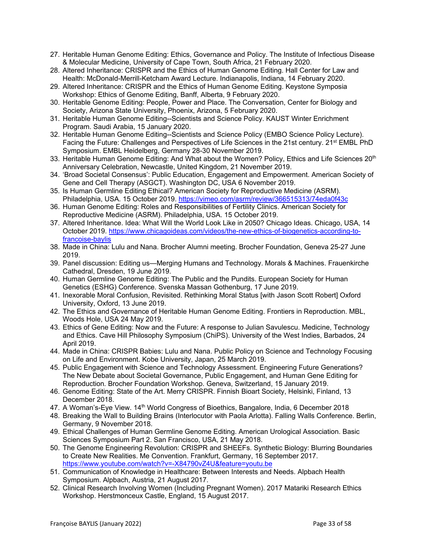- 27. Heritable Human Genome Editing: Ethics, Governance and Policy. The Institute of Infectious Disease & Molecular Medicine, University of Cape Town, South Africa, 21 February 2020.
- 28. Altered Inheritance: CRISPR and the Ethics of Human Genome Editing. Hall Center for Law and Health: McDonald-Merrill-Ketcham Award Lecture. Indianapolis, Indiana, 14 February 2020.
- 29. Altered Inheritance: CRISPR and the Ethics of Human Genome Editing. Keystone Symposia Workshop: Ethics of Genome Editing, Banff, Alberta, 9 February 2020.
- 30. Heritable Genome Editing: People, Power and Place. The Conversation, Center for Biology and Society, Arizona State University, Phoenix, Arizona, 5 February 2020.
- 31. Heritable Human Genome Editing--Scientists and Science Policy. KAUST Winter Enrichment Program. Saudi Arabia, 15 January 2020.
- 32. Heritable Human Genome Editing--Scientists and Science Policy (EMBO Science Policy Lecture). Facing the Future: Challenges and Perspectives of Life Sciences in the 21st century. 21st EMBL PhD Symposium. EMBL Heidelberg, Germany 28-30 November 2019.
- 33. Heritable Human Genome Editing: And What about the Women? Policy, Ethics and Life Sciences 20<sup>th</sup> Anniversary Celebration, Newcastle, United Kingdom, 21 November 2019.
- 34. 'Broad Societal Consensus': Public Education, Engagement and Empowerment. American Society of Gene and Cell Therapy (ASGCT). Washington DC, USA 6 November 2019.
- 35. Is Human Germline Editing Ethical? American Society for Reproductive Medicine (ASRM). Philadelphia, USA. 15 October 2019. https://vimeo.com/asrm/review/366515313/74eda0f43c
- 36. Human Genome Editing: Roles and Responsibilities of Fertility Clinics. American Society for Reproductive Medicine (ASRM). Philadelphia, USA. 15 October 2019.
- 37. Altered Inheritance. Idea: What Will the World Look Like in 2050? Chicago Ideas. Chicago, USA, 14 October 2019. https://www.chicagoideas.com/videos/the-new-ethics-of-biogenetics-according-tofrancoise-baylis
- 38. Made in China: Lulu and Nana. Brocher Alumni meeting. Brocher Foundation, Geneva 25-27 June 2019.
- 39. Panel discussion: Editing us—Merging Humans and Technology. Morals & Machines. Frauenkirche Cathedral, Dresden, 19 June 2019.
- 40. Human Germline Genome Editing: The Public and the Pundits. European Society for Human Genetics (ESHG) Conference. Svenska Massan Gothenburg, 17 June 2019.
- 41. Inexorable Moral Confusion, Revisited. Rethinking Moral Status [with Jason Scott Robert] Oxford University, Oxford, 13 June 2019.
- 42. The Ethics and Governance of Heritable Human Genome Editing. Frontiers in Reproduction. MBL, Woods Hole, USA 24 May 2019.
- 43. Ethics of Gene Editing: Now and the Future: A response to Julian Savulescu. Medicine, Technology and Ethics. Cave Hill Philosophy Symposium (ChiPS). University of the West Indies, Barbados, 24 April 2019.
- 44. Made in China: CRISPR Babies: Lulu and Nana. Public Policy on Science and Technology Focusing on Life and Environment. Kobe University, Japan, 25 March 2019.
- 45. Public Engagement with Science and Technology Assessment. Engineering Future Generations? The New Debate about Societal Governance, Public Engagement, and Human Gene Editing for Reproduction. Brocher Foundation Workshop. Geneva, Switzerland, 15 January 2019.
- 46. Genome Editing: State of the Art. Merry CRISPR. Finnish Bioart Society, Helsinki, Finland, 13 December 2018.
- 47. A Woman's-Eye View. 14<sup>th</sup> World Congress of Bioethics, Bangalore, India, 6 December 2018
- 48. Breaking the Wall to Building Brains (Interlocutor with Paola Arlotta). Falling Walls Conference. Berlin, Germany, 9 November 2018.
- 49. Ethical Challenges of Human Germline Genome Editing. American Urological Association. Basic Sciences Symposium Part 2. San Francisco, USA, 21 May 2018.
- 50. The Genome Engineering Revolution: CRISPR and SHEEFs. Synthetic Biology: Blurring Boundaries to Create New Realities. Me Convention. Frankfurt, Germany, 16 September 2017. https://www.youtube.com/watch?v=-X84790vZ4U&feature=youtu.be
- 51. Communication of Knowledge in Healthcare: Between Interests and Needs. Alpbach Health Symposium. Alpbach, Austria, 21 August 2017.
- 52. Clinical Research Involving Women (Including Pregnant Women). 2017 Matariki Research Ethics Workshop. Herstmonceux Castle, England, 15 August 2017.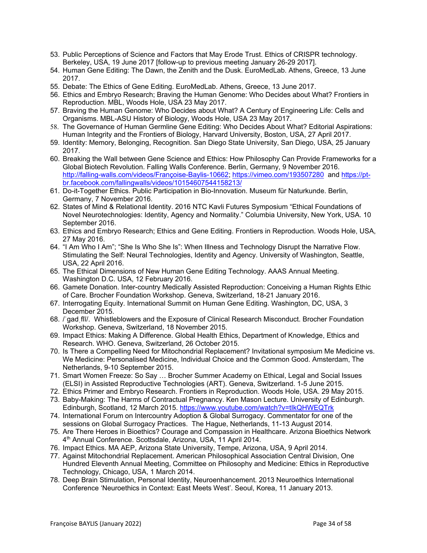- 53. Public Perceptions of Science and Factors that May Erode Trust. Ethics of CRISPR technology. Berkeley, USA, 19 June 2017 [follow-up to previous meeting January 26-29 2017].
- 54. Human Gene Editing: The Dawn, the Zenith and the Dusk. EuroMedLab. Athens, Greece, 13 June 2017.
- 55. Debate: The Ethics of Gene Editing. EuroMedLab. Athens, Greece, 13 June 2017.
- 56. Ethics and Embryo Research; Braving the Human Genome: Who Decides about What? Frontiers in Reproduction. MBL, Woods Hole, USA 23 May 2017.
- 57. Braving the Human Genome: Who Decides about What? A Century of Engineering Life: Cells and Organisms. MBL-ASU History of Biology, Woods Hole, USA 23 May 2017.
- 58. The Governance of Human Germline Gene Editing: Who Decides About What? Editorial Aspirations: Human Integrity and the Frontiers of Biology, Harvard University, Boston, USA, 27 April 2017.
- 59. Identity: Memory, Belonging, Recognition. San Diego State University, San Diego, USA, 25 January 2017.
- 60. Breaking the Wall between Gene Science and Ethics: How Philosophy Can Provide Frameworks for a Global Biotech Revolution. Falling Walls Conference. Berlin, Germany, 9 November 2016. http://falling-walls.com/videos/Françoise-Baylis-10662; https://vimeo.com/193507280 and https://ptbr.facebook.com/fallingwalls/videos/10154607544158213/
- 61. Do-it-Together Ethics. Public Participation in Bio-Innovation. Museum für Naturkunde. Berlin, Germany, 7 November 2016.
- 62. States of Mind & Relational Identity. 2016 NTC Kavli Futures Symposium "Ethical Foundations of Novel Neurotechnologies: Identity, Agency and Normality." Columbia University, New York, USA. 10 September 2016.
- 63. Ethics and Embryo Research; Ethics and Gene Editing. Frontiers in Reproduction. Woods Hole, USA, 27 May 2016.
- 64. "I Am Who I Am"; "She Is Who She Is": When Illness and Technology Disrupt the Narrative Flow. Stimulating the Self: Neural Technologies, Identity and Agency. University of Washington, Seattle, USA, 22 April 2016.
- 65. The Ethical Dimensions of New Human Gene Editing Technology. AAAS Annual Meeting. Washington D.C. USA, 12 February 2016.
- 66. Gamete Donation. Inter-country Medically Assisted Reproduction: Conceiving a Human Rights Ethic of Care. Brocher Foundation Workshop. Geneva, Switzerland, 18-21 January 2016.
- 67. Interrogating Equity. International Summit on Human Gene Editing. Washington, DC, USA, 3 December 2015.
- 68. /ˈɡadˌflī/. Whistleblowers and the Exposure of Clinical Research Misconduct. Brocher Foundation Workshop. Geneva, Switzerland, 18 November 2015.
- 69. Impact Ethics: Making A Difference. Global Health Ethics, Department of Knowledge, Ethics and Research. WHO. Geneva, Switzerland, 26 October 2015.
- 70. Is There a Compelling Need for Mitochondrial Replacement? Invitational symposium Me Medicine vs. We Medicine: Personalised Medicine, Individual Choice and the Common Good. Amsterdam, The Netherlands, 9-10 September 2015.
- 71. Smart Women Freeze: So Say … Brocher Summer Academy on Ethical, Legal and Social Issues (ELSI) in Assisted Reproductive Technologies (ART). Geneva, Switzerland. 1-5 June 2015.
- 72. Ethics Primer and Embryo Research. Frontiers in Reproduction. Woods Hole, USA. 29 May 2015.
- 73. Baby-Making: The Harms of Contractual Pregnancy. Ken Mason Lecture. University of Edinburgh. Edinburgh, Scotland, 12 March 2015. https://www.youtube.com/watch?v=tIkQHWEQTrk
- 74. International Forum on Intercountry Adoption & Global Surrogacy. Commentator for one of the sessions on Global Surrogacy Practices. The Hague, Netherlands, 11-13 August 2014.
- 75. Are There Heroes in Bioethics? Courage and Compassion in Healthcare. Arizona Bioethics Network 4th Annual Conference. Scottsdale, Arizona, USA, 11 April 2014.
- 76. Impact Ethics. MA AEP, Arizona State University, Tempe, Arizona, USA, 9 April 2014.
- 77. Against Mitochondrial Replacement. American Philosophical Association Central Division, One Hundred Eleventh Annual Meeting, Committee on Philosophy and Medicine: Ethics in Reproductive Technology, Chicago, USA, 1 March 2014.
- 78. Deep Brain Stimulation, Personal Identity, Neuroenhancement. 2013 Neuroethics International Conference 'Neuroethics in Context: East Meets West'. Seoul, Korea, 11 January 2013.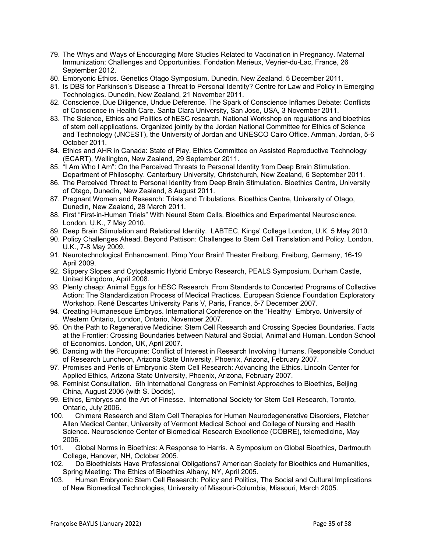- 79. The Whys and Ways of Encouraging More Studies Related to Vaccination in Pregnancy. Maternal Immunization: Challenges and Opportunities. Fondation Merieux, Veyrier-du-Lac, France, 26 September 2012.
- 80. Embryonic Ethics. Genetics Otago Symposium. Dunedin, New Zealand, 5 December 2011.
- 81. Is DBS for Parkinson's Disease a Threat to Personal Identity? Centre for Law and Policy in Emerging Technologies. Dunedin, New Zealand, 21 November 2011.
- 82. Conscience, Due Diligence, Undue Deference. The Spark of Conscience Inflames Debate: Conflicts of Conscience in Health Care. Santa Clara University, San Jose, USA, 3 November 2011.
- 83. The Science, Ethics and Politics of hESC research. National Workshop on regulations and bioethics of stem cell applications. Organized jointly by the Jordan National Committee for Ethics of Science and Technology (JNCEST), the University of Jordan and UNESCO Cairo Office. Amman, Jordan, 5-6 October 2011.
- 84. Ethics and AHR in Canada: State of Play. Ethics Committee on Assisted Reproductive Technology (ECART), Wellington, New Zealand, 29 September 2011.
- 85. "I Am Who I Am": On the Perceived Threats to Personal Identity from Deep Brain Stimulation. Department of Philosophy. Canterbury University, Christchurch, New Zealand, 6 September 2011.
- 86. The Perceived Threat to Personal Identity from Deep Brain Stimulation. Bioethics Centre, University of Otago, Dunedin, New Zealand, 8 August 2011.
- 87. Pregnant Women and Research: Trials and Tribulations. Bioethics Centre, University of Otago, Dunedin, New Zealand, 28 March 2011.
- 88. First "First-in-Human Trials" With Neural Stem Cells. Bioethics and Experimental Neuroscience. London, U.K., 7 May 2010.
- 89. Deep Brain Stimulation and Relational Identity. LABTEC, Kings' College London, U.K. 5 May 2010.
- 90. Policy Challenges Ahead. Beyond Pattison: Challenges to Stem Cell Translation and Policy. London, U.K., 7-8 May 2009.
- 91. Neurotechnological Enhancement. Pimp Your Brain! Theater Freiburg, Freiburg, Germany, 16-19 April 2009.
- 92. Slippery Slopes and Cytoplasmic Hybrid Embryo Research, PEALS Symposium, Durham Castle, United Kingdom, April 2008.
- 93. Plenty cheap: Animal Eggs for hESC Research. From Standards to Concerted Programs of Collective Action: The Standardization Process of Medical Practices. European Science Foundation Exploratory Workshop. René Descartes University Paris V, Paris, France, 5-7 December 2007.
- 94. Creating Humanesque Embryos. International Conference on the "Healthy" Embryo. University of Western Ontario, London, Ontario, November 2007.
- 95. On the Path to Regenerative Medicine: Stem Cell Research and Crossing Species Boundaries. Facts at the Frontier: Crossing Boundaries between Natural and Social, Animal and Human. London School of Economics. London, UK, April 2007.
- 96. Dancing with the Porcupine: Conflict of Interest in Research Involving Humans, Responsible Conduct of Research Luncheon, Arizona State University, Phoenix, Arizona, February 2007.
- 97. Promises and Perils of Embryonic Stem Cell Research: Advancing the Ethics. Lincoln Center for Applied Ethics, Arizona State University, Phoenix, Arizona, February 2007.
- 98. Feminist Consultation. 6th International Congress on Feminist Approaches to Bioethics, Beijing China, August 2006 (with S. Dodds).
- 99. Ethics, Embryos and the Art of Finesse. International Society for Stem Cell Research, Toronto, Ontario, July 2006.
- 100. Chimera Research and Stem Cell Therapies for Human Neurodegenerative Disorders, Fletcher Allen Medical Center, University of Vermont Medical School and College of Nursing and Health Science. Neuroscience Center of Biomedical Research Excellence (COBRE), telemedicine, May 2006.
- 101. Global Norms in Bioethics: A Response to Harris. A Symposium on Global Bioethics, Dartmouth College, Hanover, NH, October 2005.
- 102. Do Bioethicists Have Professional Obligations? American Society for Bioethics and Humanities, Spring Meeting: The Ethics of Bioethics Albany, NY, April 2005.
- 103. Human Embryonic Stem Cell Research: Policy and Politics, The Social and Cultural Implications of New Biomedical Technologies, University of Missouri-Columbia, Missouri, March 2005.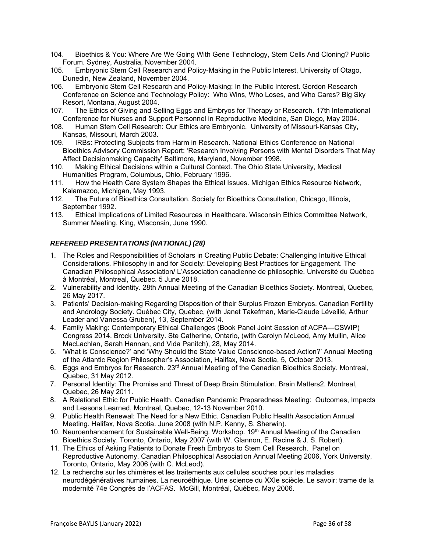- 104. Bioethics & You: Where Are We Going With Gene Technology, Stem Cells And Cloning? Public Forum. Sydney, Australia, November 2004.
- 105. Embryonic Stem Cell Research and Policy-Making in the Public Interest, University of Otago, Dunedin, New Zealand, November 2004.
- 106. Embryonic Stem Cell Research and Policy-Making: In the Public Interest. Gordon Research Conference on Science and Technology Policy: Who Wins, Who Loses, and Who Cares? Big Sky Resort, Montana, August 2004.
- 107. The Ethics of Giving and Selling Eggs and Embryos for Therapy or Research. 17th International Conference for Nurses and Support Personnel in Reproductive Medicine, San Diego, May 2004.
- 108. Human Stem Cell Research: Our Ethics are Embryonic. University of Missouri-Kansas City, Kansas, Missouri, March 2003.
- 109. IRBs: Protecting Subjects from Harm in Research. National Ethics Conference on National Bioethics Advisory Commission Report: 'Research Involving Persons with Mental Disorders That May Affect Decisionmaking Capacity' Baltimore, Maryland, November 1998.
- 110. Making Ethical Decisions within a Cultural Context. The Ohio State University, Medical Humanities Program, Columbus, Ohio, February 1996.
- 111. How the Health Care System Shapes the Ethical Issues. Michigan Ethics Resource Network, Kalamazoo, Michigan, May 1993.
- 112. The Future of Bioethics Consultation. Society for Bioethics Consultation, Chicago, Illinois, September 1992.
- 113. Ethical Implications of Limited Resources in Healthcare. Wisconsin Ethics Committee Network, Summer Meeting, King, Wisconsin, June 1990.

### *REFEREED PRESENTATIONS (NATIONAL) (28)*

- 1. The Roles and Responsibilities of Scholars in Creating Public Debate: Challenging Intuitive Ethical Considerations. Philosophy in and for Society: Developing Best Practices for Engagement. The Canadian Philosophical Association/ L'Association canadienne de philosophie. Université du Québec à Montréal, Montreal, Quebec. 5 June 2018.
- 2. Vulnerability and Identity. 28th Annual Meeting of the Canadian Bioethics Society. Montreal, Quebec, 26 May 2017.
- 3. Patients' Decision-making Regarding Disposition of their Surplus Frozen Embryos. Canadian Fertility and Andrology Society. Québec City, Quebec, (with Janet Takefman, Marie-Claude Léveillé, Arthur Leader and Vanessa Gruben), 13, September 2014.
- 4. Family Making: Contemporary Ethical Challenges (Book Panel Joint Session of ACPA—CSWIP) Congress 2014. Brock University. Ste Catherine, Ontario, (with Carolyn McLeod, Amy Mullin, Alice MacLachlan, Sarah Hannan, and Vida Panitch), 28, May 2014.
- 5. 'What is Conscience?' and 'Why Should the State Value Conscience-based Action?' Annual Meeting of the Atlantic Region Philosopher's Association, Halifax, Nova Scotia, 5, October 2013.
- 6. Eggs and Embryos for Research. 23rd Annual Meeting of the Canadian Bioethics Society. Montreal, Quebec, 31 May 2012.
- 7. Personal Identity: The Promise and Threat of Deep Brain Stimulation. Brain Matters2. Montreal, Quebec, 26 May 2011.
- 8. A Relational Ethic for Public Health. Canadian Pandemic Preparedness Meeting: Outcomes, Impacts and Lessons Learned, Montreal, Quebec, 12-13 November 2010.
- 9. Public Health Renewal: The Need for a New Ethic. Canadian Public Health Association Annual Meeting. Halifax, Nova Scotia. June 2008 (with N.P. Kenny, S. Sherwin).
- 10. Neuroenhancement for Sustainable Well-Being. Workshop. 19<sup>th</sup> Annual Meeting of the Canadian Bioethics Society. Toronto, Ontario, May 2007 (with W. Glannon, E. Racine & J. S. Robert).
- 11. The Ethics of Asking Patients to Donate Fresh Embryos to Stem Cell Research. Panel on Reproductive Autonomy. Canadian Philosophical Association Annual Meeting 2006, York University, Toronto, Ontario, May 2006 (with C. McLeod).
- 12. La recherche sur les chimères et les traitements aux cellules souches pour les maladies neurodégénératives humaines. La neuroéthique. Une science du XXIe sciècle. Le savoir: trame de la modernité 74e Congrès de l'ACFAS. McGill, Montréal, Québec, May 2006.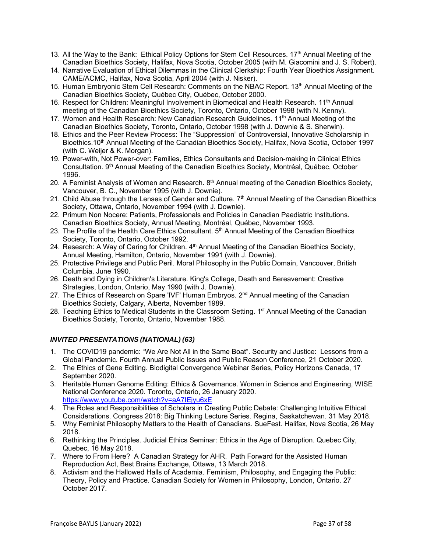- 13. All the Way to the Bank: Ethical Policy Options for Stem Cell Resources. 17<sup>th</sup> Annual Meeting of the Canadian Bioethics Society, Halifax, Nova Scotia, October 2005 (with M. Giacomini and J. S. Robert).
- 14. Narrative Evaluation of Ethical Dilemmas in the Clinical Clerkship: Fourth Year Bioethics Assignment. CAME/ACMC, Halifax, Nova Scotia, April 2004 (with J. Nisker).
- 15. Human Embryonic Stem Cell Research: Comments on the NBAC Report. 13<sup>th</sup> Annual Meeting of the Canadian Bioethics Society, Québec City, Québec, October 2000.
- 16. Respect for Children: Meaningful Involvement in Biomedical and Health Research. 11<sup>th</sup> Annual meeting of the Canadian Bioethics Society, Toronto, Ontario, October 1998 (with N. Kenny).
- 17. Women and Health Research: New Canadian Research Guidelines. 11<sup>th</sup> Annual Meeting of the Canadian Bioethics Society, Toronto, Ontario, October 1998 (with J. Downie & S. Sherwin).
- 18. Ethics and the Peer Review Process: The "Suppression" of Controversial, Innovative Scholarship in Bioethics.10<sup>th</sup> Annual Meeting of the Canadian Bioethics Society, Halifax, Nova Scotia, October 1997 (with C. Weijer & K. Morgan).
- 19. Power-with, Not Power-over: Families, Ethics Consultants and Decision-making in Clinical Ethics Consultation. 9<sup>th</sup> Annual Meeting of the Canadian Bioethics Society, Montréal, Québec, October 1996.
- 20. A Feminist Analysis of Women and Research. 8<sup>th</sup> Annual meeting of the Canadian Bioethics Society, Vancouver, B. C., November 1995 (with J. Downie).
- 21. Child Abuse through the Lenses of Gender and Culture. 7<sup>th</sup> Annual Meeting of the Canadian Bioethics Society, Ottawa, Ontario, November 1994 (with J. Downie).
- 22. Primum Non Nocere: Patients, Professionals and Policies in Canadian Paediatric Institutions. Canadian Bioethics Society, Annual Meeting, Montréal, Québec, November 1993.
- 23. The Profile of the Health Care Ethics Consultant. 5<sup>th</sup> Annual Meeting of the Canadian Bioethics Society, Toronto, Ontario, October 1992.
- 24. Research: A Way of Caring for Children. 4<sup>th</sup> Annual Meeting of the Canadian Bioethics Society. Annual Meeting, Hamilton, Ontario, November 1991 (with J. Downie).
- 25. Protective Privilege and Public Peril. Moral Philosophy in the Public Domain, Vancouver, British Columbia, June 1990.
- 26. Death and Dying in Children's Literature. King's College, Death and Bereavement: Creative Strategies, London, Ontario, May 1990 (with J. Downie).
- 27. The Ethics of Research on Spare 'IVF' Human Embryos. 2<sup>nd</sup> Annual meeting of the Canadian Bioethics Society, Calgary, Alberta, November 1989.
- 28. Teaching Ethics to Medical Students in the Classroom Setting. 1<sup>st</sup> Annual Meeting of the Canadian Bioethics Society, Toronto, Ontario, November 1988.

### *INVITED PRESENTATIONS (NATIONAL) (63)*

- 1. The COVID19 pandemic: "We Are Not All in the Same Boat". Security and Justice: Lessons from a Global Pandemic. Fourth Annual Public Issues and Public Reason Conference, 21 October 2020.
- 2. The Ethics of Gene Editing. Biodigital Convergence Webinar Series, Policy Horizons Canada, 17 September 2020.
- 3. Heritable Human Genome Editing: Ethics & Governance. Women in Science and Engineering, WISE National Conference 2020. Toronto, Ontario, 26 January 2020. https://www.youtube.com/watch?v=aA7IEjyu6xE
- 4. The Roles and Responsibilities of Scholars in Creating Public Debate: Challenging Intuitive Ethical Considerations. Congress 2018: Big Thinking Lecture Series. Regina, Saskatchewan. 31 May 2018.
- 5. Why Feminist Philosophy Matters to the Health of Canadians. SueFest. Halifax, Nova Scotia, 26 May 2018.
- 6. Rethinking the Principles. Judicial Ethics Seminar: Ethics in the Age of Disruption. Quebec City, Quebec, 16 May 2018.
- 7. Where to From Here? A Canadian Strategy for AHR. Path Forward for the Assisted Human Reproduction Act, Best Brains Exchange, Ottawa, 13 March 2018.
- 8. Activism and the Hallowed Halls of Academia. Feminism, Philosophy, and Engaging the Public: Theory, Policy and Practice. Canadian Society for Women in Philosophy, London, Ontario. 27 October 2017.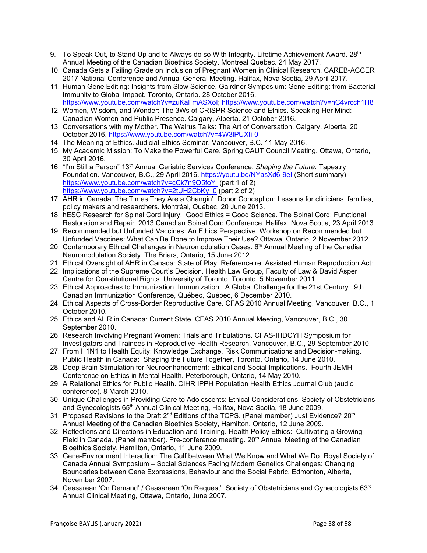- 9. To Speak Out, to Stand Up and to Always do so With Integrity. Lifetime Achievement Award. 28<sup>th</sup> Annual Meeting of the Canadian Bioethics Society. Montreal Quebec. 24 May 2017.
- 10. Canada Gets a Failing Grade on Inclusion of Pregnant Women in Clinical Research. CAREB-ACCER 2017 National Conference and Annual General Meeting. Halifax, Nova Scotia, 29 April 2017.
- 11. Human Gene Editing: Insights from Slow Science. Gairdner Symposium: Gene Editing: from Bacterial Immunity to Global Impact. Toronto, Ontario. 28 October 2016. https://www.youtube.com/watch?v=zuKaFmASXoI; https://www.youtube.com/watch?v=hC4vrcch1H8
- 12. Women, Wisdom, and Wonder: The 3Ws of CRISPR Science and Ethics. Speaking Her Mind: Canadian Women and Public Presence. Calgary, Alberta. 21 October 2016.
- 13. Conversations with my Mother. The Walrus Talks: The Art of Conversation. Calgary, Alberta. 20 October 2016. https://www.youtube.com/watch?v=4W3lPUXIi-0
- 14. The Meaning of Ethics. Judicial Ethics Seminar. Vancouver, B.C. 11 May 2016.
- 15. My Academic Mission: To Make the Powerful Care. Spring CAUT Council Meeting. Ottawa, Ontario, 30 April 2016.
- 16. "I'm Still a Person" 13th Annual Geriatric Services Conference, *Shaping the Future.* Tapestry Foundation. Vancouver, B.C., 29 April 2016. https://youtu.be/NYasXd6-9eI (Short summary) https://www.youtube.com/watch?v=cCk7n9Q5foY (part 1 of 2) https://www.youtube.com/watch?v=2tUH2CbKy\_0 (part 2 of 2)
- 17. AHR in Canada: The Times They Are a Changin'. Donor Conception: Lessons for clinicians, families, policy makers and researchers. Montréal, Québec, 20 June 2013.
- 18. hESC Research for Spinal Cord Injury: Good Ethics = Good Science. The Spinal Cord: Functional Restoration and Repair. 2013 Canadian Spinal Cord Conference. Halifax. Nova Scotia, 23 April 2013.
- 19. Recommended but Unfunded Vaccines: An Ethics Perspective. Workshop on Recommended but Unfunded Vaccines: What Can Be Done to Improve Their Use? Ottawa, Ontario, 2 November 2012.
- 20. Contemporary Ethical Challenges in Neuromodulation Cases. 6<sup>th</sup> Annual Meeting of the Canadian Neuromodulation Society. The Briars, Ontario, 15 June 2012.
- 21. Ethical Oversight of AHR in Canada: State of Play. Reference re: Assisted Human Reproduction Act:
- 22. Implications of the Supreme Court's Decision. Health Law Group, Faculty of Law & David Asper Centre for Constitutional Rights. University of Toronto, Toronto, 5 November 2011.
- 23. Ethical Approaches to Immunization. Immunization: A Global Challenge for the 21st Century. 9th Canadian Immunization Conference, Québec, Québec, 6 December 2010.
- 24. Ethical Aspects of Cross-Border Reproductive Care. CFAS 2010 Annual Meeting, Vancouver, B.C., 1 October 2010.
- 25. Ethics and AHR in Canada: Current State. CFAS 2010 Annual Meeting, Vancouver, B.C., 30 September 2010.
- 26. Research Involving Pregnant Women: Trials and Tribulations. CFAS-IHDCYH Symposium for Investigators and Trainees in Reproductive Health Research, Vancouver, B.C., 29 September 2010.
- 27. From H1N1 to Health Equity: Knowledge Exchange, Risk Communications and Decision-making. Public Health in Canada: Shaping the Future Together, Toronto, Ontario, 14 June 2010.
- 28. Deep Brain Stimulation for Neuroenhancement: Ethical and Social Implications. Fourth JEMH Conference on Ethics in Mental Health. Peterborough, Ontario, 14 May 2010.
- 29. A Relational Ethics for Public Health. CIHR IPPH Population Health Ethics Journal Club (audio conference), 8 March 2010.
- 30. Unique Challenges in Providing Care to Adolescents: Ethical Considerations. Society of Obstetricians and Gynecologists 65th Annual Clinical Meeting, Halifax, Nova Scotia, 18 June 2009.
- 31. Proposed Revisions to the Draft  $2^{nd}$  Editions of the TCPS. (Panel member) Just Evidence?  $20^{th}$ Annual Meeting of the Canadian Bioethics Society, Hamilton, Ontario, 12 June 2009.
- 32. Reflections and Directions in Education and Training. Health Policy Ethics: Cultivating a Growing Field in Canada. (Panel member). Pre-conference meeting. 20<sup>th</sup> Annual Meeting of the Canadian Bioethics Society, Hamilton, Ontario, 11 June 2009.
- 33. Gene-Environment Interaction: The Gulf between What We Know and What We Do. Royal Society of Canada Annual Symposium – Social Sciences Facing Modern Genetics Challenges: Changing Boundaries between Gene Expressions, Behaviour and the Social Fabric. Edmonton, Alberta, November 2007.
- 34. Ceasarean 'On Demand' / Ceasarean 'On Request'. Society of Obstetricians and Gynecologists 63<sup>rd</sup> Annual Clinical Meeting, Ottawa, Ontario, June 2007.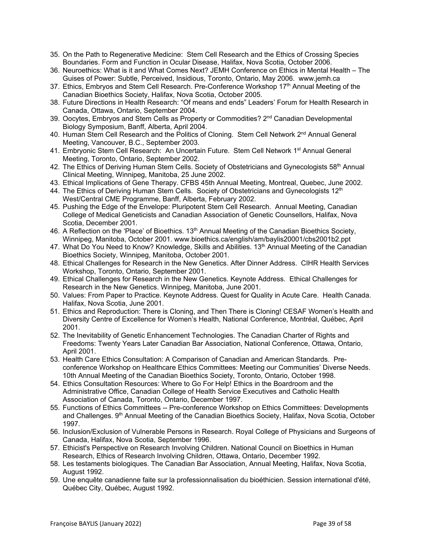- 35. On the Path to Regenerative Medicine: Stem Cell Research and the Ethics of Crossing Species Boundaries. Form and Function in Ocular Disease, Halifax, Nova Scotia, October 2006.
- 36. Neuroethics: What is it and What Comes Next? JEMH Conference on Ethics in Mental Health The Guises of Power: Subtle, Perceived, Insidious, Toronto, Ontario, May 2006. www.jemh.ca
- 37. Ethics, Embryos and Stem Cell Research. Pre-Conference Workshop  $17<sup>th</sup>$  Annual Meeting of the Canadian Bioethics Society, Halifax, Nova Scotia, October 2005.
- 38. Future Directions in Health Research: "Of means and ends" Leaders' Forum for Health Research in Canada, Ottawa, Ontario, September 2004.
- 39. Oocytes, Embryos and Stem Cells as Property or Commodities? 2<sup>nd</sup> Canadian Developmental Biology Symposium, Banff, Alberta, April 2004.
- 40. Human Stem Cell Research and the Politics of Cloning. Stem Cell Network 2<sup>nd</sup> Annual General Meeting, Vancouver, B.C., September 2003.
- 41. Embryonic Stem Cell Research: An Uncertain Future. Stem Cell Network 1<sup>st</sup> Annual General Meeting, Toronto, Ontario, September 2002.
- 42. The Ethics of Deriving Human Stem Cells. Society of Obstetricians and Gynecologists 58th Annual Clinical Meeting, Winnipeg, Manitoba, 25 June 2002.
- 43. Ethical Implications of Gene Therapy. CFBS 45th Annual Meeting, Montreal, Quebec, June 2002.
- 44. The Ethics of Deriving Human Stem Cells. Society of Obstetricians and Gynecologists 12<sup>th</sup> West/Central CME Programme, Banff, Alberta, February 2002.
- 45. Pushing the Edge of the Envelope: Pluripotent Stem Cell Research. Annual Meeting, Canadian College of Medical Geneticists and Canadian Association of Genetic Counsellors, Halifax, Nova Scotia, December 2001.
- 46. A Reflection on the 'Place' of Bioethics. 13<sup>th</sup> Annual Meeting of the Canadian Bioethics Society, Winnipeg, Manitoba, October 2001. www.bioethics.ca/english/am/baylis20001/cbs2001b2.ppt
- 47. What Do You Need to Know? Knowledge, Skills and Abilities. 13<sup>th</sup> Annual Meeting of the Canadian Bioethics Society, Winnipeg, Manitoba, October 2001.
- 48. Ethical Challenges for Research in the New Genetics. After Dinner Address. CIHR Health Services Workshop, Toronto, Ontario, September 2001.
- 49. Ethical Challenges for Research in the New Genetics. Keynote Address. Ethical Challenges for Research in the New Genetics. Winnipeg, Manitoba, June 2001.
- 50. Values: From Paper to Practice. Keynote Address. Quest for Quality in Acute Care. Health Canada. Halifax, Nova Scotia, June 2001.
- 51. Ethics and Reproduction: There is Cloning, and Then There is Cloning! CESAF Women's Health and Diversity Centre of Excellence for Women's Health, National Conference, Montréal, Québec, April 2001.
- 52. The Inevitability of Genetic Enhancement Technologies. The Canadian Charter of Rights and Freedoms: Twenty Years Later Canadian Bar Association, National Conference, Ottawa, Ontario, April 2001.
- 53. Health Care Ethics Consultation: A Comparison of Canadian and American Standards. Preconference Workshop on Healthcare Ethics Committees: Meeting our Communities' Diverse Needs. 10th Annual Meeting of the Canadian Bioethics Society, Toronto, Ontario, October 1998.
- 54. Ethics Consultation Resources: Where to Go For Help! Ethics in the Boardroom and the Administrative Office, Canadian College of Health Service Executives and Catholic Health Association of Canada, Toronto, Ontario, December 1997.
- 55. Functions of Ethics Committees -- Pre-conference Workshop on Ethics Committees: Developments and Challenges. 9<sup>th</sup> Annual Meeting of the Canadian Bioethics Society, Halifax, Nova Scotia, October 1997.
- 56. Inclusion/Exclusion of Vulnerable Persons in Research. Royal College of Physicians and Surgeons of Canada, Halifax, Nova Scotia, September 1996.
- 57. Ethicist's Perspective on Research Involving Children. National Council on Bioethics in Human Research, Ethics of Research Involving Children, Ottawa, Ontario, December 1992.
- 58. Les testaments biologiques. The Canadian Bar Association, Annual Meeting, Halifax, Nova Scotia, August 1992.
- 59. Une enquête canadienne faite sur la professionnalisation du bioéthicien. Session international d'été, Québec City, Québec, August 1992.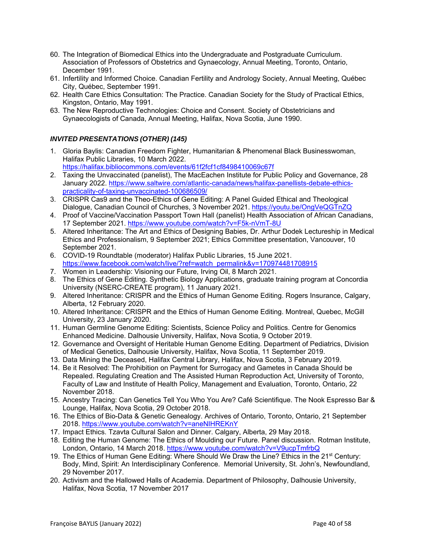- 60. The Integration of Biomedical Ethics into the Undergraduate and Postgraduate Curriculum. Association of Professors of Obstetrics and Gynaecology, Annual Meeting, Toronto, Ontario, December 1991.
- 61. Infertility and Informed Choice. Canadian Fertility and Andrology Society, Annual Meeting, Québec City, Québec, September 1991.
- 62. Health Care Ethics Consultation: The Practice. Canadian Society for the Study of Practical Ethics, Kingston, Ontario, May 1991.
- 63. The New Reproductive Technologies: Choice and Consent. Society of Obstetricians and Gynaecologists of Canada, Annual Meeting, Halifax, Nova Scotia, June 1990.

# *INVITED PRESENTATIONS (OTHER) (145)*

- 1. Gloria Baylis: Canadian Freedom Fighter, Humanitarian & Phenomenal Black Businesswoman, Halifax Public Libraries, 10 March 2022. https://halifax.bibliocommons.com/events/61f2fcf1cf8498410069c67f
- 2. Taxing the Unvaccinated (panelist), The MacEachen Institute for Public Policy and Governance, 28 January 2022. https://www.saltwire.com/atlantic-canada/news/halifax-panellists-debate-ethicspracticality-of-taxing-unvaccinated-100686509/
- 3. CRISPR Cas9 and the Theo-Ethics of Gene Editing: A Panel Guided Ethical and Theological Dialogue, Canadian Council of Churches, 3 November 2021. https://youtu.be/OngVeQGTnZQ
- 4. Proof of Vaccine/Vaccination Passport Town Hall (panelist) Health Association of African Canadians, 17 September 2021. https://www.youtube.com/watch?v=F5k-nVmT-8U
- 5. Altered Inheritance: The Art and Ethics of Designing Babies, Dr. Arthur Dodek Lectureship in Medical Ethics and Professionalism, 9 September 2021; Ethics Committee presentation, Vancouver, 10 September 2021.
- 6. COVID-19 Roundtable (moderator) Halifax Public Libraries, 15 June 2021. https://www.facebook.com/watch/live/?ref=watch\_permalink&v=170974481708915
- 7. Women in Leadership: Visioning our Future, Irving Oil, 8 March 2021.
- 8. The Ethics of Gene Editing. Synthetic Biology Applications, graduate training program at Concordia University (NSERC-CREATE program), 11 January 2021.
- 9. Altered Inheritance: CRISPR and the Ethics of Human Genome Editing. Rogers Insurance, Calgary, Alberta, 12 February 2020.
- 10. Altered Inheritance: CRISPR and the Ethics of Human Genome Editing. Montreal, Quebec, McGill University, 23 January 2020.
- 11. Human Germline Genome Editing: Scientists, Science Policy and Politics. Centre for Genomics Enhanced Medicine. Dalhousie University, Halifax, Nova Scotia, 9 October 2019.
- 12. Governance and Oversight of Heritable Human Genome Editing. Department of Pediatrics, Division of Medical Genetics, Dalhousie University, Halifax, Nova Scotia, 11 September 2019.
- 13. Data Mining the Deceased, Halifax Central Library, Halifax, Nova Scotia, 3 February 2019.
- 14. Be it Resolved: The Prohibition on Payment for Surrogacy and Gametes in Canada Should be Repealed. Regulating Creation and The Assisted Human Reproduction Act, University of Toronto, Faculty of Law and Institute of Health Policy, Management and Evaluation, Toronto, Ontario, 22 November 2018.
- 15. Ancestry Tracing: Can Genetics Tell You Who You Are? Café Scientifique. The Nook Espresso Bar & Lounge, Halifax, Nova Scotia, 29 October 2018.
- 16. The Ethics of Bio-Data & Genetic Genealogy. Archives of Ontario, Toronto, Ontario, 21 September 2018. https://www.youtube.com/watch?v=aneNIHREKnY
- 17. Impact Ethics. Tzavta Cultural Salon and Dinner. Calgary, Alberta, 29 May 2018.
- 18. Editing the Human Genome: The Ethics of Moulding our Future. Panel discussion. Rotman Institute, London, Ontario, 14 March 2018. https://www.youtube.com/watch?v=V9ucpTmfrbQ
- 19. The Ethics of Human Gene Editing: Where Should We Draw the Line? Ethics in the 21<sup>st</sup> Century: Body, Mind, Spirit: An Interdisciplinary Conference. Memorial University, St. John's, Newfoundland, 29 November 2017.
- 20. Activism and the Hallowed Halls of Academia. Department of Philosophy, Dalhousie University, Halifax, Nova Scotia, 17 November 2017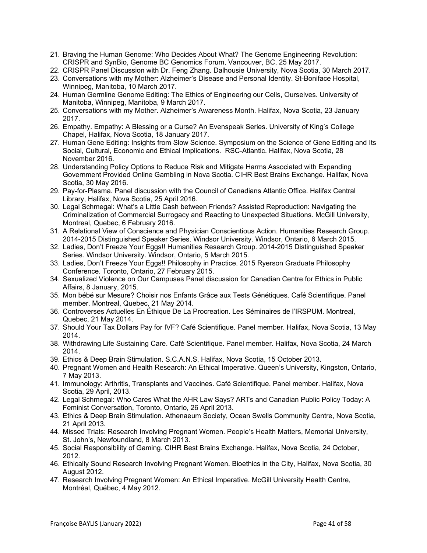- 21. Braving the Human Genome: Who Decides About What? The Genome Engineering Revolution: CRISPR and SynBio, Genome BC Genomics Forum, Vancouver, BC, 25 May 2017.
- 22. CRISPR Panel Discussion with Dr. Feng Zhang. Dalhousie University, Nova Scotia, 30 March 2017.
- 23. Conversations with my Mother: Alzheimer's Disease and Personal Identity. St-Boniface Hospital, Winnipeg, Manitoba, 10 March 2017.
- 24. Human Germline Genome Editing: The Ethics of Engineering our Cells, Ourselves. University of Manitoba, Winnipeg, Manitoba, 9 March 2017.
- 25. Conversations with my Mother. Alzheimer's Awareness Month. Halifax, Nova Scotia, 23 January 2017.
- 26. Empathy. Empathy: A Blessing or a Curse? An Evenspeak Series. University of King's College Chapel, Halifax, Nova Scotia, 18 January 2017.
- 27. Human Gene Editing: Insights from Slow Science. Symposium on the Science of Gene Editing and Its Social, Cultural, Economic and Ethical Implications. RSC-Atlantic. Halifax, Nova Scotia, 28 November 2016.
- 28. Understanding Policy Options to Reduce Risk and Mitigate Harms Associated with Expanding Government Provided Online Gambling in Nova Scotia. CIHR Best Brains Exchange. Halifax, Nova Scotia, 30 May 2016.
- 29. Pay-for-Plasma. Panel discussion with the Council of Canadians Atlantic Office. Halifax Central Library, Halifax, Nova Scotia, 25 April 2016.
- 30. Legal Schmegal: What's a Little Cash between Friends? Assisted Reproduction: Navigating the Criminalization of Commercial Surrogacy and Reacting to Unexpected Situations. McGill University, Montreal, Quebec, 6 February 2016.
- 31. A Relational View of Conscience and Physician Conscientious Action. Humanities Research Group. 2014-2015 Distinguished Speaker Series. Windsor University. Windsor, Ontario, 6 March 2015.
- 32. Ladies, Don't Freeze Your Eggs!! Humanities Research Group. 2014-2015 Distinguished Speaker Series. Windsor University. Windsor, Ontario, 5 March 2015.
- 33. Ladies, Don't Freeze Your Eggs!! Philosophy in Practice. 2015 Ryerson Graduate Philosophy Conference. Toronto, Ontario, 27 February 2015.
- 34. Sexualized Violence on Our Campuses Panel discussion for Canadian Centre for Ethics in Public Affairs, 8 January, 2015.
- 35. Mon bébé sur Mesure? Choisir nos Enfants Grâce aux Tests Génétiques. Café Scientifique. Panel member. Montreal, Quebec, 21 May 2014.
- 36. Controverses Actuelles En Éthique De La Procreation. Les Séminaires de l'IRSPUM. Montreal, Quebec, 21 May 2014.
- 37. Should Your Tax Dollars Pay for IVF? Café Scientifique. Panel member. Halifax, Nova Scotia, 13 May 2014.
- 38. Withdrawing Life Sustaining Care. Café Scientifique. Panel member. Halifax, Nova Scotia, 24 March 2014.
- 39. Ethics & Deep Brain Stimulation. S.C.A.N.S, Halifax, Nova Scotia, 15 October 2013.
- 40. Pregnant Women and Health Research: An Ethical Imperative. Queen's University, Kingston, Ontario, 7 May 2013.
- 41. Immunology: Arthritis, Transplants and Vaccines. Café Scientifique. Panel member. Halifax, Nova Scotia, 29 April, 2013.
- 42. Legal Schmegal: Who Cares What the AHR Law Says? ARTs and Canadian Public Policy Today: A Feminist Conversation, Toronto, Ontario, 26 April 2013.
- 43. Ethics & Deep Brain Stimulation. Athenaeum Society, Ocean Swells Community Centre, Nova Scotia, 21 April 2013.
- 44. Missed Trials: Research Involving Pregnant Women. People's Health Matters, Memorial University, St. John's, Newfoundland, 8 March 2013.
- 45. Social Responsibility of Gaming. CIHR Best Brains Exchange. Halifax, Nova Scotia, 24 October, 2012.
- 46. Ethically Sound Research Involving Pregnant Women. Bioethics in the City, Halifax, Nova Scotia, 30 August 2012.
- 47. Research Involving Pregnant Women: An Ethical Imperative. McGill University Health Centre, Montréal, Québec, 4 May 2012.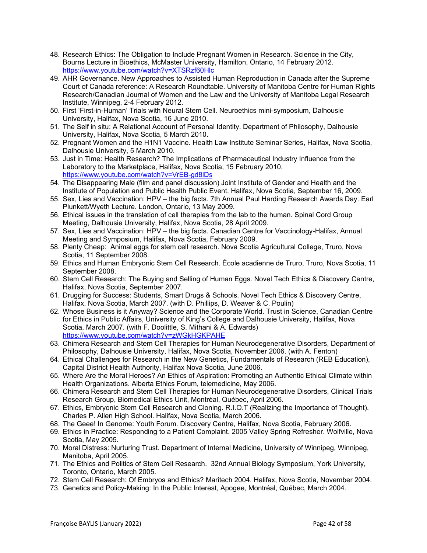- 48. Research Ethics: The Obligation to Include Pregnant Women in Research. Science in the City, Bourns Lecture in Bioethics, McMaster University, Hamilton, Ontario, 14 February 2012. https://www.youtube.com/watch?v=XTSRzf60Hlc
- 49. AHR Governance. New Approaches to Assisted Human Reproduction in Canada after the Supreme Court of Canada reference: A Research Roundtable. University of Manitoba Centre for Human Rights Research/Canadian Journal of Women and the Law and the University of Manitoba Legal Research Institute, Winnipeg, 2-4 February 2012.
- 50. First 'First-in-Human' Trials with Neural Stem Cell. Neuroethics mini-symposium, Dalhousie University, Halifax, Nova Scotia, 16 June 2010.
- 51. The Self in situ: A Relational Account of Personal Identity. Department of Philosophy, Dalhousie University, Halifax, Nova Scotia, 5 March 2010.
- 52. Pregnant Women and the H1N1 Vaccine. Health Law Institute Seminar Series, Halifax, Nova Scotia, Dalhousie University, 5 March 2010.
- 53. Just in Time: Health Research? The Implications of Pharmaceutical Industry Influence from the Laboratory to the Marketplace, Halifax, Nova Scotia, 15 February 2010. https://www.youtube.com/watch?v=VrEB-gd8lDs
- 54. The Disappearing Male (film and panel discussion) Joint Institute of Gender and Health and the Institute of Population and Public Health Public Event. Halifax, Nova Scotia, September 16, 2009.
- 55. Sex, Lies and Vaccination: HPV the big facts. 7th Annual Paul Harding Research Awards Day. Earl Plunkett/Wyeth Lecture. London, Ontario, 13 May 2009.
- 56. Ethical issues in the translation of cell therapies from the lab to the human. Spinal Cord Group Meeting, Dalhousie University, Halifax, Nova Scotia, 28 April 2009.
- 57. Sex, Lies and Vaccination: HPV the big facts. Canadian Centre for Vaccinology-Halifax, Annual Meeting and Symposium, Halifax, Nova Scotia, February 2009.
- 58. Plenty Cheap: Animal eggs for stem cell research. Nova Scotia Agricultural College, Truro, Nova Scotia, 11 September 2008.
- 59. Ethics and Human Embryonic Stem Cell Research. École acadienne de Truro, Truro, Nova Scotia, 11 September 2008.
- 60. Stem Cell Research: The Buying and Selling of Human Eggs. Novel Tech Ethics & Discovery Centre, Halifax, Nova Scotia, September 2007.
- 61. Drugging for Success: Students, Smart Drugs & Schools. Novel Tech Ethics & Discovery Centre, Halifax, Nova Scotia, March 2007. (with D. Phillips, D. Weaver & C. Poulin)
- 62. Whose Business is it Anyway? Science and the Corporate World. Trust in Science, Canadian Centre for Ethics in Public Affairs, University of King's College and Dalhousie University, Halifax, Nova Scotia, March 2007. (with F. Doolittle, S. Mithani & A. Edwards) https://www.youtube.com/watch?v=zWGkHGKPAHE
- 63. Chimera Research and Stem Cell Therapies for Human Neurodegenerative Disorders, Department of Philosophy, Dalhousie University, Halifax, Nova Scotia, November 2006. (with A. Fenton)
- 64. Ethical Challenges for Research in the New Genetics, Fundamentals of Research (REB Education), Capital District Health Authority, Halifax Nova Scotia, June 2006.
- 65. Where Are the Moral Heroes? An Ethics of Aspiration: Promoting an Authentic Ethical Climate within Health Organizations. Alberta Ethics Forum, telemedicine, May 2006.
- 66. Chimera Research and Stem Cell Therapies for Human Neurodegenerative Disorders, Clinical Trials Research Group, Biomedical Ethics Unit, Montréal, Québec, April 2006.
- 67. Ethics, Embryonic Stem Cell Research and Cloning. R.I.O.T (Realizing the Importance of Thought). Charles P. Allen High School. Halifax, Nova Scotia, March 2006.
- 68. The Geee! In Genome: Youth Forum. Discovery Centre, Halifax, Nova Scotia, February 2006.
- 69. Ethics in Practice: Responding to a Patient Complaint. 2005 Valley Spring Refresher. Wolfville, Nova Scotia, May 2005.
- 70. Moral Distress: Nurturing Trust. Department of Internal Medicine, University of Winnipeg, Winnipeg, Manitoba, April 2005.
- 71. The Ethics and Politics of Stem Cell Research. 32nd Annual Biology Symposium, York University, Toronto, Ontario, March 2005.
- 72. Stem Cell Research: Of Embryos and Ethics? Maritech 2004. Halifax, Nova Scotia, November 2004.
- 73. Genetics and Policy-Making: In the Public Interest, Apogee, Montréal, Québec, March 2004.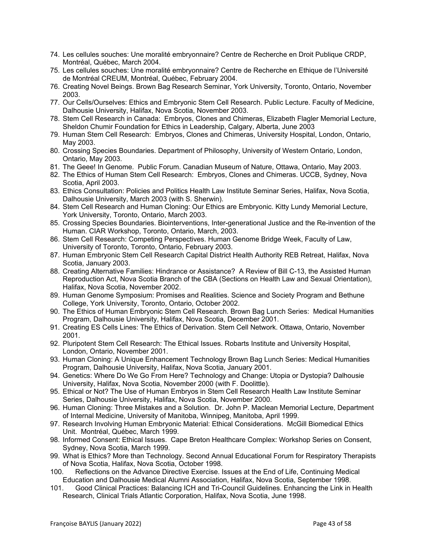- 74. Les cellules souches: Une moralité embryonnaire? Centre de Recherche en Droit Publique CRDP, Montréal, Québec, March 2004.
- 75. Les cellules souches: Une moralité embryonnaire? Centre de Recherche en Ethique de l'Université de Montréal CREUM, Montréal, Québec, February 2004.
- 76. Creating Novel Beings. Brown Bag Research Seminar, York University, Toronto, Ontario, November 2003.
- 77. Our Cells/Ourselves: Ethics and Embryonic Stem Cell Research. Public Lecture. Faculty of Medicine, Dalhousie University, Halifax, Nova Scotia, November 2003.
- 78. Stem Cell Research in Canada: Embryos, Clones and Chimeras, Elizabeth Flagler Memorial Lecture, Sheldon Chumir Foundation for Ethics in Leadership, Calgary, Alberta, June 2003
- 79. Human Stem Cell Research: Embryos, Clones and Chimeras, University Hospital, London, Ontario, May 2003.
- 80. Crossing Species Boundaries. Department of Philosophy, University of Western Ontario, London, Ontario, May 2003.
- 81. The Geee! In Genome. Public Forum. Canadian Museum of Nature, Ottawa, Ontario, May 2003.
- 82. The Ethics of Human Stem Cell Research: Embryos, Clones and Chimeras. UCCB, Sydney, Nova Scotia, April 2003.
- 83. Ethics Consultation: Policies and Politics Health Law Institute Seminar Series, Halifax, Nova Scotia, Dalhousie University, March 2003 (with S. Sherwin).
- 84. Stem Cell Research and Human Cloning: Our Ethics are Embryonic. Kitty Lundy Memorial Lecture, York University, Toronto, Ontario, March 2003.
- 85. Crossing Species Boundaries. Biointerventions, Inter-generational Justice and the Re-invention of the Human. CIAR Workshop, Toronto, Ontario, March, 2003.
- 86. Stem Cell Research: Competing Perspectives. Human Genome Bridge Week, Faculty of Law, University of Toronto, Toronto, Ontario, February 2003.
- 87. Human Embryonic Stem Cell Research Capital District Health Authority REB Retreat, Halifax, Nova Scotia, January 2003.
- 88. Creating Alternative Families: Hindrance or Assistance? A Review of Bill C-13, the Assisted Human Reproduction Act, Nova Scotia Branch of the CBA (Sections on Health Law and Sexual Orientation), Halifax, Nova Scotia, November 2002.
- 89. Human Genome Symposium: Promises and Realities. Science and Society Program and Bethune College, York University, Toronto, Ontario, October 2002.
- 90. The Ethics of Human Embryonic Stem Cell Research. Brown Bag Lunch Series: Medical Humanities Program, Dalhousie University, Halifax, Nova Scotia, December 2001.
- 91. Creating ES Cells Lines: The Ethics of Derivation. Stem Cell Network. Ottawa, Ontario, November 2001.
- 92. Pluripotent Stem Cell Research: The Ethical Issues. Robarts Institute and University Hospital, London, Ontario, November 2001.
- 93. Human Cloning: A Unique Enhancement Technology Brown Bag Lunch Series: Medical Humanities Program, Dalhousie University, Halifax, Nova Scotia, January 2001.
- 94. Genetics: Where Do We Go From Here? Technology and Change: Utopia or Dystopia? Dalhousie University, Halifax, Nova Scotia, November 2000 (with F. Doolittle).
- 95. Ethical or Not? The Use of Human Embryos in Stem Cell Research Health Law Institute Seminar Series, Dalhousie University, Halifax, Nova Scotia, November 2000.
- 96. Human Cloning: Three Mistakes and a Solution. Dr. John P. Maclean Memorial Lecture, Department of Internal Medicine, University of Manitoba, Winnipeg, Manitoba, April 1999.
- 97. Research Involving Human Embryonic Material: Ethical Considerations. McGill Biomedical Ethics Unit. Montréal, Québec, March 1999.
- 98. Informed Consent: Ethical Issues. Cape Breton Healthcare Complex: Workshop Series on Consent, Sydney, Nova Scotia, March 1999.
- 99. What is Ethics? More than Technology. Second Annual Educational Forum for Respiratory Therapists of Nova Scotia, Halifax, Nova Scotia, October 1998.
- 100. Reflections on the Advance Directive Exercise. Issues at the End of Life, Continuing Medical Education and Dalhousie Medical Alumni Association, Halifax, Nova Scotia, September 1998.
- 101. Good Clinical Practices: Balancing ICH and Tri-Council Guidelines. Enhancing the Link in Health Research, Clinical Trials Atlantic Corporation, Halifax, Nova Scotia, June 1998.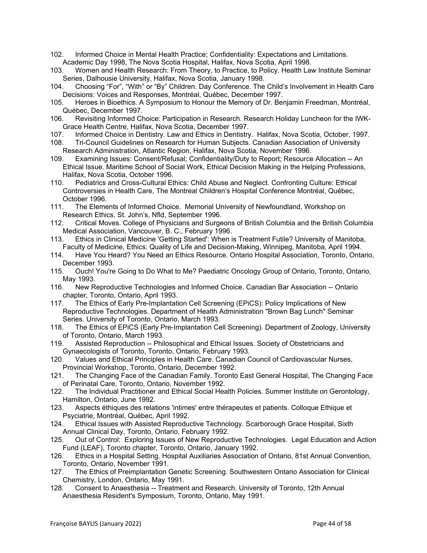- 102. Informed Choice in Mental Health Practice; Confidentiality: Expectations and Limitations. Academic Day 1998, The Nova Scotia Hospital, Halifax, Nova Scotia, April 1998.
- 103. Women and Health Research: From Theory, to Practice, to Policy. Health Law Institute Seminar Series, Dalhousie University, Halifax, Nova Scotia, January 1998.
- 104. Choosing "For", "With" or "By" Children. Day Conference. The Child's Involvement in Health Care Decisions: Voices and Responses, Montréal, Québec, December 1997.
- 105. Heroes in Bioethics. A Symposium to Honour the Memory of Dr. Benjamin Freedman, Montréal, Québec, December 1997.
- 106. Revisiting Informed Choice: Participation in Research. Research Holiday Luncheon for the IWK-Grace Health Centre, Halifax, Nova Scotia, December 1997.
- 107. Informed Choice in Dentistry. Law and Ethics in Dentistry. Halifax, Nova Scotia, October, 1997.
- 108. Tri-Council Guidelines on Research for Human Subjects. Canadian Association of University Research Administration, Atlantic Region, Halifax, Nova Scotia, November 1996.
- 109. Examining Issues: Consent/Refusal; Confidentiality/Duty to Report; Resource Allocation -- An Ethical Issue. Maritime School of Social Work, Ethical Decision Making in the Helping Professions, Halifax, Nova Scotia, October 1996.
- 110. Pediatrics and Cross-Cultural Ethics: Child Abuse and Neglect. Confronting Culture: Ethical Controversies in Health Care, The Montreal Children's Hospital Conference Montréal, Québec, October 1996.
- 111. The Elements of Informed Choice. Memorial University of Newfoundland, Workshop on Research Ethics, St. John's, Nfld, September 1996.
- 112. Critical Moves. College of Physicians and Surgeons of British Columbia and the British Columbia Medical Association, Vancouver, B. C., February 1996.
- 113. Ethics in Clinical Medicine 'Getting Started': When is Treatment Futile? University of Manitoba, Faculty of Medicine, Ethics: Quality of Life and Decision-Making, Winnipeg, Manitoba, April 1994.
- 114. Have You Heard? You Need an Ethics Resource. Ontario Hospital Association, Toronto, Ontario, December 1993.
- 115. Ouch! You're Going to Do What to Me? Paediatric Oncology Group of Ontario, Toronto, Ontario, May 1993.
- 116. New Reproductive Technologies and Informed Choice. Canadian Bar Association -- Ontario chapter, Toronto, Ontario, April 1993.
- 117. The Ethics of Early Pre-Implantation Cell Screening (EPiCS): Policy Implications of New Reproductive Technologies. Department of Health Administration "Brown Bag Lunch" Seminar Series. University of Toronto, Ontario, March 1993.
- 118. The Ethics of EPiCS (Early Pre-Implantation Cell Screening). Department of Zoology, University of Toronto, Ontario, March 1993.
- 119. Assisted Reproduction -- Philosophical and Ethical Issues. Society of Obstetricians and Gynaecologists of Toronto, Toronto, Ontario, February 1993.
- 120. Values and Ethical Principles in Health Care. Canadian Council of Cardiovascular Nurses, Provincial Workshop, Toronto, Ontario, December 1992.
- 121. The Changing Face of the Canadian Family. Toronto East General Hospital, The Changing Face of Perinatal Care, Toronto, Ontario, November 1992.
- 122. The Individual Practitioner and Ethical Social Health Policies. Summer Institute on Gerontology, Hamilton, Ontario, June 1992.
- 123. Aspects éthiques des relations 'intimes' entre thérapeutes et patients. Colloque Ethique et Psyciatrie, Montréal, Québec, April 1992.
- 124. Ethical Issues with Assisted Reproductive Technology. Scarborough Grace Hospital, Sixth Annual Clinical Day, Toronto, Ontario, February 1992.
- 125. Out of Control: Exploring Issues of New Reproductive Technologies. Legal Education and Action Fund (LEAF), Toronto chapter, Toronto, Ontario, January 1992.
- 126. Ethics in a Hospital Setting. Hospital Auxiliaries Association of Ontario, 81st Annual Convention, Toronto, Ontario, November 1991.
- 127. The Ethics of Preimplantation Genetic Screening. Southwestern Ontario Association for Clinical Chemistry, London, Ontario, May 1991.
- 128. Consent to Anaesthesia -- Treatment and Research. University of Toronto, 12th Annual Anaesthesia Resident's Symposium, Toronto, Ontario, May 1991.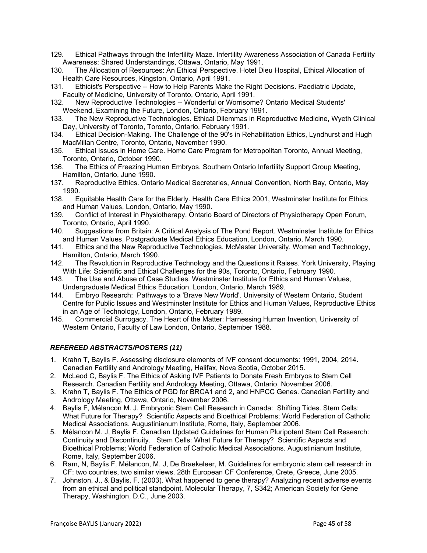- 129. Ethical Pathways through the Infertility Maze. Infertility Awareness Association of Canada Fertility Awareness: Shared Understandings, Ottawa, Ontario, May 1991.
- 130. The Allocation of Resources: An Ethical Perspective. Hotel Dieu Hospital, Ethical Allocation of Health Care Resources, Kingston, Ontario, April 1991.
- 131. Ethicist's Perspective -- How to Help Parents Make the Right Decisions. Paediatric Update, Faculty of Medicine, University of Toronto, Ontario, April 1991.
- 132. New Reproductive Technologies -- Wonderful or Worrisome? Ontario Medical Students' Weekend, Examining the Future, London, Ontario, February 1991.
- 133. The New Reproductive Technologies. Ethical Dilemmas in Reproductive Medicine, Wyeth Clinical Day, University of Toronto, Toronto, Ontario, February 1991.
- 134. Ethical Decision-Making. The Challenge of the 90's in Rehabilitation Ethics, Lyndhurst and Hugh MacMillan Centre, Toronto, Ontario, November 1990.
- 135. Ethical Issues in Home Care. Home Care Program for Metropolitan Toronto, Annual Meeting, Toronto, Ontario, October 1990.
- 136. The Ethics of Freezing Human Embryos. Southern Ontario Infertility Support Group Meeting, Hamilton, Ontario, June 1990.
- 137. Reproductive Ethics. Ontario Medical Secretaries, Annual Convention, North Bay, Ontario, May 1990.
- 138. Equitable Health Care for the Elderly. Health Care Ethics 2001, Westminster Institute for Ethics and Human Values, London, Ontario, May 1990.
- 139. Conflict of Interest in Physiotherapy. Ontario Board of Directors of Physiotherapy Open Forum, Toronto, Ontario, April 1990.
- 140. Suggestions from Britain: A Critical Analysis of The Pond Report. Westminster Institute for Ethics and Human Values, Postgraduate Medical Ethics Education, London, Ontario, March 1990.
- 141. Ethics and the New Reproductive Technologies. McMaster University, Women and Technology, Hamilton, Ontario, March 1990.
- 142. The Revolution in Reproductive Technology and the Questions it Raises. York University, Playing With Life: Scientific and Ethical Challenges for the 90s, Toronto, Ontario, February 1990.
- 143. The Use and Abuse of Case Studies. Westminster Institute for Ethics and Human Values, Undergraduate Medical Ethics Education, London, Ontario, March 1989.
- 144. Embryo Research: Pathways to a 'Brave New World'. University of Western Ontario, Student Centre for Public Issues and Westminster Institute for Ethics and Human Values, Reproductive Ethics in an Age of Technology, London, Ontario, February 1989.
- 145. Commercial Surrogacy. The Heart of the Matter: Harnessing Human Invention, University of Western Ontario, Faculty of Law London, Ontario, September 1988.

### *REFEREED ABSTRACTS/POSTERS (11)*

- 1. Krahn T, Baylis F. Assessing disclosure elements of IVF consent documents: 1991, 2004, 2014. Canadian Fertility and Andrology Meeting, Halifax, Nova Scotia, October 2015.
- 2. McLeod C, Baylis F. The Ethics of Asking IVF Patients to Donate Fresh Embryos to Stem Cell Research. Canadian Fertility and Andrology Meeting, Ottawa, Ontario, November 2006.
- 3. Krahn T, Baylis F. The Ethics of PGD for BRCA1 and 2, and HNPCC Genes. Canadian Fertility and Andrology Meeting, Ottawa, Ontario, November 2006.
- 4. Baylis F, Mélancon M. J. Embryonic Stem Cell Research in Canada: Shifting Tides. Stem Cells: What Future for Therapy? Scientific Aspects and Bioethical Problems; World Federation of Catholic Medical Associations. Augustinianum Institute, Rome, Italy, September 2006.
- 5. Mélancon M. J, Baylis F. Canadian Updated Guidelines for Human Pluripotent Stem Cell Research: Continuity and Discontinuity. Stem Cells: What Future for Therapy? Scientific Aspects and Bioethical Problems; World Federation of Catholic Medical Associations. Augustinianum Institute, Rome, Italy, September 2006.
- 6. Ram, N, Baylis F, Mélancon, M. J, De Braekeleer, M. Guidelines for embryonic stem cell research in CF: two countries, two similar views. 28th European CF Conference, Crete, Greece, June 2005.
- 7. Johnston, J., & Baylis, F. (2003). What happened to gene therapy? Analyzing recent adverse events from an ethical and political standpoint. Molecular Therapy, 7, S342; American Society for Gene Therapy, Washington, D.C., June 2003.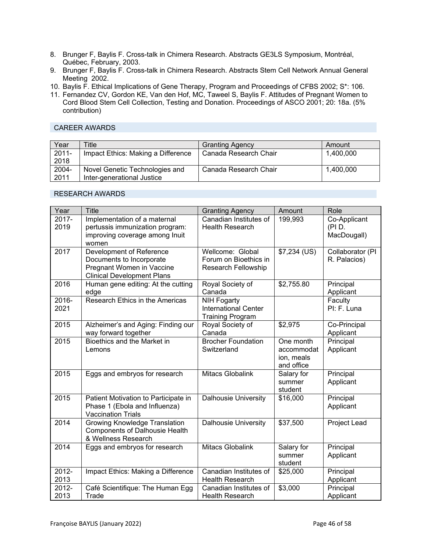- 8. Brunger F, Baylis F. Cross-talk in Chimera Research. Abstracts GE3LS Symposium, Montréal, Québec, February, 2003.
- 9. Brunger F, Baylis F. Cross-talk in Chimera Research. Abstracts Stem Cell Network Annual General Meeting 2002.
- 10. Baylis F. Ethical Implications of Gene Therapy, Program and Proceedings of CFBS 2002; S\*: 106.
- 11. Fernandez CV, Gordon KE, Van den Hof, MC, Taweel S, Baylis F. Attitudes of Pregnant Women to Cord Blood Stem Cell Collection, Testing and Donation. Proceedings of ASCO 2001; 20: 18a. (5% contribution)

### CAREER AWARDS

| Year     | Title                              | <b>Granting Agency</b> | Amount    |
|----------|------------------------------------|------------------------|-----------|
| $2011 -$ | Impact Ethics: Making a Difference | Canada Research Chair  | 1,400,000 |
| 2018     |                                    |                        |           |
| 2004-    | Novel Genetic Technologies and     | Canada Research Chair  | 1,400,000 |
| 2011     | Inter-generational Justice         |                        |           |

### RESEARCH AWARDS

| Year             | <b>Title</b>                                                                                                           | <b>Granting Agency</b>                                                       | Amount                                              | Role                                 |
|------------------|------------------------------------------------------------------------------------------------------------------------|------------------------------------------------------------------------------|-----------------------------------------------------|--------------------------------------|
| 2017-<br>2019    | Implementation of a maternal<br>pertussis immunization program:<br>improving coverage among Inuit<br>women             | Canadian Institutes of<br><b>Health Research</b>                             | 199,993                                             | Co-Applicant<br>(PID.<br>MacDougall) |
| 2017             | Development of Reference<br>Documents to Incorporate<br>Pregnant Women in Vaccine<br><b>Clinical Development Plans</b> | Wellcome: Global<br>Forum on Bioethics in<br>Research Fellowship             | \$7,234 (US)                                        | Collaborator (PI<br>R. Palacios)     |
| 2016             | Human gene editing: At the cutting<br>edge                                                                             | Royal Society of<br>Canada                                                   | \$2,755.80                                          | Principal<br>Applicant               |
| 2016-<br>2021    | Research Ethics in the Americas                                                                                        | <b>NIH Fogarty</b><br><b>International Center</b><br><b>Training Program</b> |                                                     | Faculty<br>PI: F. Luna               |
| 2015             | Alzheimer's and Aging: Finding our<br>way forward together                                                             | Royal Society of<br>Canada                                                   | \$2,975                                             | Co-Principal<br>Applicant            |
| 2015             | Bioethics and the Market in<br>Lemons                                                                                  | <b>Brocher Foundation</b><br>Switzerland                                     | One month<br>accommodat<br>ion, meals<br>and office | Principal<br>Applicant               |
| 2015             | Eggs and embryos for research                                                                                          | Mitacs Globalink                                                             | Salary for<br>summer<br>student                     | Principal<br>Applicant               |
| 2015             | Patient Motivation to Participate in<br>Phase 1 (Ebola and Influenza)<br><b>Vaccination Trials</b>                     | Dalhousie University                                                         | \$16,000                                            | Principal<br>Applicant               |
| 2014             | <b>Growing Knowledge Translation</b><br><b>Components of Dalhousie Health</b><br>& Wellness Research                   | <b>Dalhousie University</b>                                                  | \$37,500                                            | Project Lead                         |
| 2014             | Eggs and embryos for research                                                                                          | Mitacs Globalink                                                             | Salary for<br>summer<br>student                     | Principal<br>Applicant               |
| $2012 -$<br>2013 | Impact Ethics: Making a Difference                                                                                     | Canadian Institutes of<br><b>Health Research</b>                             | \$25,000                                            | Principal<br>Applicant               |
| 2012-<br>2013    | Café Scientifique: The Human Egg<br>Trade                                                                              | Canadian Institutes of<br><b>Health Research</b>                             | \$3,000                                             | Principal<br>Applicant               |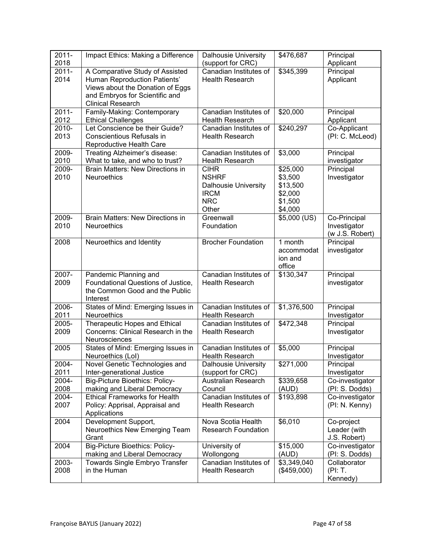| $2011 -$<br>2018 | Impact Ethics: Making a Difference                                                                                                    | <b>Dalhousie University</b><br>(support for CRC)                                                 | \$476,687                                                        | Principal<br>Applicant                          |
|------------------|---------------------------------------------------------------------------------------------------------------------------------------|--------------------------------------------------------------------------------------------------|------------------------------------------------------------------|-------------------------------------------------|
| $2011 -$<br>2014 | A Comparative Study of Assisted<br>Human Reproduction Patients'<br>Views about the Donation of Eggs<br>and Embryos for Scientific and | Canadian Institutes of<br><b>Health Research</b>                                                 | \$345,399                                                        | Principal<br>Applicant                          |
|                  | <b>Clinical Research</b>                                                                                                              |                                                                                                  |                                                                  |                                                 |
| $2011 -$<br>2012 | Family-Making: Contemporary<br><b>Ethical Challenges</b>                                                                              | Canadian Institutes of<br><b>Health Research</b>                                                 | \$20,000                                                         | Principal<br>Applicant                          |
| 2010-<br>2013    | Let Conscience be their Guide?<br>Conscientious Refusals in<br>Reproductive Health Care                                               | Canadian Institutes of<br><b>Health Research</b>                                                 | \$240,297                                                        | Co-Applicant<br>(PI: C. McLeod)                 |
| 2009-<br>2010    | Treating Alzheimer's disease:<br>What to take, and who to trust?                                                                      | Canadian Institutes of<br><b>Health Research</b>                                                 | \$3,000                                                          | Principal<br>investigator                       |
| 2009-<br>2010    | <b>Brain Matters: New Directions in</b><br><b>Neuroethics</b>                                                                         | <b>CIHR</b><br><b>NSHRF</b><br><b>Dalhousie University</b><br><b>IRCM</b><br><b>NRC</b><br>Other | \$25,000<br>\$3,500<br>\$13,500<br>\$2,000<br>\$1,500<br>\$4,000 | Principal<br>Investigator                       |
| 2009-<br>2010    | <b>Brain Matters: New Directions in</b><br>Neuroethics                                                                                | Greenwall<br>Foundation                                                                          | \$5,000 (US)                                                     | Co-Principal<br>Investigator<br>(w J.S. Robert) |
| 2008             | Neuroethics and Identity                                                                                                              | <b>Brocher Foundation</b>                                                                        | 1 month<br>accommodat<br>ion and<br>office                       | Principal<br>investigator                       |
| 2007-<br>2009    | Pandemic Planning and<br>Foundational Questions of Justice,<br>the Common Good and the Public<br>Interest                             | Canadian Institutes of<br><b>Health Research</b>                                                 | \$130,347                                                        | Principal<br>investigator                       |
| 2006-<br>2011    | States of Mind: Emerging Issues in<br>Neuroethics                                                                                     | Canadian Institutes of<br><b>Health Research</b>                                                 | \$1,376,500                                                      | Principal<br>Investigator                       |
| 2005-<br>2009    | Therapeutic Hopes and Ethical<br>Concerns: Clinical Research in the<br>Neurosciences                                                  | Canadian Institutes of<br><b>Health Research</b>                                                 | \$472,348                                                        | Principal<br>Investigator                       |
| 2005             | States of Mind: Emerging Issues in<br>Neuroethics (Lol)                                                                               | Canadian Institutes of<br><b>Health Research</b>                                                 | \$5,000                                                          | Principal<br>Investigator                       |
| 2004-<br>2011    | Novel Genetic Technologies and<br>Inter-generational Justice                                                                          | Dalhousie University<br>(support for CRC)                                                        | \$271,000                                                        | Principal<br>Investigator                       |
| 2004-<br>2008    | <b>Big-Picture Bioethics: Policy-</b><br>making and Liberal Democracy                                                                 | <b>Australian Research</b><br>Council                                                            | \$339,658<br>(AUD)                                               | Co-investigator<br>(PI: S. Dodds)               |
| 2004-<br>2007    | <b>Ethical Frameworks for Health</b><br>Policy: Apprisal, Appraisal and<br>Applications                                               | Canadian Institutes of<br>Health Research                                                        | \$193,898                                                        | Co-investigator<br>(PI: N. Kenny)               |
| 2004             | Development Support,<br>Neuroethics New Emerging Team<br>Grant                                                                        | Nova Scotia Health<br><b>Research Foundation</b>                                                 | \$6,010                                                          | Co-project<br>Leader (with<br>J.S. Robert)      |
| 2004             | <b>Big-Picture Bioethics: Policy-</b><br>making and Liberal Democracy                                                                 | University of<br>Wollongong                                                                      | \$15,000<br>(AUD)                                                | Co-investigator<br>(PI: S. Dodds)               |
| 2003-<br>2008    | Towards Single Embryo Transfer<br>in the Human                                                                                        | Canadian Institutes of<br>Health Research                                                        | \$3,349,040<br>(\$459,000)                                       | Collaborator<br>(PI: T.<br>Kennedy)             |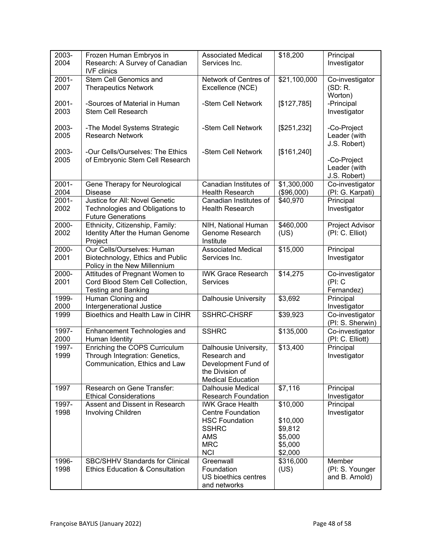| 2003-<br>2004    | Frozen Human Embryos in<br>Research: A Survey of Canadian<br><b>IVF</b> clinics                  | <b>Associated Medical</b><br>Services Inc.                                                                                      | \$18,200                                                         | Principal<br>Investigator                   |
|------------------|--------------------------------------------------------------------------------------------------|---------------------------------------------------------------------------------------------------------------------------------|------------------------------------------------------------------|---------------------------------------------|
| 2001-<br>2007    | Stem Cell Genomics and<br><b>Therapeutics Network</b>                                            | Network of Centres of<br>Excellence (NCE)                                                                                       | \$21,100,000                                                     | Co-investigator<br>(SD: R.<br>Worton)       |
| $2001 -$<br>2003 | -Sources of Material in Human<br><b>Stem Cell Research</b>                                       | -Stem Cell Network                                                                                                              | [\$127,785]                                                      | -Principal<br>Investigator                  |
| 2003-<br>2005    | -The Model Systems Strategic<br><b>Research Network</b>                                          | -Stem Cell Network                                                                                                              | [\$251,232]                                                      | -Co-Project<br>Leader (with<br>J.S. Robert) |
| 2003-<br>2005    | -Our Cells/Ourselves: The Ethics<br>of Embryonic Stem Cell Research                              | -Stem Cell Network                                                                                                              | [\$161,240]                                                      | -Co-Project<br>Leader (with<br>J.S. Robert) |
| $2001 -$<br>2004 | Gene Therapy for Neurological<br><b>Disease</b>                                                  | Canadian Institutes of<br><b>Health Research</b>                                                                                | \$1,300,000<br>(\$96,000)                                        | Co-investigator<br>(PI: G. Karpati)         |
| $2001 -$<br>2002 | Justice for All: Novel Genetic<br>Technologies and Obligations to<br><b>Future Generations</b>   | Canadian Institutes of<br><b>Health Research</b>                                                                                | \$40,970                                                         | Principal<br>Investigator                   |
| 2000-<br>2002    | Ethnicity, Citizenship, Family:<br>Identity After the Human Genome<br>Project                    | NIH, National Human<br>Genome Research<br>Institute                                                                             | \$460,000<br>(US)                                                | Project Advisor<br>(PI: C. Elliot)          |
| 2000-<br>2001    | Our Cells/Ourselves: Human<br>Biotechnology, Ethics and Public                                   | <b>Associated Medical</b><br>Services Inc.                                                                                      | \$15,000                                                         | Principal<br>Investigator                   |
|                  | Policy in the New Millennium                                                                     |                                                                                                                                 |                                                                  |                                             |
| 2000-<br>2001    | Attitudes of Pregnant Women to<br>Cord Blood Stem Cell Collection,<br><b>Testing and Banking</b> | <b>IWK Grace Research</b><br><b>Services</b>                                                                                    | \$14,275                                                         | Co-investigator<br>(PI: C)<br>Fernandez)    |
| 1999-<br>2000    | Human Cloning and<br>Intergenerational Justice                                                   | <b>Dalhousie University</b>                                                                                                     | \$3,692                                                          | Principal<br>Investigator                   |
| 1999             | Bioethics and Health Law in CIHR                                                                 | <b>SSHRC-CHSRF</b>                                                                                                              | \$39,923                                                         | Co-investigator<br>(PI: S. Sherwin)         |
| 1997-<br>2000    | Enhancement Technologies and<br>Human Identity                                                   | <b>SSHRC</b>                                                                                                                    | \$135,000                                                        | Co-investigator<br>(PI: C. Elliott)         |
| 1997-<br>1999    | Enriching the COPS Curriculum<br>Through Integration: Genetics,<br>Communication, Ethics and Law | Dalhousie University,<br>Research and<br>Development Fund of<br>the Division of<br><b>Medical Education</b>                     | \$13,400                                                         | Principal<br>Investigator                   |
| 1997             | Research on Gene Transfer:<br><b>Ethical Considerations</b>                                      | <b>Dalhousie Medical</b><br><b>Research Foundation</b>                                                                          | \$7,116                                                          | Principal<br>Investigator                   |
| 1997-<br>1998    | Assent and Dissent in Research<br>Involving Children                                             | <b>IWK Grace Health</b><br><b>Centre Foundation</b><br><b>HSC Foundation</b><br><b>SSHRC</b><br>AMS<br><b>MRC</b><br><b>NCI</b> | \$10,000<br>\$10,000<br>\$9,812<br>\$5,000<br>\$5,000<br>\$2,000 | Principal<br>Investigator                   |
| 1996-<br>1998    | <b>SBC/SHHV Standards for Clinical</b><br><b>Ethics Education &amp; Consultation</b>             | Greenwall<br>Foundation<br>US bioethics centres<br>and networks                                                                 | \$316,000<br>(US)                                                | Member<br>(PI: S. Younger<br>and B. Arnold) |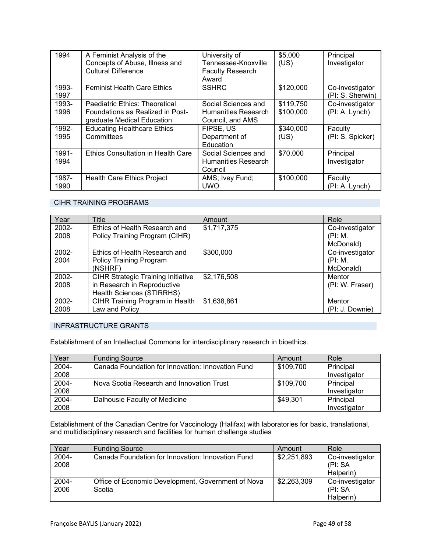| 1994          | A Feminist Analysis of the<br>Concepts of Abuse, Illness and<br><b>Cultural Difference</b>       | University of<br>Tennessee-Knoxville<br><b>Faculty Research</b><br>Award | \$5,000<br>(US)        | Principal<br>Investigator           |
|---------------|--------------------------------------------------------------------------------------------------|--------------------------------------------------------------------------|------------------------|-------------------------------------|
| 1993-<br>1997 | <b>Feminist Health Care Ethics</b>                                                               | <b>SSHRC</b>                                                             | \$120,000              | Co-investigator<br>(PI: S. Sherwin) |
| 1993-<br>1996 | Paediatric Ethics: Theoretical<br>Foundations as Realized in Post-<br>graduate Medical Education | Social Sciences and<br>Humanities Research<br>Council, and AMS           | \$119,750<br>\$100,000 | Co-investigator<br>(PI: A. Lynch)   |
| 1992-<br>1995 | <b>Educating Healthcare Ethics</b><br>Committees                                                 | FIPSE, US<br>Department of<br>Education                                  | \$340,000<br>(US)      | Faculty<br>(PI: S. Spicker)         |
| 1991-<br>1994 | <b>Ethics Consultation in Health Care</b>                                                        | Social Sciences and<br>Humanities Research<br>Council                    | \$70,000               | Principal<br>Investigator           |
| 1987-<br>1990 | <b>Health Care Ethics Project</b>                                                                | AMS; Ivey Fund;<br><b>UWO</b>                                            | \$100,000              | Faculty<br>(PI: A. Lynch)           |

### CIHR TRAINING PROGRAMS

| Year  | <b>Title</b>                              | Amount      | Role            |
|-------|-------------------------------------------|-------------|-----------------|
| 2002- | Ethics of Health Research and             | \$1,717,375 | Co-investigator |
| 2008  | Policy Training Program (CIHR)            |             | (PI: M.         |
|       |                                           |             | McDonald)       |
| 2002- | Ethics of Health Research and             | \$300,000   | Co-investigator |
| 2004  | <b>Policy Training Program</b>            |             | (PI: M.         |
|       | (NSHRF)                                   |             | McDonald)       |
| 2002- | <b>CIHR Strategic Training Initiative</b> | \$2,176,508 | Mentor          |
| 2008  | in Research in Reproductive               |             | (PI: W. Fraser) |
|       | Health Sciences (STIRRHS)                 |             |                 |
| 2002- | CIHR Training Program in Health           | \$1,638,861 | Mentor          |
| 2008  | Law and Policy                            |             | (PI: J. Downie) |

### INFRASTRUCTURE GRANTS

Establishment of an Intellectual Commons for interdisciplinary research in bioethics.

| Year  | <b>Funding Source</b>                             | Amount    | Role         |
|-------|---------------------------------------------------|-----------|--------------|
| 2004- | Canada Foundation for Innovation: Innovation Fund | \$109,700 | Principal    |
| 2008  |                                                   |           | Investigator |
| 2004- | Nova Scotia Research and Innovation Trust         | \$109,700 | Principal    |
| 2008  |                                                   |           | Investigator |
| 2004- | Dalhousie Faculty of Medicine                     | \$49,301  | Principal    |
| 2008  |                                                   |           | Investigator |

Establishment of the Canadian Centre for Vaccinology (Halifax) with laboratories for basic, translational, and multidisciplinary research and facilities for human challenge studies

| Year          | <b>Funding Source</b>                                        | Amount      | Role                                    |
|---------------|--------------------------------------------------------------|-------------|-----------------------------------------|
| 2004-<br>2008 | Canada Foundation for Innovation: Innovation Fund            | \$2,251,893 | Co-investigator<br>(PI: SA              |
|               |                                                              |             | Halperin)                               |
| 2004-<br>2006 | Office of Economic Development, Government of Nova<br>Scotia | \$2,263,309 | Co-investigator<br>(PI: SA<br>Halperin) |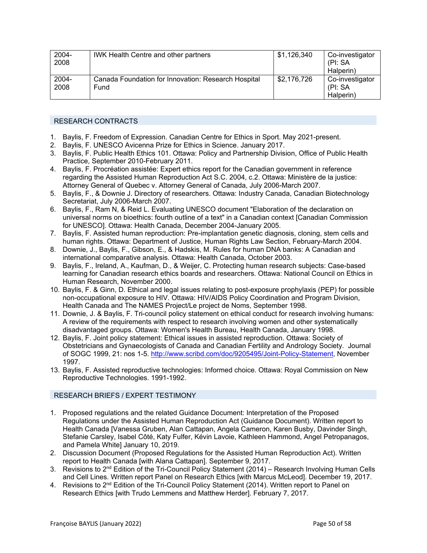| 2004-<br>2008 | <b>IWK Health Centre and other partners</b>                 | \$1,126,340 | Co-investigator<br>(PI: SA)<br>Halperin) |
|---------------|-------------------------------------------------------------|-------------|------------------------------------------|
| 2004-<br>2008 | Canada Foundation for Innovation: Research Hospital<br>Fund | \$2,176,726 | Co-investigator<br>(PI: SA)<br>Halperin) |

#### RESEARCH CONTRACTS

- 1. Baylis, F. Freedom of Expression. Canadian Centre for Ethics in Sport. May 2021-present.
- 2. Baylis, F. UNESCO Avicenna Prize for Ethics in Science. January 2017.
- 3. Baylis, F. Public Health Ethics 101. Ottawa: Policy and Partnership Division, Office of Public Health Practice, September 2010-February 2011.
- 4. Baylis, F. Procréation assistée: Expert ethics report for the Canadian government in reference regarding the Assisted Human Reproduction Act S.C. 2004, c.2. Ottawa: Ministère de la justice: Attorney General of Quebec v. Attorney General of Canada, July 2006-March 2007.
- 5. Baylis, F., & Downie J. Directory of researchers. Ottawa: Industry Canada, Canadian Biotechnology Secretariat, July 2006-March 2007.
- 6. Baylis, F., Ram N, & Reid L. Evaluating UNESCO document "Elaboration of the declaration on universal norms on bioethics: fourth outline of a text" in a Canadian context [Canadian Commission for UNESCO]. Ottawa: Health Canada, December 2004-January 2005.
- 7. Baylis, F. Assisted human reproduction: Pre-implantation genetic diagnosis, cloning, stem cells and human rights. Ottawa: Department of Justice, Human Rights Law Section, February-March 2004.
- 8. Downie, J., Baylis, F., Gibson, E., & Hadskis, M. Rules for human DNA banks: A Canadian and international comparative analysis. Ottawa: Health Canada, October 2003.
- 9. Baylis, F., Ireland, A., Kaufman, D., & Weijer, C. Protecting human research subjects: Case-based learning for Canadian research ethics boards and researchers. Ottawa: National Council on Ethics in Human Research, November 2000.
- 10. Baylis, F. & Ginn, D. Ethical and legal issues relating to post-exposure prophylaxis (PEP) for possible non-occupational exposure to HIV. Ottawa: HIV/AIDS Policy Coordination and Program Division, Health Canada and The NAMES Project/Le project de Noms, September 1998.
- 11. Downie, J. & Baylis, F. Tri-council policy statement on ethical conduct for research involving humans: A review of the requirements with respect to research involving women and other systematically disadvantaged groups. Ottawa: Women's Health Bureau, Health Canada, January 1998.
- 12. Baylis, F. Joint policy statement: Ethical issues in assisted reproduction. Ottawa: Society of Obstetricians and Gynaecologists of Canada and Canadian Fertility and Andrology Society. Journal of SOGC 1999, 21: nos 1-5. http://www.scribd.com/doc/9205495/Joint-Policy-Statement, November 1997.
- 13. Baylis, F. Assisted reproductive technologies: Informed choice. Ottawa: Royal Commission on New Reproductive Technologies. 1991-1992.

### RESEARCH BRIEFS / EXPERT TESTIMONY

- 1. Proposed regulations and the related Guidance Document: Interpretation of the Proposed Regulations under the Assisted Human Reproduction Act (Guidance Document). Written report to Health Canada [Vanessa Gruben, Alan Cattapan, Angela Cameron, Karen Busby, Davinder Singh, Stefanie Carsley, Isabel Côté, Katy Fulfer, Kévin Lavoie, Kathleen Hammond, Angel Petropanagos, and Pamela White] January 10, 2019.
- 2. Discussion Document (Proposed Regulations for the Assisted Human Reproduction Act). Written report to Health Canada [with Alana Cattapan]. September 9, 2017.
- 3. Revisions to 2<sup>nd</sup> Edition of the Tri-Council Policy Statement (2014) Research Involving Human Cells and Cell Lines. Written report Panel on Research Ethics [with Marcus McLeod]. December 19, 2017.
- 4. Revisions to 2nd Edition of the Tri-Council Policy Statement (2014). Written report to Panel on Research Ethics [with Trudo Lemmens and Matthew Herder]. February 7, 2017.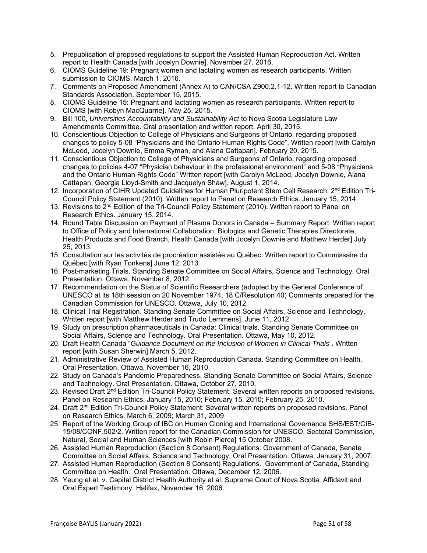- 5. Prepublication of proposed regulations to support the Assisted Human Reproduction Act. Written report to Health Canada [with Jocelyn Downie]. November 27, 2016.
- 6. CIOMS Guideline 19: Pregnant women and lactating women as research participants. Written submission to CIOMS. March 1, 2016.
- 7. Comments on Proposed Amendment (Annex A) to CAN/CSA Z900.2.1-12. Written report to Canadian Standards Association. September 15, 2015.
- 8. CIOMS Guideline 15: Pregnant and lactating women as research participants. Written report to CIOMS [with Robyn MacQuarrie]. May 25, 2015.
- 9. Bill 100, *Universities Accountability and Sustainability Act* to Nova Scotia Legislature Law Amendments Committee. Oral presentation and written report. April 30, 2015.
- 10. Conscientious Objection to College of Physicians and Surgeons of Ontario, regarding proposed changes to policy 5-08 "Physicians and the Ontario Human Rights Code". Written report [with Carolyn McLeod, Jocelyn Downie, Emma Ryman, and Alana Cattapan]. February 20, 2015.
- 11. Conscientious Objection to College of Physicians and Surgeons of Ontario, regarding proposed changes to policies 4-07 "Physician behaviour in the professional environment" and 5-08 "Physicians and the Ontario Human Rights Code" Written report [with Carolyn McLeod, Jocelyn Downie, Alana Cattapan, Georgia Lloyd-Smith and Jacquelyn Shaw]. August 1, 2014.
- 12. Incorporation of CIHR Updated Guidelines for Human Pluripotent Stem Cell Research. 2<sup>nd</sup> Edition Tri-Council Policy Statement (2010). Written report to Panel on Research Ethics. January 15, 2014.
- 13. Revisions to 2<sup>nd</sup> Edition of the Tri-Council Policy Statement (2010). Written report to Panel on Research Ethics. January 15, 2014.
- 14. Round Table Discussion on Payment of Plasma Donors in Canada Summary Report. Written report to Office of Policy and International Collaboration, Biologics and Genetic Therapies Directorate, Health Products and Food Branch, Health Canada [with Jocelyn Downie and Matthew Herder] July 25, 2013.
- 15. Consultation sur les activités de procréation assistée au Québec. Written report to Commissaire du Québec [with Ryan Tonkens] June 12, 2013.
- 16. Post-marketing Trials. Standing Senate Committee on Social Affairs, Science and Technology. Oral Presentation. Ottawa, November 8, 2012
- 17. Recommendation on the Status of Scientific Researchers (adopted by the General Conference of UNESCO at its 18th session on 20 November 1974, 18 C/Resolution 40) Comments prepared for the Canadian Commission for UNESCO. Ottawa, July 10, 2012.
- 18. Clinical Trial Registration. Standing Senate Committee on Social Affairs, Science and Technology. Written report [with Matthew Herder and Trudo Lemmens]. June 11, 2012.
- 19. Study on prescription pharmaceuticals in Canada: Clinical trials. Standing Senate Committee on Social Affairs, Science and Technology. Oral Presentation. Ottawa, May 10, 2012.
- 20. Draft Health Canada "*Guidance Document on the Inclusion of Women in Clinical Trials*". Written report [with Susan Sherwin] March 5, 2012.
- 21. Administrative Review of Assisted Human Reproduction Canada. Standing Committee on Health. Oral Presentation. Ottawa, November 16, 2010.
- 22. Study on Canada's Pandemic Preparedness. Standing Senate Committee on Social Affairs, Science and Technology. Oral Presentation. Ottawa, October 27, 2010.
- 23. Revised Draft 2<sup>nd</sup> Edition Tri-Council Policy Statement. Several written reports on proposed revisions. Panel on Research Ethics. January 15, 2010; February 15, 2010; February 25, 2010.
- 24. Draft 2nd Edition Tri-Council Policy Statement. Several written reports on proposed revisions. Panel on Research Ethics. March 6, 2009; March 31, 2009
- 25. Report of the Working Group of IBC on Human Cloning and International Governance SHS/EST/CIB-15/08/CONF.502/2. Written report for the Canadian Commission for UNESCO, Sectoral Commission, Natural, Social and Human Sciences [with Robin Pierce] 15 October 2008.
- 26. Assisted Human Reproduction (Section 8 Consent) Regulations. Government of Canada, Senate Committee on Social Affairs, Science and Technology. Oral Presentation. Ottawa, January 31, 2007.
- 27. Assisted Human Reproduction (Section 8 Consent) Regulations. Government of Canada, Standing Committee on Health. Oral Presentation. Ottawa, December 12, 2006.
- 28. Yeung et al. v. Capital District Health Authority et al. Supreme Court of Nova Scotia. Affidavit and Oral Expert Testimony. Halifax, November 16, 2006.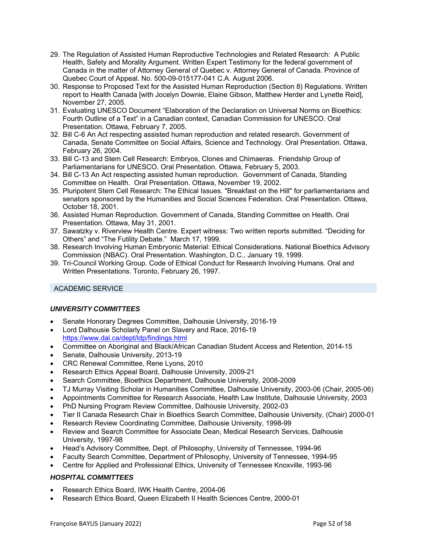- 29. The Regulation of Assisted Human Reproductive Technologies and Related Research: A Public Health, Safety and Morality Argument. Written Expert Testimony for the federal government of Canada in the matter of Attorney General of Quebec v. Attorney General of Canada. Province of Quebec Court of Appeal. No. 500-09-015177-041 C.A. August 2006.
- 30. Response to Proposed Text for the Assisted Human Reproduction (Section 8) Regulations. Written report to Health Canada [with Jocelyn Downie, Elaine Gibson, Matthew Herder and Lynette Reid], November 27, 2005.
- 31. Evaluating UNESCO Document "Elaboration of the Declaration on Universal Norms on Bioethics: Fourth Outline of a Text" in a Canadian context, Canadian Commission for UNESCO. Oral Presentation. Ottawa, February 7, 2005.
- 32. Bill C-6 An Act respecting assisted human reproduction and related research. Government of Canada, Senate Committee on Social Affairs, Science and Technology. Oral Presentation. Ottawa, February 26, 2004.
- 33. Bill C-13 and Stem Cell Research: Embryos, Clones and Chimaeras. Friendship Group of Parliamentarians for UNESCO. Oral Presentation. Ottawa, February 5, 2003.
- 34. Bill C-13 An Act respecting assisted human reproduction. Government of Canada, Standing Committee on Health. Oral Presentation. Ottawa, November 19, 2002.
- 35. Pluripotent Stem Cell Research: The Ethical Issues. "Breakfast on the Hill" for parliamentarians and senators sponsored by the Humanities and Social Sciences Federation. Oral Presentation. Ottawa, October 18, 2001.
- 36. Assisted Human Reproduction. Government of Canada, Standing Committee on Health. Oral Presentation. Ottawa, May 31, 2001.
- 37. Sawatzky v. Riverview Health Centre. Expert witness: Two written reports submitted. "Deciding for Others" and "The Futility Debate." March 17, 1999.
- 38. Research Involving Human Embryonic Material: Ethical Considerations. National Bioethics Advisory Commission (NBAC). Oral Presentation. Washington, D.C., January 19, 1999.
- 39. Tri-Council Working Group. Code of Ethical Conduct for Research Involving Humans. Oral and Written Presentations. Toronto, February 26, 1997.

### ACADEMIC SERVICE

### *UNIVERSITY COMMITTEES*

- Senate Honorary Degrees Committee, Dalhousie University, 2016-19
- Lord Dalhousie Scholarly Panel on Slavery and Race, 2016-19 https://www.dal.ca/dept/ldp/findings.html
- Committee on Aboriginal and Black/African Canadian Student Access and Retention, 2014-15
- Senate, Dalhousie University, 2013-19
- CRC Renewal Committee, Rene Lyons, 2010
- Research Ethics Appeal Board, Dalhousie University, 2009-21
- Search Committee, Bioethics Department, Dalhousie University, 2008-2009
- TJ Murray Visiting Scholar in Humanities Committee, Dalhousie University, 2003-06 (Chair, 2005-06)
- Appointments Committee for Research Associate, Health Law Institute, Dalhousie University, 2003
- PhD Nursing Program Review Committee, Dalhousie University, 2002-03
- Tier II Canada Research Chair in Bioethics Search Committee, Dalhousie University, (Chair) 2000-01
- Research Review Coordinating Committee, Dalhousie University, 1998-99
- Review and Search Committee for Associate Dean, Medical Research Services, Dalhousie University, 1997-98
- Head's Advisory Committee, Dept. of Philosophy, University of Tennessee, 1994-96
- Faculty Search Committee, Department of Philosophy, University of Tennessee, 1994-95
- Centre for Applied and Professional Ethics, University of Tennessee Knoxville, 1993-96

### *HOSPITAL COMMITTEES*

- Research Ethics Board, IWK Health Centre, 2004-06
- Research Ethics Board, Queen Elizabeth II Health Sciences Centre, 2000-01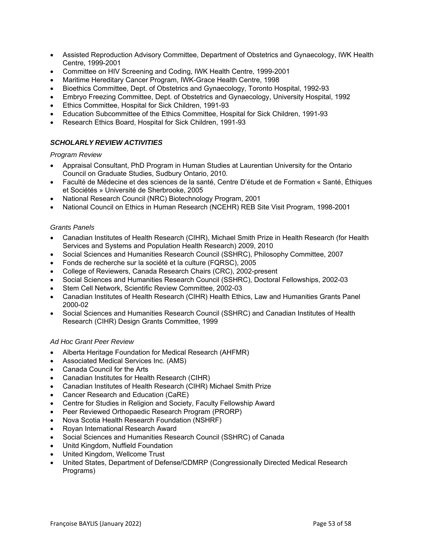- Assisted Reproduction Advisory Committee, Department of Obstetrics and Gynaecology, IWK Health Centre, 1999-2001
- Committee on HIV Screening and Coding, IWK Health Centre, 1999-2001
- Maritime Hereditary Cancer Program, IWK-Grace Health Centre, 1998
- Bioethics Committee, Dept. of Obstetrics and Gynaecology, Toronto Hospital, 1992-93
- Embryo Freezing Committee, Dept. of Obstetrics and Gynaecology, University Hospital, 1992
- Ethics Committee, Hospital for Sick Children, 1991-93
- Education Subcommittee of the Ethics Committee, Hospital for Sick Children, 1991-93
- Research Ethics Board, Hospital for Sick Children, 1991-93

### *SCHOLARLY REVIEW ACTIVITIES*

#### *Program Review*

- Appraisal Consultant, PhD Program in Human Studies at Laurentian University for the Ontario Council on Graduate Studies, Sudbury Ontario, 2010.
- Faculté de Médecine et des sciences de la santé, Centre D'étude et de Formation « Santé, Éthiques et Sociétés » Université de Sherbrooke, 2005
- National Research Council (NRC) Biotechnology Program, 2001
- National Council on Ethics in Human Research (NCEHR) REB Site Visit Program, 1998-2001

#### *Grants Panels*

- Canadian Institutes of Health Research (CIHR), Michael Smith Prize in Health Research (for Health Services and Systems and Population Health Research) 2009, 2010
- Social Sciences and Humanities Research Council (SSHRC), Philosophy Committee, 2007
- Fonds de recherche sur la société et la culture (FQRSC), 2005
- College of Reviewers, Canada Research Chairs (CRC), 2002-present
- Social Sciences and Humanities Research Council (SSHRC), Doctoral Fellowships, 2002-03
- Stem Cell Network, Scientific Review Committee, 2002-03
- Canadian Institutes of Health Research (CIHR) Health Ethics, Law and Humanities Grants Panel 2000-02
- Social Sciences and Humanities Research Council (SSHRC) and Canadian Institutes of Health Research (CIHR) Design Grants Committee, 1999

#### *Ad Hoc Grant Peer Review*

- Alberta Heritage Foundation for Medical Research (AHFMR)
- Associated Medical Services Inc. (AMS)
- Canada Council for the Arts
- Canadian Institutes for Health Research (CIHR)
- Canadian Institutes of Health Research (CIHR) Michael Smith Prize
- Cancer Research and Education (CaRE)
- Centre for Studies in Religion and Society, Faculty Fellowship Award
- Peer Reviewed Orthopaedic Research Program (PRORP)
- Nova Scotia Health Research Foundation (NSHRF)
- Royan International Research Award
- Social Sciences and Humanities Research Council (SSHRC) of Canada
- Unitd Kingdom, Nuffield Foundation
- United Kingdom, Wellcome Trust
- United States, Department of Defense/CDMRP (Congressionally Directed Medical Research Programs)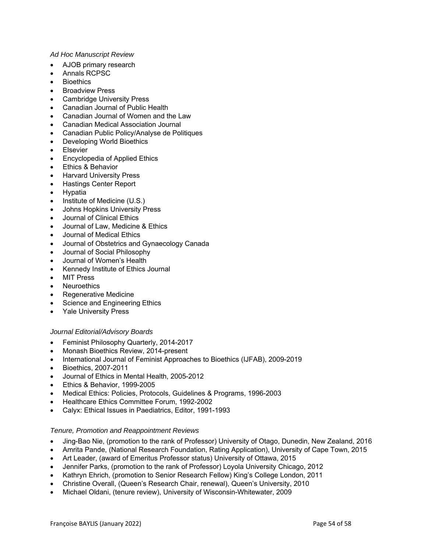#### *Ad Hoc Manuscript Review*

- AJOB primary research
- Annals RCPSC
- **Bioethics**
- Broadview Press
- Cambridge University Press
- Canadian Journal of Public Health
- Canadian Journal of Women and the Law
- Canadian Medical Association Journal
- Canadian Public Policy/Analyse de Politiques
- Developing World Bioethics
- Elsevier
- Encyclopedia of Applied Ethics
- Ethics & Behavior
- Harvard University Press
- Hastings Center Report
- Hypatia
- Institute of Medicine (U.S.)
- Johns Hopkins University Press
- Journal of Clinical Ethics
- Journal of Law, Medicine & Ethics
- Journal of Medical Ethics
- Journal of Obstetrics and Gynaecology Canada
- Journal of Social Philosophy
- Journal of Women's Health
- Kennedy Institute of Ethics Journal
- MIT Press
- Neuroethics
- Regenerative Medicine
- Science and Engineering Ethics
- Yale University Press

#### *Journal Editorial/Advisory Boards*

- **•** Feminist Philosophy Quarterly, 2014-2017
- Monash Bioethics Review, 2014-present
- International Journal of Feminist Approaches to Bioethics (IJFAB), 2009-2019
- Bioethics, 2007-2011
- Journal of Ethics in Mental Health, 2005-2012
- Ethics & Behavior, 1999-2005
- Medical Ethics: Policies, Protocols, Guidelines & Programs, 1996-2003
- Healthcare Ethics Committee Forum, 1992-2002
- Calyx: Ethical Issues in Paediatrics, Editor, 1991-1993

#### *Tenure, Promotion and Reappointment Reviews*

- Jing-Bao Nie, (promotion to the rank of Professor) University of Otago, Dunedin, New Zealand, 2016
- Amrita Pande, (National Research Foundation, Rating Application), University of Cape Town, 2015
- Art Leader, (award of Emeritus Professor status) University of Ottawa, 2015
- Jennifer Parks, (promotion to the rank of Professor) Loyola University Chicago, 2012
- Kathryn Ehrich, (promotion to Senior Research Fellow) King's College London, 2011
- Christine Overall, (Queen's Research Chair, renewal), Queen's University, 2010
- Michael Oldani, (tenure review), University of Wisconsin-Whitewater, 2009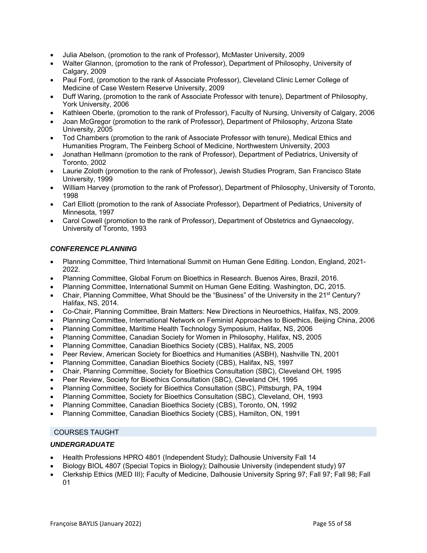- Julia Abelson, (promotion to the rank of Professor), McMaster University, 2009
- Walter Glannon, (promotion to the rank of Professor), Department of Philosophy, University of Calgary, 2009
- Paul Ford, (promotion to the rank of Associate Professor), Cleveland Clinic Lerner College of Medicine of Case Western Reserve University, 2009
- Duff Waring, (promotion to the rank of Associate Professor with tenure), Department of Philosophy, York University, 2006
- Kathleen Oberle, (promotion to the rank of Professor), Faculty of Nursing, University of Calgary, 2006
- Joan McGregor (promotion to the rank of Professor), Department of Philosophy, Arizona State University, 2005
- Tod Chambers (promotion to the rank of Associate Professor with tenure), Medical Ethics and Humanities Program, The Feinberg School of Medicine, Northwestern University, 2003
- Jonathan Hellmann (promotion to the rank of Professor), Department of Pediatrics, University of Toronto, 2002
- Laurie Zoloth (promotion to the rank of Professor), Jewish Studies Program, San Francisco State University, 1999
- William Harvey (promotion to the rank of Professor), Department of Philosophy, University of Toronto, 1998
- Carl Elliott (promotion to the rank of Associate Professor), Department of Pediatrics, University of Minnesota, 1997
- Carol Cowell (promotion to the rank of Professor), Department of Obstetrics and Gynaecology, University of Toronto, 1993

### *CONFERENCE PLANNING*

- Planning Committee, Third International Summit on Human Gene Editing. London, England, 2021- 2022.
- Planning Committee, Global Forum on Bioethics in Research. Buenos Aires, Brazil, 2016.
- Planning Committee, International Summit on Human Gene Editing. Washington, DC, 2015.
- Chair, Planning Committee, What Should be the "Business" of the University in the 21<sup>st</sup> Century? Halifax, NS, 2014.
- Co-Chair, Planning Committee, Brain Matters: New Directions in Neuroethics, Halifax, NS, 2009.
- Planning Committee, International Network on Feminist Approaches to Bioethics, Beijing China, 2006
- Planning Committee, Maritime Health Technology Symposium, Halifax, NS, 2006
- Planning Committee, Canadian Society for Women in Philosophy, Halifax, NS, 2005
- Planning Committee, Canadian Bioethics Society (CBS), Halifax, NS, 2005
- Peer Review, American Society for Bioethics and Humanities (ASBH), Nashville TN, 2001
- Planning Committee, Canadian Bioethics Society (CBS), Halifax, NS, 1997
- Chair, Planning Committee, Society for Bioethics Consultation (SBC), Cleveland OH, 1995
- Peer Review, Society for Bioethics Consultation (SBC), Cleveland OH, 1995
- Planning Committee, Society for Bioethics Consultation (SBC), Pittsburgh, PA, 1994
- Planning Committee, Society for Bioethics Consultation (SBC), Cleveland, OH, 1993
- Planning Committee, Canadian Bioethics Society (CBS), Toronto, ON, 1992
- Planning Committee, Canadian Bioethics Society (CBS), Hamilton, ON, 1991

#### COURSES TAUGHT

#### *UNDERGRADUATE*

- Health Professions HPRO 4801 (Independent Study); Dalhousie University Fall 14
- Biology BIOL 4807 (Special Topics in Biology); Dalhousie University (independent study) 97
- Clerkship Ethics (MED III); Faculty of Medicine, Dalhousie University Spring 97; Fall 97; Fall 98; Fall 01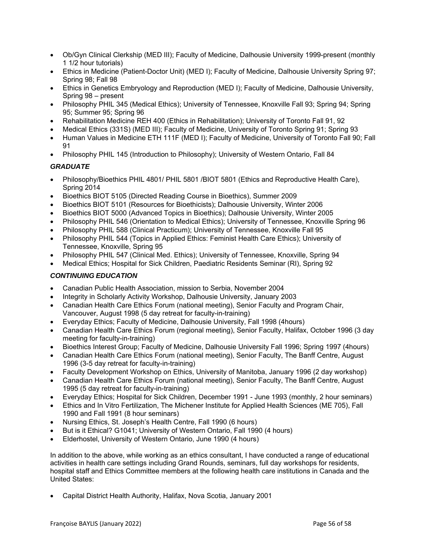- Ob/Gyn Clinical Clerkship (MED III); Faculty of Medicine, Dalhousie University 1999-present (monthly 1 1/2 hour tutorials)
- Ethics in Medicine (Patient-Doctor Unit) (MED I); Faculty of Medicine, Dalhousie University Spring 97; Spring 98; Fall 98
- Ethics in Genetics Embryology and Reproduction (MED I); Faculty of Medicine, Dalhousie University, Spring 98 – present
- Philosophy PHIL 345 (Medical Ethics); University of Tennessee, Knoxville Fall 93; Spring 94; Spring 95; Summer 95; Spring 96
- Rehabilitation Medicine REH 400 (Ethics in Rehabilitation); University of Toronto Fall 91, 92
- Medical Ethics (331S) (MED III); Faculty of Medicine, University of Toronto Spring 91; Spring 93
- Human Values in Medicine ETH 111F (MED I); Faculty of Medicine, University of Toronto Fall 90; Fall 91
- Philosophy PHIL 145 (Introduction to Philosophy); University of Western Ontario, Fall 84

# *GRADUATE*

- Philosophy/Bioethics PHIL 4801/ PHIL 5801 /BIOT 5801 (Ethics and Reproductive Health Care), Spring 2014
- Bioethics BIOT 5105 (Directed Reading Course in Bioethics), Summer 2009
- Bioethics BIOT 5101 (Resources for Bioethicists); Dalhousie University, Winter 2006
- Bioethics BIOT 5000 (Advanced Topics in Bioethics); Dalhousie University, Winter 2005
- Philosophy PHIL 546 (Orientation to Medical Ethics); University of Tennessee, Knoxville Spring 96
- Philosophy PHIL 588 (Clinical Practicum); University of Tennessee, Knoxville Fall 95
- Philosophy PHIL 544 (Topics in Applied Ethics: Feminist Health Care Ethics); University of Tennessee, Knoxville, Spring 95
- Philosophy PHIL 547 (Clinical Med. Ethics); University of Tennessee, Knoxville, Spring 94
- Medical Ethics; Hospital for Sick Children, Paediatric Residents Seminar (RI), Spring 92

### *CONTINUING EDUCATION*

- Canadian Public Health Association, mission to Serbia, November 2004
- Integrity in Scholarly Activity Workshop, Dalhousie University, January 2003
- Canadian Health Care Ethics Forum (national meeting), Senior Faculty and Program Chair, Vancouver, August 1998 (5 day retreat for faculty-in-training)
- Everyday Ethics; Faculty of Medicine, Dalhousie University, Fall 1998 (4hours)
- Canadian Health Care Ethics Forum (regional meeting), Senior Faculty, Halifax, October 1996 (3 day meeting for faculty-in-training)
- Bioethics Interest Group; Faculty of Medicine, Dalhousie University Fall 1996; Spring 1997 (4hours)
- Canadian Health Care Ethics Forum (national meeting), Senior Faculty, The Banff Centre, August 1996 (3-5 day retreat for faculty-in-training)
- Faculty Development Workshop on Ethics, University of Manitoba, January 1996 (2 day workshop)
- Canadian Health Care Ethics Forum (national meeting), Senior Faculty, The Banff Centre, August 1995 (5 day retreat for faculty-in-training)
- Everyday Ethics; Hospital for Sick Children, December 1991 June 1993 (monthly, 2 hour seminars)
- Ethics and In Vitro Fertilization, The Michener Institute for Applied Health Sciences (ME 705), Fall 1990 and Fall 1991 (8 hour seminars)
- Nursing Ethics, St. Joseph's Health Centre, Fall 1990 (6 hours)
- But is it Ethical? G1041; University of Western Ontario, Fall 1990 (4 hours)
- Elderhostel, University of Western Ontario, June 1990 (4 hours)

In addition to the above, while working as an ethics consultant, I have conducted a range of educational activities in health care settings including Grand Rounds, seminars, full day workshops for residents, hospital staff and Ethics Committee members at the following health care institutions in Canada and the United States:

Capital District Health Authority, Halifax, Nova Scotia, January 2001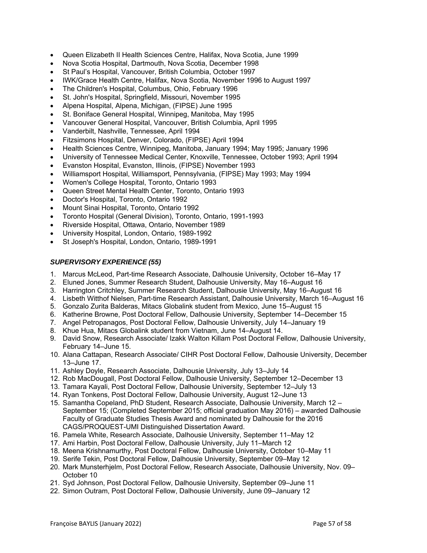- Queen Elizabeth II Health Sciences Centre, Halifax, Nova Scotia, June 1999
- Nova Scotia Hospital, Dartmouth, Nova Scotia, December 1998
- St Paul's Hospital, Vancouver, British Columbia, October 1997
- IWK/Grace Health Centre, Halifax, Nova Scotia, November 1996 to August 1997
- The Children's Hospital, Columbus, Ohio, February 1996
- St. John's Hospital, Springfield, Missouri, November 1995
- Alpena Hospital, Alpena, Michigan, (FIPSE) June 1995
- St. Boniface General Hospital, Winnipeg, Manitoba, May 1995
- Vancouver General Hospital, Vancouver, British Columbia, April 1995
- Vanderbilt, Nashville, Tennessee, April 1994
- Fitzsimons Hospital, Denver, Colorado, (FIPSE) April 1994
- Health Sciences Centre, Winnipeg, Manitoba, January 1994; May 1995; January 1996
- University of Tennessee Medical Center, Knoxville, Tennessee, October 1993; April 1994
- Evanston Hospital, Evanston, Illinois, (FIPSE) November 1993
- Williamsport Hospital, Williamsport, Pennsylvania, (FIPSE) May 1993; May 1994
- Women's College Hospital, Toronto, Ontario 1993
- Queen Street Mental Health Center, Toronto, Ontario 1993
- Doctor's Hospital, Toronto, Ontario 1992
- Mount Sinai Hospital, Toronto, Ontario 1992
- Toronto Hospital (General Division), Toronto, Ontario, 1991-1993
- Riverside Hospital, Ottawa, Ontario, November 1989
- University Hospital, London, Ontario, 1989-1992
- St Joseph's Hospital, London, Ontario, 1989-1991

### *SUPERVISORY EXPERIENCE (55)*

- 1. Marcus McLeod, Part-time Research Associate, Dalhousie University, October 16–May 17
- 2. Eluned Jones, Summer Research Student, Dalhousie University, May 16–August 16
- 3. Harrington Critchley, Summer Research Student, Dalhousie University, May 16–August 16
- 4. Lisbeth Witthof Nielsen, Part-time Research Assistant, Dalhousie University, March 16–August 16
- 5. Gonzalo Zurita Balderas, Mitacs Globalink student from Mexico, June 15–August 15
- 6. Katherine Browne, Post Doctoral Fellow, Dalhousie University, September 14–December 15
- 7. Angel Petropanagos, Post Doctoral Fellow, Dalhousie University, July 14–January 19
- 8. Khue Hua, Mitacs Globalink student from Vietnam, June 14–August 14.
- 9. David Snow, Research Associate/ Izakk Walton Killam Post Doctoral Fellow, Dalhousie University, February 14–June 15.
- 10. Alana Cattapan, Research Associate/ CIHR Post Doctoral Fellow, Dalhousie University, December 13–June 17.
- 11. Ashley Doyle, Research Associate, Dalhousie University, July 13–July 14
- 12. Rob MacDougall, Post Doctoral Fellow, Dalhousie University, September 12–December 13
- 13. Tamara Kayali, Post Doctoral Fellow, Dalhousie University, September 12–July 13
- 14. Ryan Tonkens, Post Doctoral Fellow, Dalhousie University, August 12–June 13
- 15. Samantha Copeland, PhD Student, Research Associate, Dalhousie University, March 12 September 15; (Completed September 2015; official graduation May 2016) – awarded Dalhousie Faculty of Graduate Studies Thesis Award and nominated by Dalhousie for the 2016 CAGS/PROQUEST-UMI Distinguished Dissertation Award.
- 16. Pamela White, Research Associate, Dalhousie University, September 11–May 12
- 17. Ami Harbin, Post Doctoral Fellow, Dalhousie University, July 11–March 12
- 18. Meena Krishnamurthy, Post Doctoral Fellow, Dalhousie University, October 10–May 11
- 19. Serife Tekin, Post Doctoral Fellow, Dalhousie University, September 09–May 12
- 20. Mark Munsterhjelm, Post Doctoral Fellow, Research Associate, Dalhousie University, Nov. 09– October 10
- 21. Syd Johnson, Post Doctoral Fellow, Dalhousie University, September 09–June 11
- 22. Simon Outram, Post Doctoral Fellow, Dalhousie University, June 09–January 12